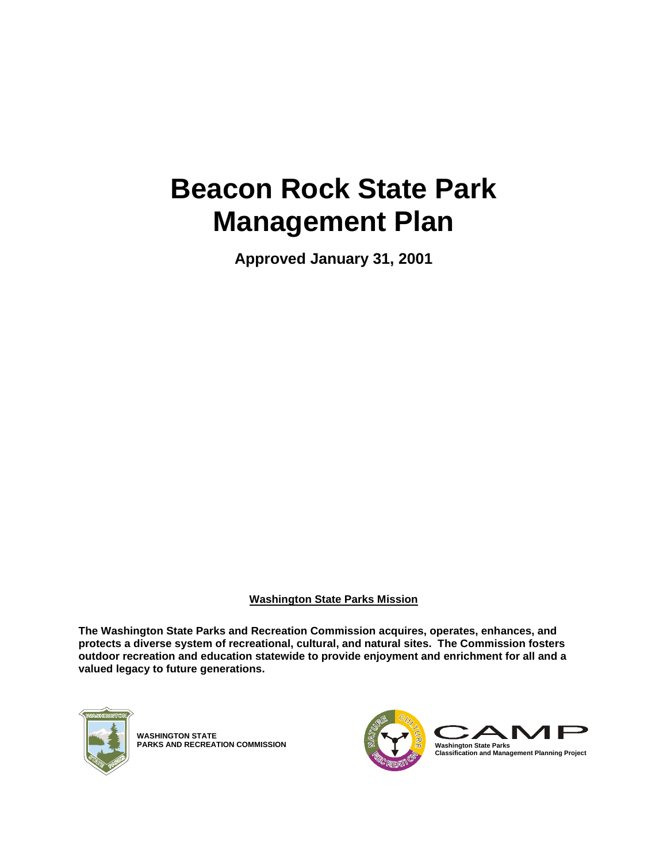# **Beacon Rock State Park Management Plan**

**Approved January 31, 2001**

**Washington State Parks Mission**

**The Washington State Parks and Recreation Commission acquires, operates, enhances, and protects a diverse system of recreational, cultural, and natural sites. The Commission fosters outdoor recreation and education statewide to provide enjoyment and enrichment for all and a valued legacy to future generations.**



**WASHINGTON STATE PARKS AND RECREATION COMMISSION**

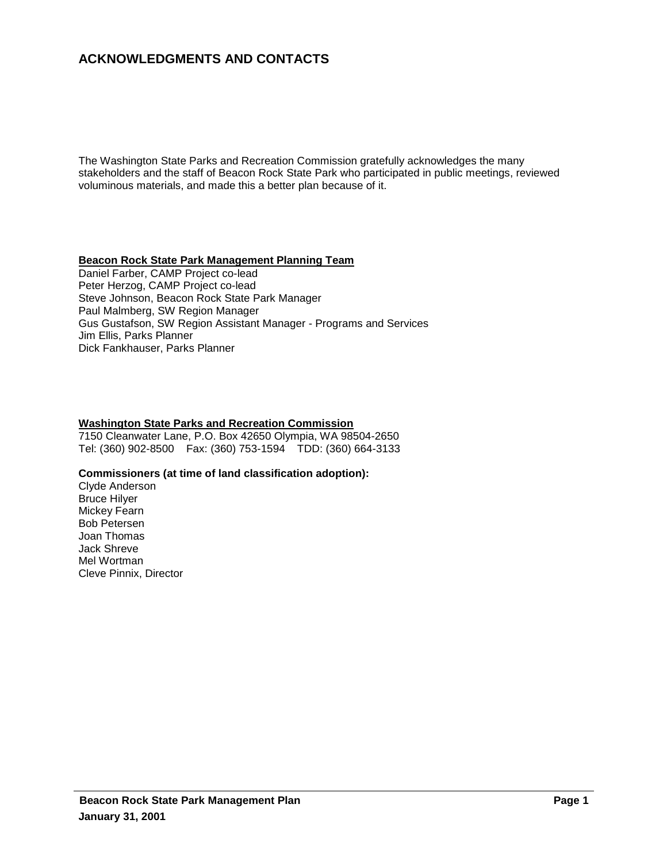# **ACKNOWLEDGMENTS AND CONTACTS**

The Washington State Parks and Recreation Commission gratefully acknowledges the many stakeholders and the staff of Beacon Rock State Park who participated in public meetings, reviewed voluminous materials, and made this a better plan because of it.

#### **Beacon Rock State Park Management Planning Team**

Daniel Farber, CAMP Project co-lead Peter Herzog, CAMP Project co-lead Steve Johnson, Beacon Rock State Park Manager Paul Malmberg, SW Region Manager Gus Gustafson, SW Region Assistant Manager - Programs and Services Jim Ellis, Parks Planner Dick Fankhauser, Parks Planner

#### **Washington State Parks and Recreation Commission**

7150 Cleanwater Lane, P.O. Box 42650 Olympia, WA 98504-2650 Tel: (360) 902-8500 Fax: (360) 753-1594 TDD: (360) 664-3133

#### **Commissioners (at time of land classification adoption):**

Clyde Anderson Bruce Hilyer Mickey Fearn Bob Petersen Joan Thomas Jack Shreve Mel Wortman Cleve Pinnix, Director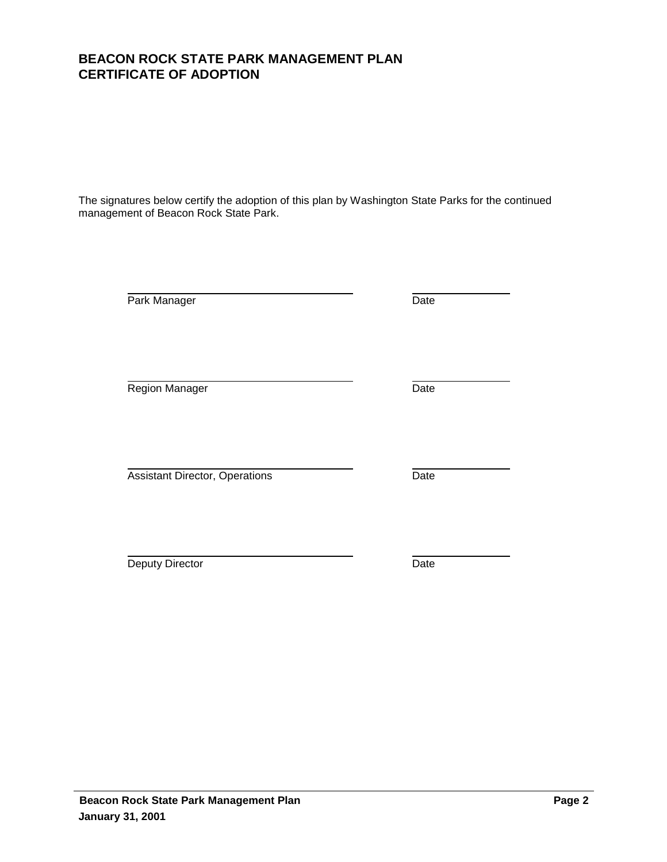# **Beacon Rock State Park Management Plan Page 2 Page 2**

**January 31, 2001**

# **BEACON ROCK STATE PARK MANAGEMENT PLAN CERTIFICATE OF ADOPTION**

The signatures below certify the adoption of this plan by Washington State Parks for the continued management of Beacon Rock State Park.

Park Manager Date

Region Manager **Date** 

Assistant Director, Operations **Date** 

**Deputy Director** Date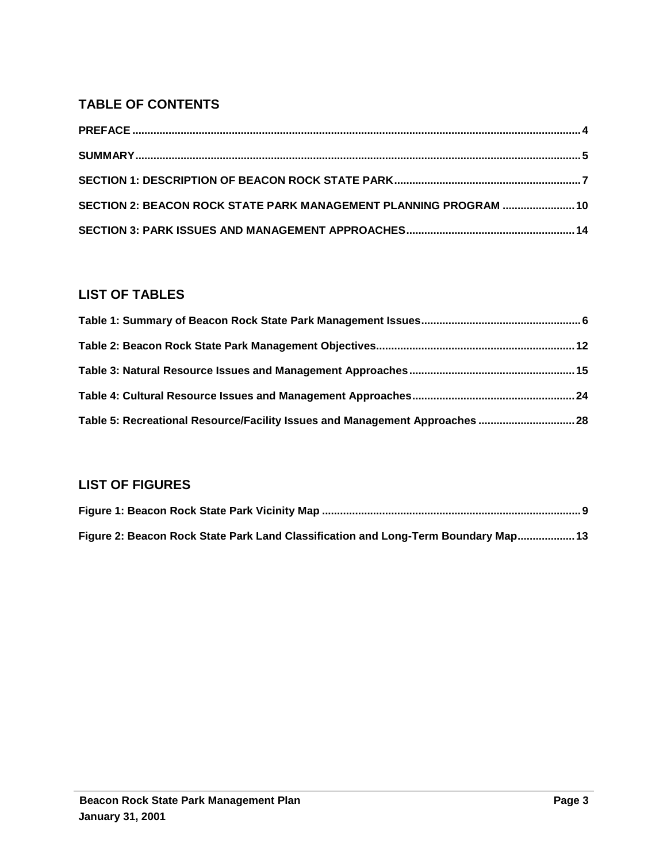# **TABLE OF CONTENTS**

| SECTION 2: BEACON ROCK STATE PARK MANAGEMENT PLANNING PROGRAM  10 |  |
|-------------------------------------------------------------------|--|
|                                                                   |  |

# **LIST OF TABLES**

| Table 5: Recreational Resource/Facility Issues and Management Approaches  28 |  |
|------------------------------------------------------------------------------|--|

# **LIST OF FIGURES**

| Figure 2: Beacon Rock State Park Land Classification and Long-Term Boundary Map 13 |  |
|------------------------------------------------------------------------------------|--|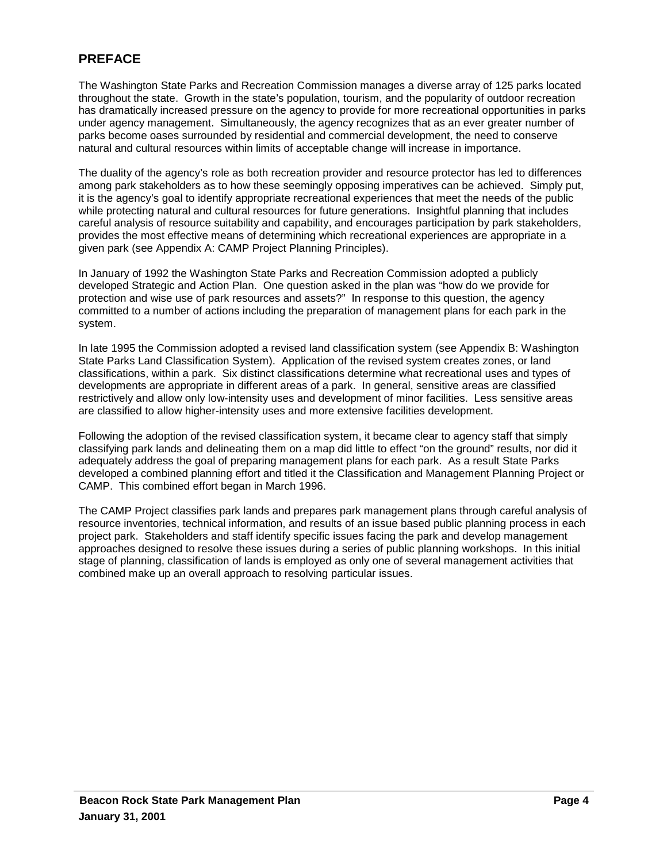# **PREFACE**

The Washington State Parks and Recreation Commission manages a diverse array of 125 parks located throughout the state. Growth in the state's population, tourism, and the popularity of outdoor recreation has dramatically increased pressure on the agency to provide for more recreational opportunities in parks under agency management. Simultaneously, the agency recognizes that as an ever greater number of parks become oases surrounded by residential and commercial development, the need to conserve natural and cultural resources within limits of acceptable change will increase in importance.

The duality of the agency's role as both recreation provider and resource protector has led to differences among park stakeholders as to how these seemingly opposing imperatives can be achieved. Simply put, it is the agency's goal to identify appropriate recreational experiences that meet the needs of the public while protecting natural and cultural resources for future generations. Insightful planning that includes careful analysis of resource suitability and capability, and encourages participation by park stakeholders, provides the most effective means of determining which recreational experiences are appropriate in a given park (see Appendix A: CAMP Project Planning Principles).

In January of 1992 the Washington State Parks and Recreation Commission adopted a publicly developed Strategic and Action Plan. One question asked in the plan was "how do we provide for protection and wise use of park resources and assets?" In response to this question, the agency committed to a number of actions including the preparation of management plans for each park in the system.

In late 1995 the Commission adopted a revised land classification system (see Appendix B: Washington State Parks Land Classification System). Application of the revised system creates zones, or land classifications, within a park. Six distinct classifications determine what recreational uses and types of developments are appropriate in different areas of a park. In general, sensitive areas are classified restrictively and allow only low-intensity uses and development of minor facilities. Less sensitive areas are classified to allow higher-intensity uses and more extensive facilities development.

Following the adoption of the revised classification system, it became clear to agency staff that simply classifying park lands and delineating them on a map did little to effect "on the ground" results, nor did it adequately address the goal of preparing management plans for each park. As a result State Parks developed a combined planning effort and titled it the Classification and Management Planning Project or CAMP. This combined effort began in March 1996.

The CAMP Project classifies park lands and prepares park management plans through careful analysis of resource inventories, technical information, and results of an issue based public planning process in each project park. Stakeholders and staff identify specific issues facing the park and develop management approaches designed to resolve these issues during a series of public planning workshops. In this initial stage of planning, classification of lands is employed as only one of several management activities that combined make up an overall approach to resolving particular issues.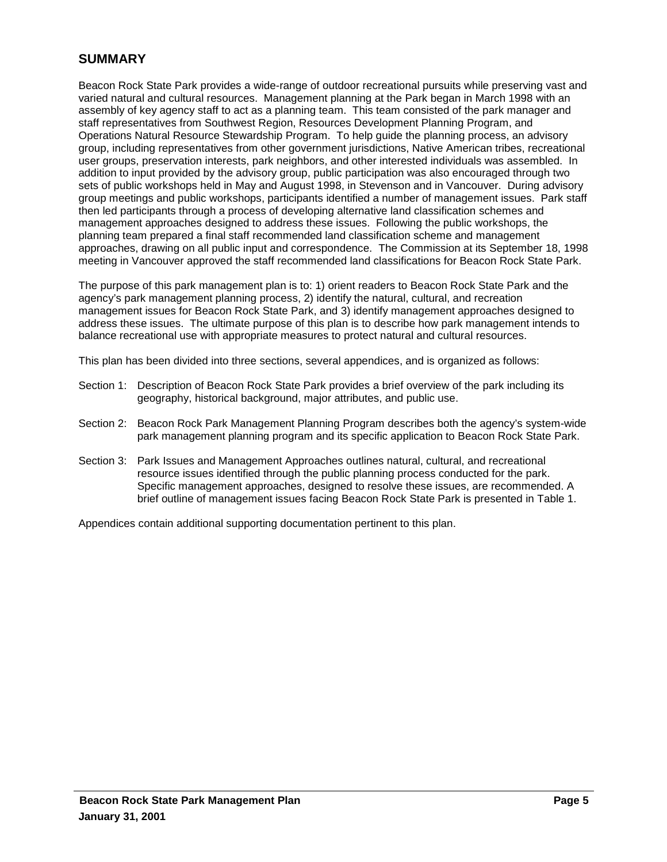# **SUMMARY**

Beacon Rock State Park provides a wide-range of outdoor recreational pursuits while preserving vast and varied natural and cultural resources. Management planning at the Park began in March 1998 with an assembly of key agency staff to act as a planning team. This team consisted of the park manager and staff representatives from Southwest Region, Resources Development Planning Program, and Operations Natural Resource Stewardship Program. To help guide the planning process, an advisory group, including representatives from other government jurisdictions, Native American tribes, recreational user groups, preservation interests, park neighbors, and other interested individuals was assembled. In addition to input provided by the advisory group, public participation was also encouraged through two sets of public workshops held in May and August 1998, in Stevenson and in Vancouver. During advisory group meetings and public workshops, participants identified a number of management issues. Park staff then led participants through a process of developing alternative land classification schemes and management approaches designed to address these issues. Following the public workshops, the planning team prepared a final staff recommended land classification scheme and management approaches, drawing on all public input and correspondence. The Commission at its September 18, 1998 meeting in Vancouver approved the staff recommended land classifications for Beacon Rock State Park.

The purpose of this park management plan is to: 1) orient readers to Beacon Rock State Park and the agency's park management planning process, 2) identify the natural, cultural, and recreation management issues for Beacon Rock State Park, and 3) identify management approaches designed to address these issues. The ultimate purpose of this plan is to describe how park management intends to balance recreational use with appropriate measures to protect natural and cultural resources.

This plan has been divided into three sections, several appendices, and is organized as follows:

- Section 1: Description of Beacon Rock State Park provides a brief overview of the park including its geography, historical background, major attributes, and public use.
- Section 2: Beacon Rock Park Management Planning Program describes both the agency's system-wide park management planning program and its specific application to Beacon Rock State Park.
- Section 3: Park Issues and Management Approaches outlines natural, cultural, and recreational resource issues identified through the public planning process conducted for the park. Specific management approaches, designed to resolve these issues, are recommended. A brief outline of management issues facing Beacon Rock State Park is presented in Table 1.

Appendices contain additional supporting documentation pertinent to this plan.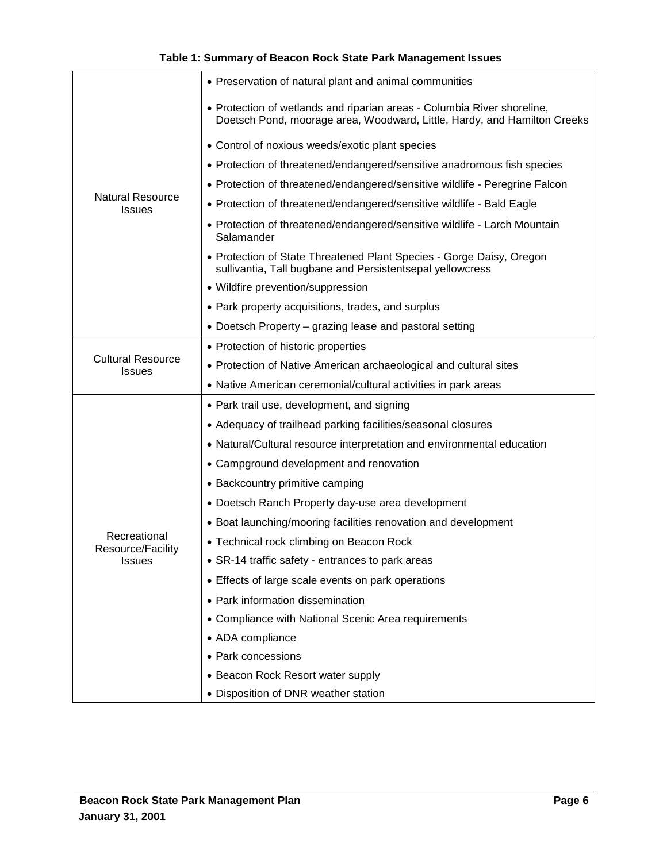| <b>Natural Resource</b><br><b>Issues</b>  | • Preservation of natural plant and animal communities                                                                                              |
|-------------------------------------------|-----------------------------------------------------------------------------------------------------------------------------------------------------|
|                                           | • Protection of wetlands and riparian areas - Columbia River shoreline,<br>Doetsch Pond, moorage area, Woodward, Little, Hardy, and Hamilton Creeks |
|                                           | • Control of noxious weeds/exotic plant species                                                                                                     |
|                                           | • Protection of threatened/endangered/sensitive anadromous fish species                                                                             |
|                                           | • Protection of threatened/endangered/sensitive wildlife - Peregrine Falcon                                                                         |
|                                           | • Protection of threatened/endangered/sensitive wildlife - Bald Eagle                                                                               |
|                                           | • Protection of threatened/endangered/sensitive wildlife - Larch Mountain<br>Salamander                                                             |
|                                           | • Protection of State Threatened Plant Species - Gorge Daisy, Oregon<br>sullivantia, Tall bugbane and Persistentsepal yellowcress                   |
|                                           | • Wildfire prevention/suppression                                                                                                                   |
|                                           | • Park property acquisitions, trades, and surplus                                                                                                   |
|                                           | • Doetsch Property – grazing lease and pastoral setting                                                                                             |
|                                           | • Protection of historic properties                                                                                                                 |
| <b>Cultural Resource</b><br><b>Issues</b> | • Protection of Native American archaeological and cultural sites                                                                                   |
|                                           | • Native American ceremonial/cultural activities in park areas                                                                                      |
|                                           | • Park trail use, development, and signing                                                                                                          |
|                                           | • Adequacy of trailhead parking facilities/seasonal closures                                                                                        |
|                                           | • Natural/Cultural resource interpretation and environmental education                                                                              |
|                                           | • Campground development and renovation                                                                                                             |
|                                           | • Backcountry primitive camping                                                                                                                     |
|                                           | • Doetsch Ranch Property day-use area development                                                                                                   |
|                                           | • Boat launching/mooring facilities renovation and development                                                                                      |
| Recreational<br>Resource/Facility         | • Technical rock climbing on Beacon Rock                                                                                                            |
| Issues                                    | • SR-14 traffic safety - entrances to park areas                                                                                                    |
|                                           | • Effects of large scale events on park operations                                                                                                  |
|                                           | • Park information dissemination                                                                                                                    |
|                                           | • Compliance with National Scenic Area requirements                                                                                                 |
|                                           | • ADA compliance                                                                                                                                    |
|                                           | • Park concessions                                                                                                                                  |
|                                           | • Beacon Rock Resort water supply                                                                                                                   |
|                                           | • Disposition of DNR weather station                                                                                                                |

# **Table 1: Summary of Beacon Rock State Park Management Issues**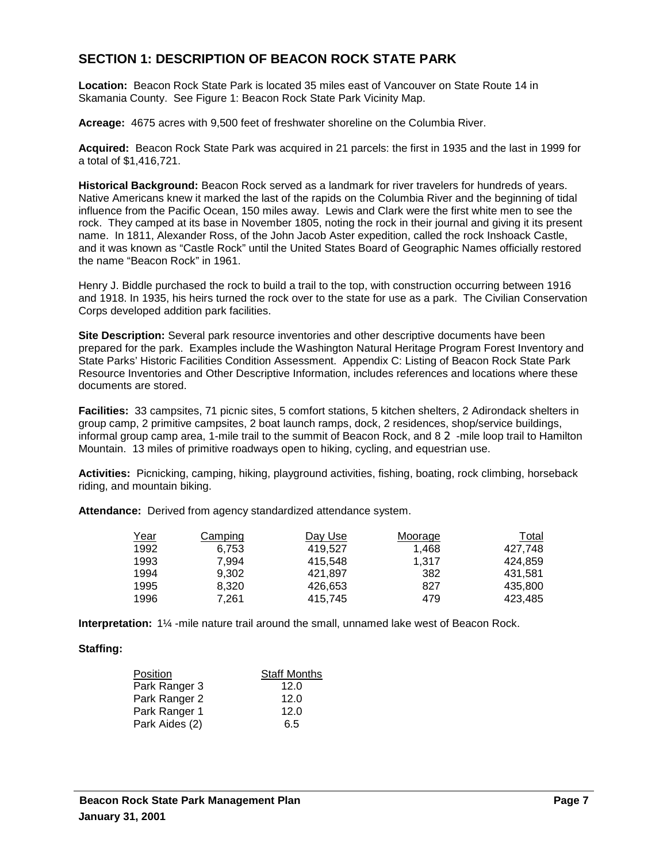# **SECTION 1: DESCRIPTION OF BEACON ROCK STATE PARK**

**Location:** Beacon Rock State Park is located 35 miles east of Vancouver on State Route 14 in Skamania County. See Figure 1: Beacon Rock State Park Vicinity Map.

**Acreage:** 4675 acres with 9,500 feet of freshwater shoreline on the Columbia River.

**Acquired:** Beacon Rock State Park was acquired in 21 parcels: the first in 1935 and the last in 1999 for a total of \$1,416,721.

**Historical Background:** Beacon Rock served as a landmark for river travelers for hundreds of years. Native Americans knew it marked the last of the rapids on the Columbia River and the beginning of tidal influence from the Pacific Ocean, 150 miles away. Lewis and Clark were the first white men to see the rock. They camped at its base in November 1805, noting the rock in their journal and giving it its present name. In 1811, Alexander Ross, of the John Jacob Aster expedition, called the rock Inshoack Castle, and it was known as "Castle Rock" until the United States Board of Geographic Names officially restored the name "Beacon Rock" in 1961.

Henry J. Biddle purchased the rock to build a trail to the top, with construction occurring between 1916 and 1918. In 1935, his heirs turned the rock over to the state for use as a park. The Civilian Conservation Corps developed addition park facilities.

**Site Description:** Several park resource inventories and other descriptive documents have been prepared for the park. Examples include the Washington Natural Heritage Program Forest Inventory and State Parks' Historic Facilities Condition Assessment. Appendix C: Listing of Beacon Rock State Park Resource Inventories and Other Descriptive Information, includes references and locations where these documents are stored.

**Facilities:** 33 campsites, 71 picnic sites, 5 comfort stations, 5 kitchen shelters, 2 Adirondack shelters in group camp, 2 primitive campsites, 2 boat launch ramps, dock, 2 residences, shop/service buildings, informal group camp area, 1-mile trail to the summit of Beacon Rock, and  $8\,2$ -mile loop trail to Hamilton Mountain. 13 miles of primitive roadways open to hiking, cycling, and equestrian use.

**Activities:** Picnicking, camping, hiking, playground activities, fishing, boating, rock climbing, horseback riding, and mountain biking.

**Attendance:** Derived from agency standardized attendance system.

| <u>Year</u> | Camping | Day Use | Moorage | Total   |
|-------------|---------|---------|---------|---------|
| 1992        | 6.753   | 419.527 | 1.468   | 427.748 |
| 1993        | 7.994   | 415.548 | 1.317   | 424.859 |
| 1994        | 9.302   | 421.897 | 382     | 431.581 |
| 1995        | 8.320   | 426.653 | 827     | 435.800 |
| 1996        | 7.261   | 415.745 | 479     | 423.485 |

**Interpretation:** 1¼ -mile nature trail around the small, unnamed lake west of Beacon Rock.

#### **Staffing:**

| Position       | <b>Staff Months</b> |
|----------------|---------------------|
| Park Ranger 3  | 12.0                |
| Park Ranger 2  | 12.0                |
| Park Ranger 1  | 12.0                |
| Park Aides (2) | 6.5                 |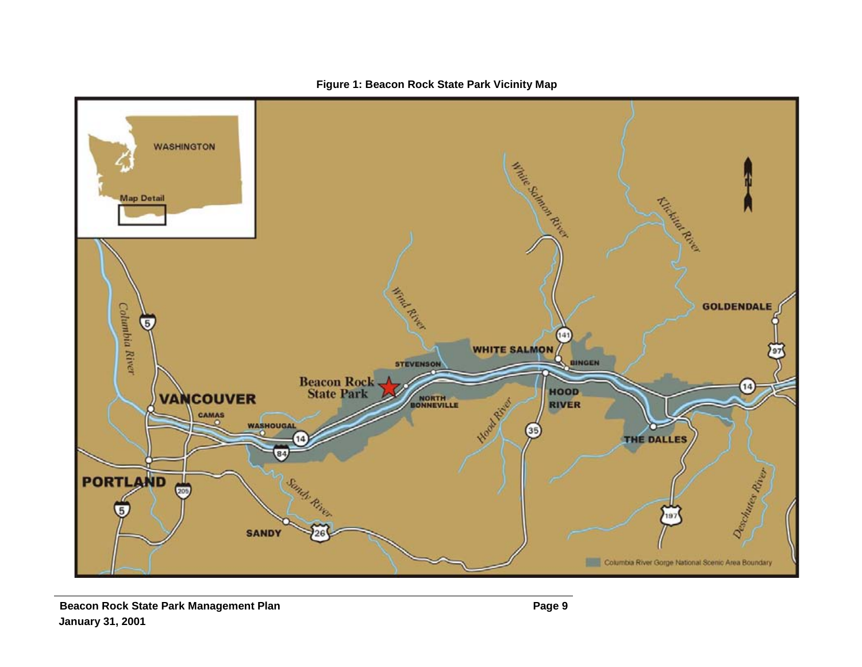

**Figure 1: Beacon Rock State Park Vicinity Map**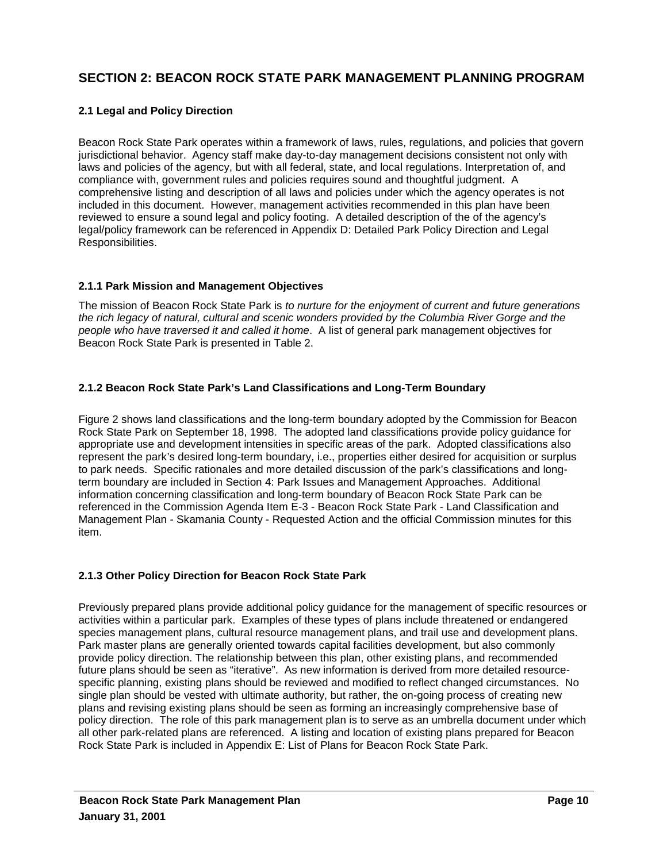# **SECTION 2: BEACON ROCK STATE PARK MANAGEMENT PLANNING PROGRAM**

#### **2.1 Legal and Policy Direction**

Beacon Rock State Park operates within a framework of laws, rules, regulations, and policies that govern jurisdictional behavior. Agency staff make day-to-day management decisions consistent not only with laws and policies of the agency, but with all federal, state, and local regulations. Interpretation of, and compliance with, government rules and policies requires sound and thoughtful judgment. A comprehensive listing and description of all laws and policies under which the agency operates is not included in this document. However, management activities recommended in this plan have been reviewed to ensure a sound legal and policy footing. A detailed description of the of the agency's legal/policy framework can be referenced in Appendix D: Detailed Park Policy Direction and Legal Responsibilities.

#### **2.1.1 Park Mission and Management Objectives**

The mission of Beacon Rock State Park is *to nurture for the enjoyment of current and future generations the rich legacy of natural, cultural and scenic wonders provided by the Columbia River Gorge and the people who have traversed it and called it home*. A list of general park management objectives for Beacon Rock State Park is presented in Table 2.

#### **2.1.2 Beacon Rock State Park's Land Classifications and Long-Term Boundary**

Figure 2 shows land classifications and the long-term boundary adopted by the Commission for Beacon Rock State Park on September 18, 1998.The adopted land classifications provide policy guidance for appropriate use and development intensities in specific areas of the park. Adopted classifications also represent the park's desired long-term boundary, i.e., properties either desired for acquisition or surplus to park needs. Specific rationales and more detailed discussion of the park's classifications and longterm boundary are included in Section 4: Park Issues and Management Approaches. Additional information concerning classification and long-term boundary of Beacon Rock State Park can be referenced in the Commission Agenda Item E-3 - Beacon Rock State Park - Land Classification and Management Plan - Skamania County - Requested Action and the official Commission minutes for this item.

#### **2.1.3 Other Policy Direction for Beacon Rock State Park**

Previously prepared plans provide additional policy guidance for the management of specific resources or activities within a particular park. Examples of these types of plans include threatened or endangered species management plans, cultural resource management plans, and trail use and development plans. Park master plans are generally oriented towards capital facilities development, but also commonly provide policy direction. The relationship between this plan, other existing plans, and recommended future plans should be seen as "iterative". As new information is derived from more detailed resourcespecific planning, existing plans should be reviewed and modified to reflect changed circumstances. No single plan should be vested with ultimate authority, but rather, the on-going process of creating new plans and revising existing plans should be seen as forming an increasingly comprehensive base of policy direction. The role of this park management plan is to serve as an umbrella document under which all other park-related plans are referenced. A listing and location of existing plans prepared for Beacon Rock State Park is included in Appendix E: List of Plans for Beacon Rock State Park.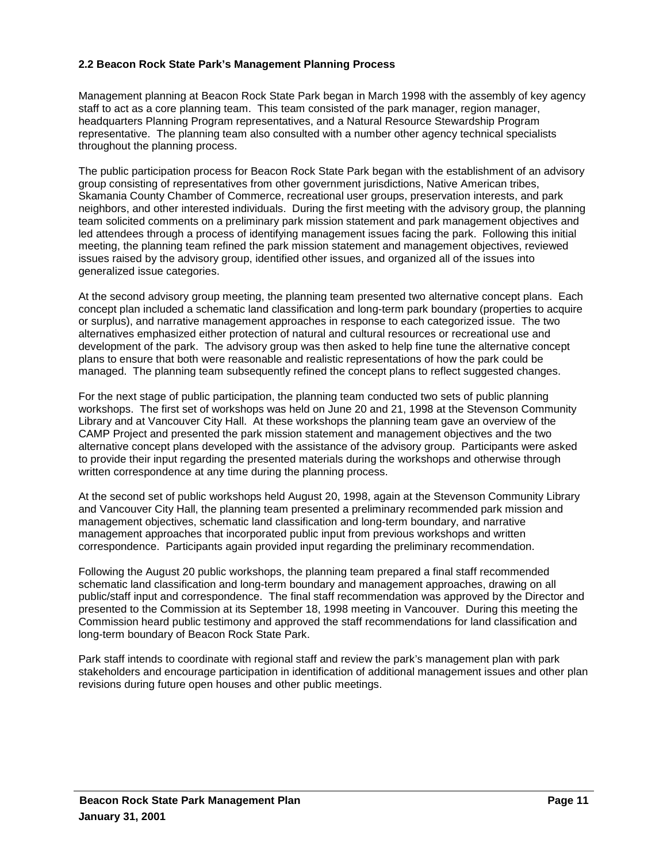#### **2.2 Beacon Rock State Park's Management Planning Process**

Management planning at Beacon Rock State Park began in March 1998 with the assembly of key agency staff to act as a core planning team. This team consisted of the park manager, region manager, headquarters Planning Program representatives, and a Natural Resource Stewardship Program representative. The planning team also consulted with a number other agency technical specialists throughout the planning process.

The public participation process for Beacon Rock State Park began with the establishment of an advisory group consisting of representatives from other government jurisdictions, Native American tribes, Skamania County Chamber of Commerce, recreational user groups, preservation interests, and park neighbors, and other interested individuals. During the first meeting with the advisory group, the planning team solicited comments on a preliminary park mission statement and park management objectives and led attendees through a process of identifying management issues facing the park. Following this initial meeting, the planning team refined the park mission statement and management objectives, reviewed issues raised by the advisory group, identified other issues, and organized all of the issues into generalized issue categories.

At the second advisory group meeting, the planning team presented two alternative concept plans. Each concept plan included a schematic land classification and long-term park boundary (properties to acquire or surplus), and narrative management approaches in response to each categorized issue. The two alternatives emphasized either protection of natural and cultural resources or recreational use and development of the park. The advisory group was then asked to help fine tune the alternative concept plans to ensure that both were reasonable and realistic representations of how the park could be managed. The planning team subsequently refined the concept plans to reflect suggested changes.

For the next stage of public participation, the planning team conducted two sets of public planning workshops. The first set of workshops was held on June 20 and 21, 1998 at the Stevenson Community Library and at Vancouver City Hall. At these workshops the planning team gave an overview of the CAMP Project and presented the park mission statement and management objectives and the two alternative concept plans developed with the assistance of the advisory group. Participants were asked to provide their input regarding the presented materials during the workshops and otherwise through written correspondence at any time during the planning process.

At the second set of public workshops held August 20, 1998, again at the Stevenson Community Library and Vancouver City Hall, the planning team presented a preliminary recommended park mission and management objectives, schematic land classification and long-term boundary, and narrative management approaches that incorporated public input from previous workshops and written correspondence. Participants again provided input regarding the preliminary recommendation.

Following the August 20 public workshops, the planning team prepared a final staff recommended schematic land classification and long-term boundary and management approaches, drawing on all public/staff input and correspondence. The final staff recommendation was approved by the Director and presented to the Commission at its September 18, 1998 meeting in Vancouver. During this meeting the Commission heard public testimony and approved the staff recommendations for land classification and long-term boundary of Beacon Rock State Park.

Park staff intends to coordinate with regional staff and review the park's management plan with park stakeholders and encourage participation in identification of additional management issues and other plan revisions during future open houses and other public meetings.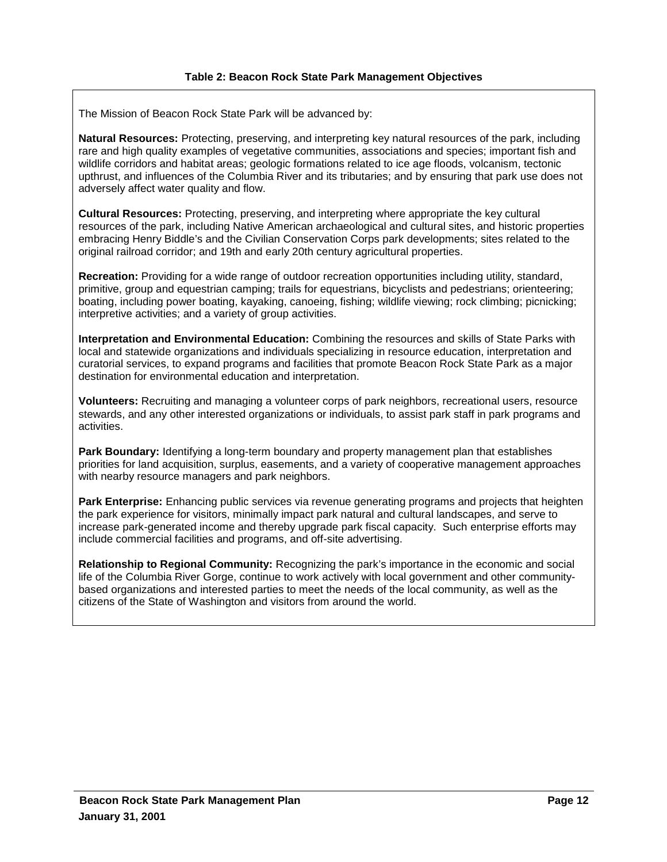The Mission of Beacon Rock State Park will be advanced by:

**Natural Resources:** Protecting, preserving, and interpreting key natural resources of the park, including rare and high quality examples of vegetative communities, associations and species; important fish and wildlife corridors and habitat areas; geologic formations related to ice age floods, volcanism, tectonic upthrust, and influences of the Columbia River and its tributaries; and by ensuring that park use does not adversely affect water quality and flow.

**Cultural Resources:** Protecting, preserving, and interpreting where appropriate the key cultural resources of the park, including Native American archaeological and cultural sites, and historic properties embracing Henry Biddle's and the Civilian Conservation Corps park developments; sites related to the original railroad corridor; and 19th and early 20th century agricultural properties.

**Recreation:** Providing for a wide range of outdoor recreation opportunities including utility, standard, primitive, group and equestrian camping; trails for equestrians, bicyclists and pedestrians; orienteering; boating, including power boating, kayaking, canoeing, fishing; wildlife viewing; rock climbing; picnicking; interpretive activities; and a variety of group activities.

**Interpretation and Environmental Education:** Combining the resources and skills of State Parks with local and statewide organizations and individuals specializing in resource education, interpretation and curatorial services, to expand programs and facilities that promote Beacon Rock State Park as a major destination for environmental education and interpretation.

**Volunteers:** Recruiting and managing a volunteer corps of park neighbors, recreational users, resource stewards, and any other interested organizations or individuals, to assist park staff in park programs and activities.

**Park Boundary:** Identifying a long-term boundary and property management plan that establishes priorities for land acquisition, surplus, easements, and a variety of cooperative management approaches with nearby resource managers and park neighbors.

**Park Enterprise:** Enhancing public services via revenue generating programs and projects that heighten the park experience for visitors, minimally impact park natural and cultural landscapes, and serve to increase park-generated income and thereby upgrade park fiscal capacity. Such enterprise efforts may include commercial facilities and programs, and off-site advertising.

**Relationship to Regional Community:** Recognizing the park's importance in the economic and social life of the Columbia River Gorge, continue to work actively with local government and other communitybased organizations and interested parties to meet the needs of the local community, as well as the citizens of the State of Washington and visitors from around the world.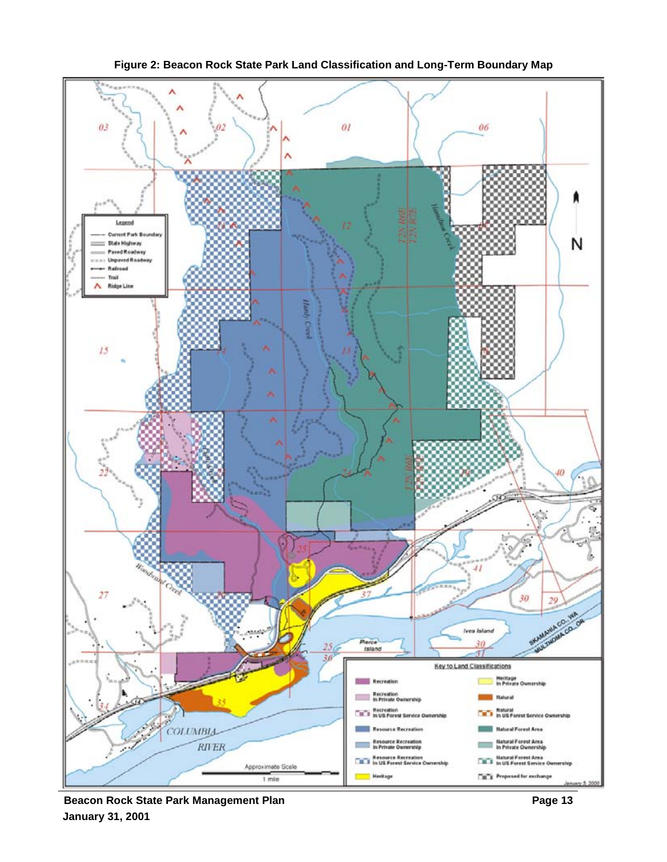

**Figure 2: Beacon Rock State Park Land Classification and Long-Term Boundary Map**

**Beacon Rock State Park Management Plan Page 13 Page 13 January 31, 2001**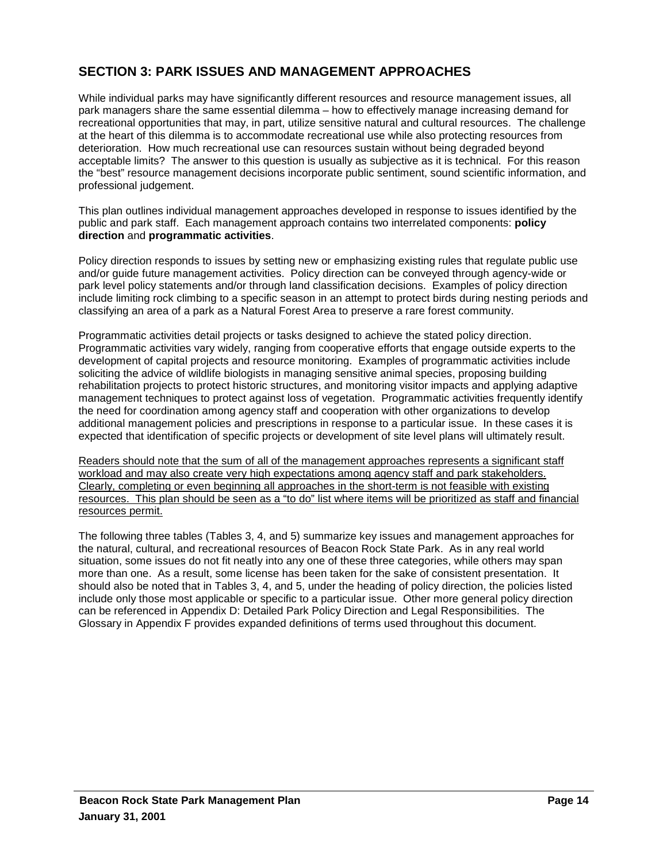# **SECTION 3: PARK ISSUES AND MANAGEMENT APPROACHES**

While individual parks may have significantly different resources and resource management issues, all park managers share the same essential dilemma – how to effectively manage increasing demand for recreational opportunities that may, in part, utilize sensitive natural and cultural resources. The challenge at the heart of this dilemma is to accommodate recreational use while also protecting resources from deterioration. How much recreational use can resources sustain without being degraded beyond acceptable limits? The answer to this question is usually as subjective as it is technical. For this reason the "best" resource management decisions incorporate public sentiment, sound scientific information, and professional judgement.

This plan outlines individual management approaches developed in response to issues identified by the public and park staff. Each management approach contains two interrelated components: **policy direction** and **programmatic activities**.

Policy direction responds to issues by setting new or emphasizing existing rules that regulate public use and/or guide future management activities. Policy direction can be conveyed through agency-wide or park level policy statements and/or through land classification decisions. Examples of policy direction include limiting rock climbing to a specific season in an attempt to protect birds during nesting periods and classifying an area of a park as a Natural Forest Area to preserve a rare forest community.

Programmatic activities detail projects or tasks designed to achieve the stated policy direction. Programmatic activities vary widely, ranging from cooperative efforts that engage outside experts to the development of capital projects and resource monitoring. Examples of programmatic activities include soliciting the advice of wildlife biologists in managing sensitive animal species, proposing building rehabilitation projects to protect historic structures, and monitoring visitor impacts and applying adaptive management techniques to protect against loss of vegetation. Programmatic activities frequently identify the need for coordination among agency staff and cooperation with other organizations to develop additional management policies and prescriptions in response to a particular issue. In these cases it is expected that identification of specific projects or development of site level plans will ultimately result.

Readers should note that the sum of all of the management approaches represents a significant staff workload and may also create very high expectations among agency staff and park stakeholders. Clearly, completing or even beginning all approaches in the short-term is not feasible with existing resources. This plan should be seen as a "to do" list where items will be prioritized as staff and financial resources permit.

The following three tables (Tables 3, 4, and 5) summarize key issues and management approaches for the natural, cultural, and recreational resources of Beacon Rock State Park. As in any real world situation, some issues do not fit neatly into any one of these three categories, while others may span more than one. As a result, some license has been taken for the sake of consistent presentation. It should also be noted that in Tables 3, 4, and 5, under the heading of policy direction, the policies listed include only those most applicable or specific to a particular issue. Other more general policy direction can be referenced in Appendix D: Detailed Park Policy Direction and Legal Responsibilities. The Glossary in Appendix F provides expanded definitions of terms used throughout this document.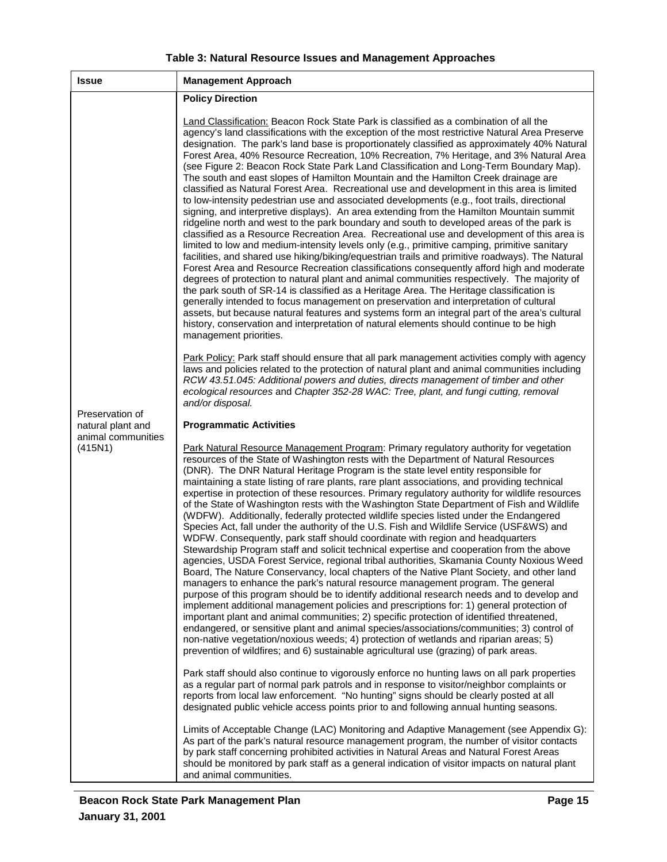| <b>Issue</b>                            | <b>Management Approach</b>                                                                                                                                                                                                                                                                                                                                                                                                                                                                                                                                                                                                                                                                                                                                                                                                                                                                                                                                                                                                                                                                                                                                                                                                                                                                                                                                                                                                                                                                                                                                                                                                                                                                                                                                                                                                                                              |
|-----------------------------------------|-------------------------------------------------------------------------------------------------------------------------------------------------------------------------------------------------------------------------------------------------------------------------------------------------------------------------------------------------------------------------------------------------------------------------------------------------------------------------------------------------------------------------------------------------------------------------------------------------------------------------------------------------------------------------------------------------------------------------------------------------------------------------------------------------------------------------------------------------------------------------------------------------------------------------------------------------------------------------------------------------------------------------------------------------------------------------------------------------------------------------------------------------------------------------------------------------------------------------------------------------------------------------------------------------------------------------------------------------------------------------------------------------------------------------------------------------------------------------------------------------------------------------------------------------------------------------------------------------------------------------------------------------------------------------------------------------------------------------------------------------------------------------------------------------------------------------------------------------------------------------|
|                                         | <b>Policy Direction</b>                                                                                                                                                                                                                                                                                                                                                                                                                                                                                                                                                                                                                                                                                                                                                                                                                                                                                                                                                                                                                                                                                                                                                                                                                                                                                                                                                                                                                                                                                                                                                                                                                                                                                                                                                                                                                                                 |
| Preservation of                         | <b>Land Classification:</b> Beacon Rock State Park is classified as a combination of all the<br>agency's land classifications with the exception of the most restrictive Natural Area Preserve<br>designation. The park's land base is proportionately classified as approximately 40% Natural<br>Forest Area, 40% Resource Recreation, 10% Recreation, 7% Heritage, and 3% Natural Area<br>(see Figure 2: Beacon Rock State Park Land Classification and Long-Term Boundary Map).<br>The south and east slopes of Hamilton Mountain and the Hamilton Creek drainage are<br>classified as Natural Forest Area. Recreational use and development in this area is limited<br>to low-intensity pedestrian use and associated developments (e.g., foot trails, directional<br>signing, and interpretive displays). An area extending from the Hamilton Mountain summit<br>ridgeline north and west to the park boundary and south to developed areas of the park is<br>classified as a Resource Recreation Area. Recreational use and development of this area is<br>limited to low and medium-intensity levels only (e.g., primitive camping, primitive sanitary<br>facilities, and shared use hiking/biking/equestrian trails and primitive roadways). The Natural<br>Forest Area and Resource Recreation classifications consequently afford high and moderate<br>degrees of protection to natural plant and animal communities respectively. The majority of<br>the park south of SR-14 is classified as a Heritage Area. The Heritage classification is<br>generally intended to focus management on preservation and interpretation of cultural<br>assets, but because natural features and systems form an integral part of the area's cultural<br>history, conservation and interpretation of natural elements should continue to be high<br>management priorities. |
|                                         | Park Policy: Park staff should ensure that all park management activities comply with agency<br>laws and policies related to the protection of natural plant and animal communities including<br>RCW 43.51.045: Additional powers and duties, directs management of timber and other<br>ecological resources and Chapter 352-28 WAC: Tree, plant, and fungi cutting, removal<br>and/or disposal.                                                                                                                                                                                                                                                                                                                                                                                                                                                                                                                                                                                                                                                                                                                                                                                                                                                                                                                                                                                                                                                                                                                                                                                                                                                                                                                                                                                                                                                                        |
| natural plant and<br>animal communities | <b>Programmatic Activities</b>                                                                                                                                                                                                                                                                                                                                                                                                                                                                                                                                                                                                                                                                                                                                                                                                                                                                                                                                                                                                                                                                                                                                                                                                                                                                                                                                                                                                                                                                                                                                                                                                                                                                                                                                                                                                                                          |
| (415N1)                                 | Park Natural Resource Management Program: Primary regulatory authority for vegetation<br>resources of the State of Washington rests with the Department of Natural Resources<br>(DNR). The DNR Natural Heritage Program is the state level entity responsible for<br>maintaining a state listing of rare plants, rare plant associations, and providing technical<br>expertise in protection of these resources. Primary regulatory authority for wildlife resources<br>of the State of Washington rests with the Washington State Department of Fish and Wildlife<br>(WDFW). Additionally, federally protected wildlife species listed under the Endangered<br>Species Act, fall under the authority of the U.S. Fish and Wildlife Service (USF&WS) and<br>WDFW. Consequently, park staff should coordinate with region and headquarters<br>Stewardship Program staff and solicit technical expertise and cooperation from the above<br>agencies, USDA Forest Service, regional tribal authorities, Skamania County Noxious Weed<br>Board, The Nature Conservancy, local chapters of the Native Plant Society, and other land<br>managers to enhance the park's natural resource management program. The general<br>purpose of this program should be to identify additional research needs and to develop and<br>implement additional management policies and prescriptions for: 1) general protection of<br>important plant and animal communities; 2) specific protection of identified threatened,<br>endangered, or sensitive plant and animal species/associations/communities; 3) control of<br>non-native vegetation/noxious weeds; 4) protection of wetlands and riparian areas; 5)<br>prevention of wildfires; and 6) sustainable agricultural use (grazing) of park areas.                                                                                  |
|                                         | Park staff should also continue to vigorously enforce no hunting laws on all park properties<br>as a regular part of normal park patrols and in response to visitor/neighbor complaints or<br>reports from local law enforcement. "No hunting" signs should be clearly posted at all<br>designated public vehicle access points prior to and following annual hunting seasons.                                                                                                                                                                                                                                                                                                                                                                                                                                                                                                                                                                                                                                                                                                                                                                                                                                                                                                                                                                                                                                                                                                                                                                                                                                                                                                                                                                                                                                                                                          |
|                                         | Limits of Acceptable Change (LAC) Monitoring and Adaptive Management (see Appendix G):<br>As part of the park's natural resource management program, the number of visitor contacts<br>by park staff concerning prohibited activities in Natural Areas and Natural Forest Areas<br>should be monitored by park staff as a general indication of visitor impacts on natural plant<br>and animal communities.                                                                                                                                                                                                                                                                                                                                                                                                                                                                                                                                                                                                                                                                                                                                                                                                                                                                                                                                                                                                                                                                                                                                                                                                                                                                                                                                                                                                                                                             |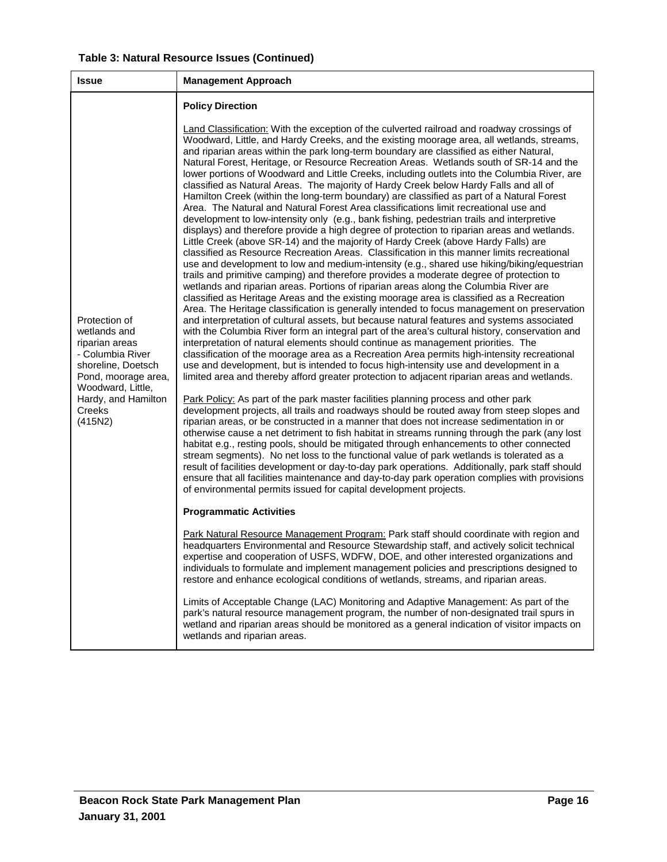| <b>Issue</b>                                                                                                                                                                      | <b>Management Approach</b>                                                                                                                                                                                                                                                                                                                                                                                                                                                                                                                                                                                                                                                                                                                                                                                                                                                                                                                                                                                                                                                                                                                                                                                                                                                                                                                                                                                                                                                                                                                                                                                                                                                                                                                                                                                                                                                                                                                                                                                                                                                                                                                                                                                                                                                                                                                                                                                                                                                                                                                                                                                                                                                                                                                                                                                                                                                                                                                                                                                                                                                                                                                                                                                                                                                                                                                                                                                                                                                                                                                                                                                                                                                                                                                                                                                                                                                        |
|-----------------------------------------------------------------------------------------------------------------------------------------------------------------------------------|-----------------------------------------------------------------------------------------------------------------------------------------------------------------------------------------------------------------------------------------------------------------------------------------------------------------------------------------------------------------------------------------------------------------------------------------------------------------------------------------------------------------------------------------------------------------------------------------------------------------------------------------------------------------------------------------------------------------------------------------------------------------------------------------------------------------------------------------------------------------------------------------------------------------------------------------------------------------------------------------------------------------------------------------------------------------------------------------------------------------------------------------------------------------------------------------------------------------------------------------------------------------------------------------------------------------------------------------------------------------------------------------------------------------------------------------------------------------------------------------------------------------------------------------------------------------------------------------------------------------------------------------------------------------------------------------------------------------------------------------------------------------------------------------------------------------------------------------------------------------------------------------------------------------------------------------------------------------------------------------------------------------------------------------------------------------------------------------------------------------------------------------------------------------------------------------------------------------------------------------------------------------------------------------------------------------------------------------------------------------------------------------------------------------------------------------------------------------------------------------------------------------------------------------------------------------------------------------------------------------------------------------------------------------------------------------------------------------------------------------------------------------------------------------------------------------------------------------------------------------------------------------------------------------------------------------------------------------------------------------------------------------------------------------------------------------------------------------------------------------------------------------------------------------------------------------------------------------------------------------------------------------------------------------------------------------------------------------------------------------------------------------------------------------------------------------------------------------------------------------------------------------------------------------------------------------------------------------------------------------------------------------------------------------------------------------------------------------------------------------------------------------------------------------------------------------------------------------------------------------------------------|
|                                                                                                                                                                                   | <b>Policy Direction</b>                                                                                                                                                                                                                                                                                                                                                                                                                                                                                                                                                                                                                                                                                                                                                                                                                                                                                                                                                                                                                                                                                                                                                                                                                                                                                                                                                                                                                                                                                                                                                                                                                                                                                                                                                                                                                                                                                                                                                                                                                                                                                                                                                                                                                                                                                                                                                                                                                                                                                                                                                                                                                                                                                                                                                                                                                                                                                                                                                                                                                                                                                                                                                                                                                                                                                                                                                                                                                                                                                                                                                                                                                                                                                                                                                                                                                                                           |
| Protection of<br>wetlands and<br>riparian areas<br>- Columbia River<br>shoreline, Doetsch<br>Pond, moorage area,<br>Woodward, Little,<br>Hardy, and Hamilton<br>Creeks<br>(415N2) | <b>Land Classification:</b> With the exception of the culverted railroad and roadway crossings of<br>Woodward, Little, and Hardy Creeks, and the existing moorage area, all wetlands, streams,<br>and riparian areas within the park long-term boundary are classified as either Natural,<br>Natural Forest, Heritage, or Resource Recreation Areas. Wetlands south of SR-14 and the<br>lower portions of Woodward and Little Creeks, including outlets into the Columbia River, are<br>classified as Natural Areas. The majority of Hardy Creek below Hardy Falls and all of<br>Hamilton Creek (within the long-term boundary) are classified as part of a Natural Forest<br>Area. The Natural and Natural Forest Area classifications limit recreational use and<br>development to low-intensity only (e.g., bank fishing, pedestrian trails and interpretive<br>displays) and therefore provide a high degree of protection to riparian areas and wetlands.<br>Little Creek (above SR-14) and the majority of Hardy Creek (above Hardy Falls) are<br>classified as Resource Recreation Areas. Classification in this manner limits recreational<br>use and development to low and medium-intensity (e.g., shared use hiking/biking/equestrian<br>trails and primitive camping) and therefore provides a moderate degree of protection to<br>wetlands and riparian areas. Portions of riparian areas along the Columbia River are<br>classified as Heritage Areas and the existing moorage area is classified as a Recreation<br>Area. The Heritage classification is generally intended to focus management on preservation<br>and interpretation of cultural assets, but because natural features and systems associated<br>with the Columbia River form an integral part of the area's cultural history, conservation and<br>interpretation of natural elements should continue as management priorities. The<br>classification of the moorage area as a Recreation Area permits high-intensity recreational<br>use and development, but is intended to focus high-intensity use and development in a<br>limited area and thereby afford greater protection to adjacent riparian areas and wetlands.<br>Park Policy: As part of the park master facilities planning process and other park<br>development projects, all trails and roadways should be routed away from steep slopes and<br>riparian areas, or be constructed in a manner that does not increase sedimentation in or<br>otherwise cause a net detriment to fish habitat in streams running through the park (any lost<br>habitat e.g., resting pools, should be mitigated through enhancements to other connected<br>stream segments). No net loss to the functional value of park wetlands is tolerated as a<br>result of facilities development or day-to-day park operations. Additionally, park staff should<br>ensure that all facilities maintenance and day-to-day park operation complies with provisions<br>of environmental permits issued for capital development projects.<br><b>Programmatic Activities</b><br>Park Natural Resource Management Program: Park staff should coordinate with region and<br>headquarters Environmental and Resource Stewardship staff, and actively solicit technical<br>expertise and cooperation of USFS, WDFW, DOE, and other interested organizations and<br>individuals to formulate and implement management policies and prescriptions designed to<br>restore and enhance ecological conditions of wetlands, streams, and riparian areas.<br>Limits of Acceptable Change (LAC) Monitoring and Adaptive Management: As part of the<br>park's natural resource management program, the number of non-designated trail spurs in<br>wetland and riparian areas should be monitored as a general indication of visitor impacts on<br>wetlands and riparian areas. |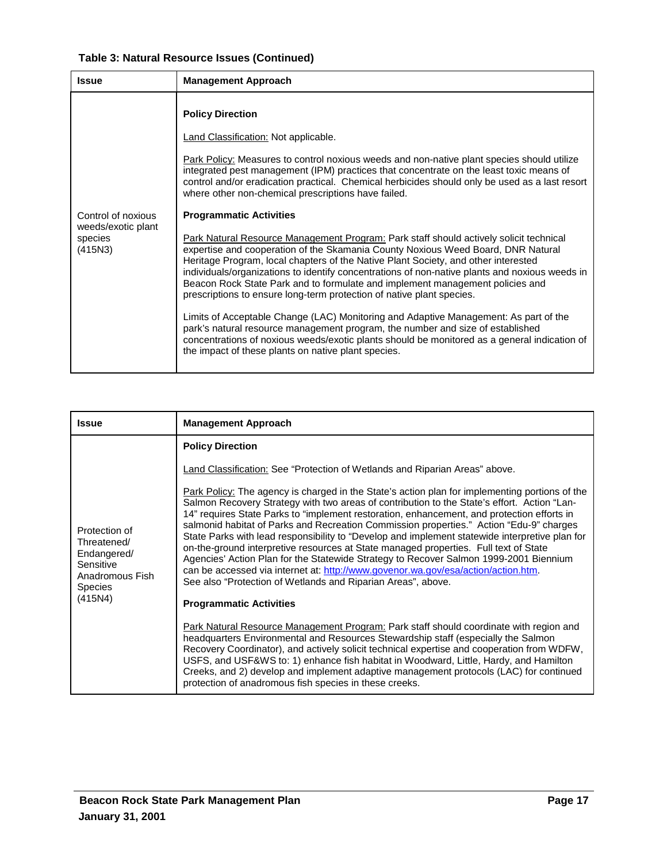# **Table 3: Natural Resource Issues (Continued)**

| <b>Issue</b>                                                   | <b>Management Approach</b>                                                                                                                                                                                                                                                                                                                                                                                                                                                                                                                                                                                                                                                                                                                                                                                                                                                                                                                                                                                                                                                                                                                                                                                                                                                                                                  |
|----------------------------------------------------------------|-----------------------------------------------------------------------------------------------------------------------------------------------------------------------------------------------------------------------------------------------------------------------------------------------------------------------------------------------------------------------------------------------------------------------------------------------------------------------------------------------------------------------------------------------------------------------------------------------------------------------------------------------------------------------------------------------------------------------------------------------------------------------------------------------------------------------------------------------------------------------------------------------------------------------------------------------------------------------------------------------------------------------------------------------------------------------------------------------------------------------------------------------------------------------------------------------------------------------------------------------------------------------------------------------------------------------------|
| Control of noxious<br>weeds/exotic plant<br>species<br>(415N3) | <b>Policy Direction</b><br><b>Land Classification: Not applicable.</b><br>Park Policy: Measures to control noxious weeds and non-native plant species should utilize<br>integrated pest management (IPM) practices that concentrate on the least toxic means of<br>control and/or eradication practical. Chemical herbicides should only be used as a last resort<br>where other non-chemical prescriptions have failed.<br><b>Programmatic Activities</b><br>Park Natural Resource Management Program: Park staff should actively solicit technical<br>expertise and cooperation of the Skamania County Noxious Weed Board, DNR Natural<br>Heritage Program, local chapters of the Native Plant Society, and other interested<br>individuals/organizations to identify concentrations of non-native plants and noxious weeds in<br>Beacon Rock State Park and to formulate and implement management policies and<br>prescriptions to ensure long-term protection of native plant species.<br>Limits of Acceptable Change (LAC) Monitoring and Adaptive Management: As part of the<br>park's natural resource management program, the number and size of established<br>concentrations of noxious weeds/exotic plants should be monitored as a general indication of<br>the impact of these plants on native plant species. |

| <b>Issue</b>                                                                                             | <b>Management Approach</b>                                                                                                                                                                                                                                                                                                                                                                                                                                                                                                                                                                                                                                                                                                                                                                                                     |
|----------------------------------------------------------------------------------------------------------|--------------------------------------------------------------------------------------------------------------------------------------------------------------------------------------------------------------------------------------------------------------------------------------------------------------------------------------------------------------------------------------------------------------------------------------------------------------------------------------------------------------------------------------------------------------------------------------------------------------------------------------------------------------------------------------------------------------------------------------------------------------------------------------------------------------------------------|
| Protection of<br>Threatened/<br>Endangered/<br>Sensitive<br>Anadromous Fish<br><b>Species</b><br>(415N4) | <b>Policy Direction</b>                                                                                                                                                                                                                                                                                                                                                                                                                                                                                                                                                                                                                                                                                                                                                                                                        |
|                                                                                                          | Land Classification: See "Protection of Wetlands and Riparian Areas" above.                                                                                                                                                                                                                                                                                                                                                                                                                                                                                                                                                                                                                                                                                                                                                    |
|                                                                                                          | Park Policy: The agency is charged in the State's action plan for implementing portions of the<br>Salmon Recovery Strategy with two areas of contribution to the State's effort. Action "Lan-<br>14" requires State Parks to "implement restoration, enhancement, and protection efforts in<br>salmonid habitat of Parks and Recreation Commission properties." Action "Edu-9" charges<br>State Parks with lead responsibility to "Develop and implement statewide interpretive plan for<br>on-the-ground interpretive resources at State managed properties. Full text of State<br>Agencies' Action Plan for the Statewide Strategy to Recover Salmon 1999-2001 Biennium<br>can be accessed via internet at: http://www.govenor.wa.gov/esa/action/action.htm.<br>See also "Protection of Wetlands and Riparian Areas", above. |
|                                                                                                          | <b>Programmatic Activities</b>                                                                                                                                                                                                                                                                                                                                                                                                                                                                                                                                                                                                                                                                                                                                                                                                 |
|                                                                                                          | Park Natural Resource Management Program: Park staff should coordinate with region and<br>headquarters Environmental and Resources Stewardship staff (especially the Salmon<br>Recovery Coordinator), and actively solicit technical expertise and cooperation from WDFW,<br>USFS, and USF&WS to: 1) enhance fish habitat in Woodward, Little, Hardy, and Hamilton<br>Creeks, and 2) develop and implement adaptive management protocols (LAC) for continued<br>protection of anadromous fish species in these creeks.                                                                                                                                                                                                                                                                                                         |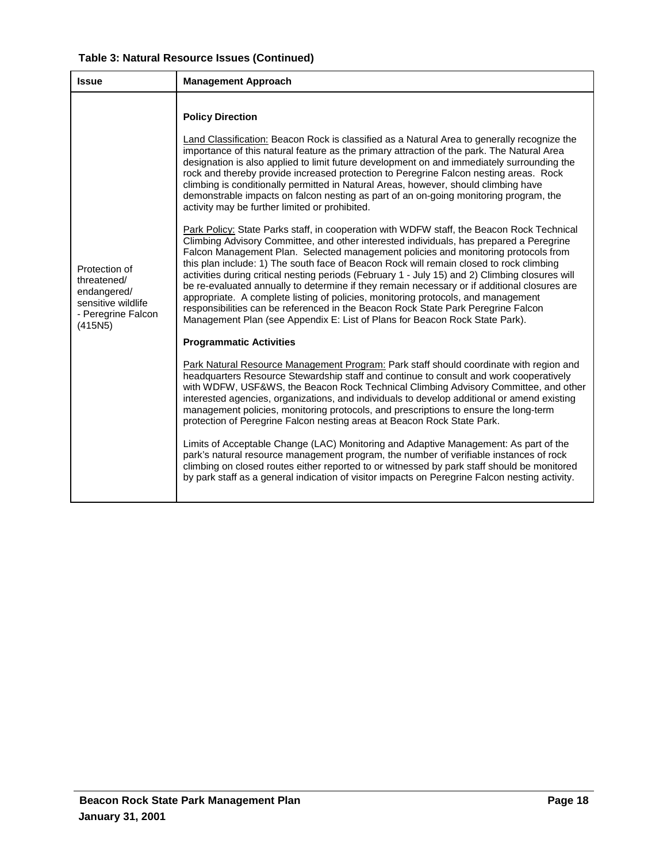| Table 3: Natural Resource Issues (Continued) |  |  |  |
|----------------------------------------------|--|--|--|
|----------------------------------------------|--|--|--|

| <b>Issue</b>                                                                                       | <b>Management Approach</b>                                                                                                                                                                                                                                                                                                                                                                                                                                                                                                                                                                                                                                                                                                                                                                                                        |
|----------------------------------------------------------------------------------------------------|-----------------------------------------------------------------------------------------------------------------------------------------------------------------------------------------------------------------------------------------------------------------------------------------------------------------------------------------------------------------------------------------------------------------------------------------------------------------------------------------------------------------------------------------------------------------------------------------------------------------------------------------------------------------------------------------------------------------------------------------------------------------------------------------------------------------------------------|
|                                                                                                    | <b>Policy Direction</b>                                                                                                                                                                                                                                                                                                                                                                                                                                                                                                                                                                                                                                                                                                                                                                                                           |
| Protection of<br>threatened/<br>endangered/<br>sensitive wildlife<br>- Peregrine Falcon<br>(415N5) | Land Classification: Beacon Rock is classified as a Natural Area to generally recognize the<br>importance of this natural feature as the primary attraction of the park. The Natural Area<br>designation is also applied to limit future development on and immediately surrounding the<br>rock and thereby provide increased protection to Peregrine Falcon nesting areas. Rock<br>climbing is conditionally permitted in Natural Areas, however, should climbing have<br>demonstrable impacts on falcon nesting as part of an on-going monitoring program, the<br>activity may be further limited or prohibited.                                                                                                                                                                                                                |
|                                                                                                    | Park Policy: State Parks staff, in cooperation with WDFW staff, the Beacon Rock Technical<br>Climbing Advisory Committee, and other interested individuals, has prepared a Peregrine<br>Falcon Management Plan. Selected management policies and monitoring protocols from<br>this plan include: 1) The south face of Beacon Rock will remain closed to rock climbing<br>activities during critical nesting periods (February 1 - July 15) and 2) Climbing closures will<br>be re-evaluated annually to determine if they remain necessary or if additional closures are<br>appropriate. A complete listing of policies, monitoring protocols, and management<br>responsibilities can be referenced in the Beacon Rock State Park Peregrine Falcon<br>Management Plan (see Appendix E: List of Plans for Beacon Rock State Park). |
|                                                                                                    | <b>Programmatic Activities</b>                                                                                                                                                                                                                                                                                                                                                                                                                                                                                                                                                                                                                                                                                                                                                                                                    |
|                                                                                                    | Park Natural Resource Management Program: Park staff should coordinate with region and<br>headquarters Resource Stewardship staff and continue to consult and work cooperatively<br>with WDFW, USF&WS, the Beacon Rock Technical Climbing Advisory Committee, and other<br>interested agencies, organizations, and individuals to develop additional or amend existing<br>management policies, monitoring protocols, and prescriptions to ensure the long-term<br>protection of Peregrine Falcon nesting areas at Beacon Rock State Park.                                                                                                                                                                                                                                                                                         |
|                                                                                                    | Limits of Acceptable Change (LAC) Monitoring and Adaptive Management: As part of the<br>park's natural resource management program, the number of verifiable instances of rock<br>climbing on closed routes either reported to or witnessed by park staff should be monitored<br>by park staff as a general indication of visitor impacts on Peregrine Falcon nesting activity.                                                                                                                                                                                                                                                                                                                                                                                                                                                   |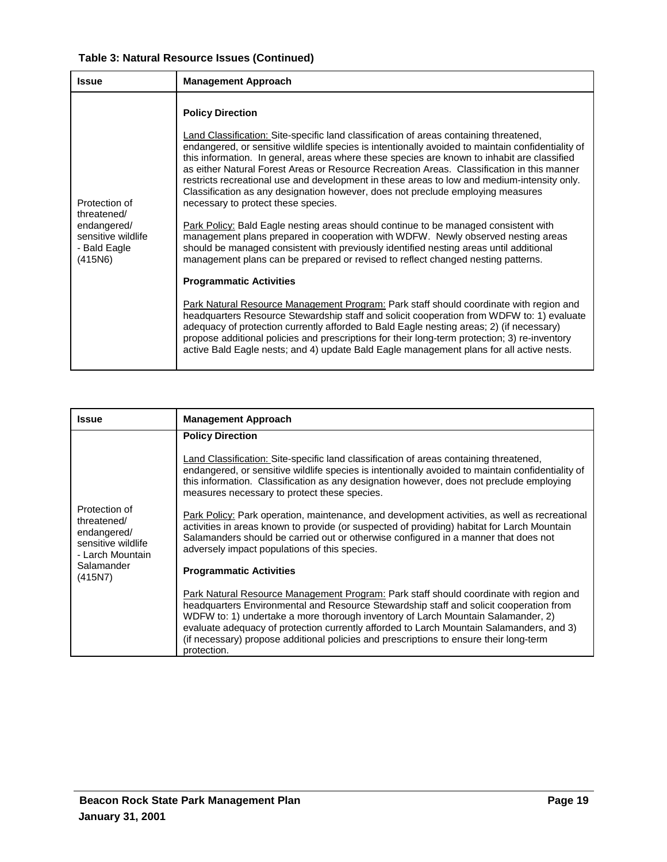| Table 3: Natural Resource Issues (Continued) |  |  |
|----------------------------------------------|--|--|
|----------------------------------------------|--|--|

| <b>Issue</b>                                                                                 | <b>Management Approach</b>                                                                                                                                                                                                                                                                                                                                                                                                                                                                                                                                                                                                                                                                                                                                                                                                                                                                                                                                                                                                                                                                                                                                                                                                                                                                                                                                                                                                                                                                                                     |
|----------------------------------------------------------------------------------------------|--------------------------------------------------------------------------------------------------------------------------------------------------------------------------------------------------------------------------------------------------------------------------------------------------------------------------------------------------------------------------------------------------------------------------------------------------------------------------------------------------------------------------------------------------------------------------------------------------------------------------------------------------------------------------------------------------------------------------------------------------------------------------------------------------------------------------------------------------------------------------------------------------------------------------------------------------------------------------------------------------------------------------------------------------------------------------------------------------------------------------------------------------------------------------------------------------------------------------------------------------------------------------------------------------------------------------------------------------------------------------------------------------------------------------------------------------------------------------------------------------------------------------------|
| Protection of<br>threatened/<br>endangered/<br>sensitive wildlife<br>- Bald Eagle<br>(415N6) | <b>Policy Direction</b><br><b>Land Classification: Site-specific land classification of areas containing threatened,</b><br>endangered, or sensitive wildlife species is intentionally avoided to maintain confidentiality of<br>this information. In general, areas where these species are known to inhabit are classified<br>as either Natural Forest Areas or Resource Recreation Areas. Classification in this manner<br>restricts recreational use and development in these areas to low and medium-intensity only.<br>Classification as any designation however, does not preclude employing measures<br>necessary to protect these species.<br>Park Policy: Bald Eagle nesting areas should continue to be managed consistent with<br>management plans prepared in cooperation with WDFW. Newly observed nesting areas<br>should be managed consistent with previously identified nesting areas until additional<br>management plans can be prepared or revised to reflect changed nesting patterns.<br><b>Programmatic Activities</b><br>Park Natural Resource Management Program: Park staff should coordinate with region and<br>headquarters Resource Stewardship staff and solicit cooperation from WDFW to: 1) evaluate<br>adequacy of protection currently afforded to Bald Eagle nesting areas; 2) (if necessary)<br>propose additional policies and prescriptions for their long-term protection; 3) re-inventory<br>active Bald Eagle nests; and 4) update Bald Eagle management plans for all active nests. |

| <b>Issue</b>                                                                                                  | <b>Management Approach</b>                                                                                                                                                                                                                                                                                                                                                                                                                                                                                                                                                                                                                                                                                                                                                                                                                                                                                                                                                                                                                                                                                                                                                                                                |
|---------------------------------------------------------------------------------------------------------------|---------------------------------------------------------------------------------------------------------------------------------------------------------------------------------------------------------------------------------------------------------------------------------------------------------------------------------------------------------------------------------------------------------------------------------------------------------------------------------------------------------------------------------------------------------------------------------------------------------------------------------------------------------------------------------------------------------------------------------------------------------------------------------------------------------------------------------------------------------------------------------------------------------------------------------------------------------------------------------------------------------------------------------------------------------------------------------------------------------------------------------------------------------------------------------------------------------------------------|
| Protection of<br>threatened/<br>endangered/<br>sensitive wildlife<br>- Larch Mountain<br>Salamander<br>(415N) | <b>Policy Direction</b><br>Land Classification: Site-specific land classification of areas containing threatened,<br>endangered, or sensitive wildlife species is intentionally avoided to maintain confidentiality of<br>this information. Classification as any designation however, does not preclude employing<br>measures necessary to protect these species.<br>Park Policy: Park operation, maintenance, and development activities, as well as recreational<br>activities in areas known to provide (or suspected of providing) habitat for Larch Mountain<br>Salamanders should be carried out or otherwise configured in a manner that does not<br>adversely impact populations of this species.<br><b>Programmatic Activities</b><br>Park Natural Resource Management Program: Park staff should coordinate with region and<br>headquarters Environmental and Resource Stewardship staff and solicit cooperation from<br>WDFW to: 1) undertake a more thorough inventory of Larch Mountain Salamander, 2)<br>evaluate adequacy of protection currently afforded to Larch Mountain Salamanders, and 3)<br>(if necessary) propose additional policies and prescriptions to ensure their long-term<br>protection. |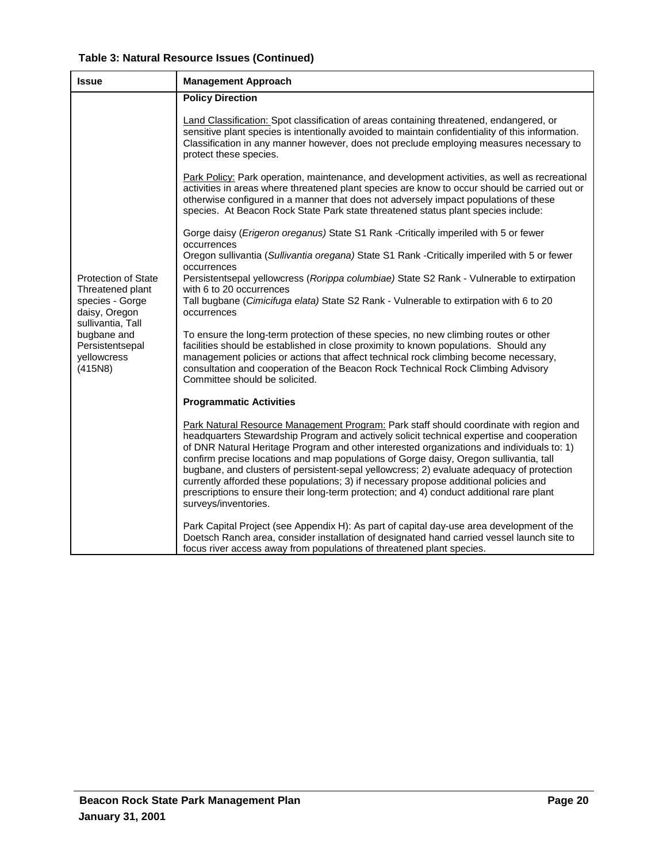|  |  | Table 3: Natural Resource Issues (Continued) |
|--|--|----------------------------------------------|
|--|--|----------------------------------------------|

| <b>Issue</b>                                                                  | <b>Management Approach</b>                                                                                                                                                                                                                                                                                                                                                                                                                                                                                                                                                                                                                                                           |
|-------------------------------------------------------------------------------|--------------------------------------------------------------------------------------------------------------------------------------------------------------------------------------------------------------------------------------------------------------------------------------------------------------------------------------------------------------------------------------------------------------------------------------------------------------------------------------------------------------------------------------------------------------------------------------------------------------------------------------------------------------------------------------|
|                                                                               | <b>Policy Direction</b>                                                                                                                                                                                                                                                                                                                                                                                                                                                                                                                                                                                                                                                              |
|                                                                               | Land Classification: Spot classification of areas containing threatened, endangered, or<br>sensitive plant species is intentionally avoided to maintain confidentiality of this information.<br>Classification in any manner however, does not preclude employing measures necessary to<br>protect these species.                                                                                                                                                                                                                                                                                                                                                                    |
|                                                                               | Park Policy: Park operation, maintenance, and development activities, as well as recreational<br>activities in areas where threatened plant species are know to occur should be carried out or<br>otherwise configured in a manner that does not adversely impact populations of these<br>species. At Beacon Rock State Park state threatened status plant species include:                                                                                                                                                                                                                                                                                                          |
|                                                                               | Gorge daisy (Erigeron oreganus) State S1 Rank - Critically imperiled with 5 or fewer                                                                                                                                                                                                                                                                                                                                                                                                                                                                                                                                                                                                 |
|                                                                               | occurrences<br>Oregon sullivantia (Sullivantia oregana) State S1 Rank -Critically imperiled with 5 or fewer<br>occurrences                                                                                                                                                                                                                                                                                                                                                                                                                                                                                                                                                           |
| <b>Protection of State</b><br>Threatened plant                                | Persistentsepal yellowcress (Rorippa columbiae) State S2 Rank - Vulnerable to extirpation<br>with 6 to 20 occurrences                                                                                                                                                                                                                                                                                                                                                                                                                                                                                                                                                                |
| species - Gorge<br>daisy, Oregon                                              | Tall bugbane (Cimicifuga elata) State S2 Rank - Vulnerable to extirpation with 6 to 20<br>occurrences                                                                                                                                                                                                                                                                                                                                                                                                                                                                                                                                                                                |
| sullivantia, Tall<br>bugbane and<br>Persistentsepal<br>yellowcress<br>(415N8) | To ensure the long-term protection of these species, no new climbing routes or other<br>facilities should be established in close proximity to known populations. Should any<br>management policies or actions that affect technical rock climbing become necessary,<br>consultation and cooperation of the Beacon Rock Technical Rock Climbing Advisory<br>Committee should be solicited.                                                                                                                                                                                                                                                                                           |
|                                                                               | <b>Programmatic Activities</b>                                                                                                                                                                                                                                                                                                                                                                                                                                                                                                                                                                                                                                                       |
|                                                                               | Park Natural Resource Management Program: Park staff should coordinate with region and<br>headquarters Stewardship Program and actively solicit technical expertise and cooperation<br>of DNR Natural Heritage Program and other interested organizations and individuals to: 1)<br>confirm precise locations and map populations of Gorge daisy, Oregon sullivantia, tall<br>bugbane, and clusters of persistent-sepal yellowcress; 2) evaluate adequacy of protection<br>currently afforded these populations; 3) if necessary propose additional policies and<br>prescriptions to ensure their long-term protection; and 4) conduct additional rare plant<br>surveys/inventories. |
|                                                                               | Park Capital Project (see Appendix H): As part of capital day-use area development of the<br>Doetsch Ranch area, consider installation of designated hand carried vessel launch site to<br>focus river access away from populations of threatened plant species.                                                                                                                                                                                                                                                                                                                                                                                                                     |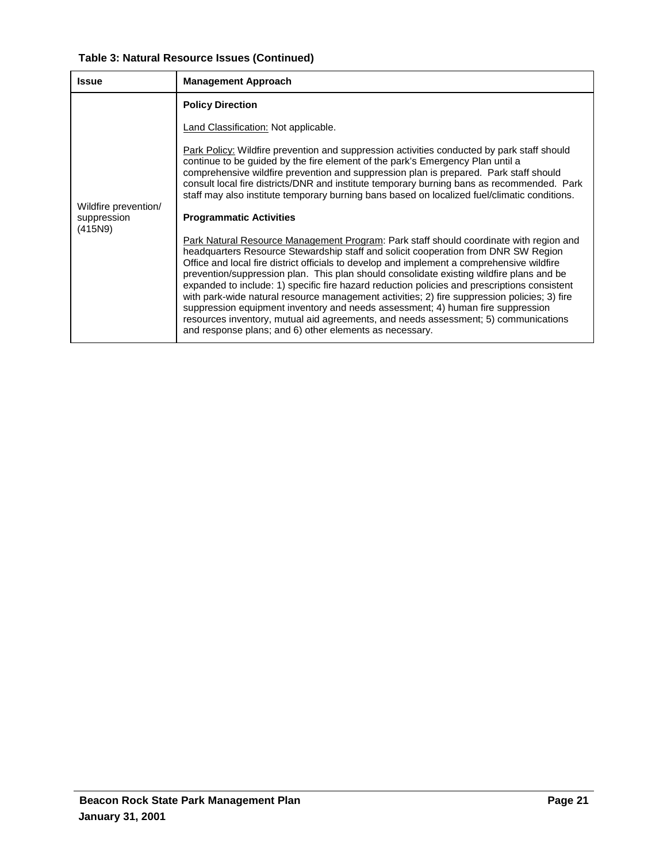# **Table 3: Natural Resource Issues (Continued)**

| <b>Issue</b>                                   | <b>Management Approach</b>                                                                                                                                                                                                                                                                                                                                                                                                                                                                                                                                                                                                                                                                                                                                                                                                                                                                                                                                                                                                                                                                                                                                                                                                                                                                                           |
|------------------------------------------------|----------------------------------------------------------------------------------------------------------------------------------------------------------------------------------------------------------------------------------------------------------------------------------------------------------------------------------------------------------------------------------------------------------------------------------------------------------------------------------------------------------------------------------------------------------------------------------------------------------------------------------------------------------------------------------------------------------------------------------------------------------------------------------------------------------------------------------------------------------------------------------------------------------------------------------------------------------------------------------------------------------------------------------------------------------------------------------------------------------------------------------------------------------------------------------------------------------------------------------------------------------------------------------------------------------------------|
|                                                | <b>Policy Direction</b>                                                                                                                                                                                                                                                                                                                                                                                                                                                                                                                                                                                                                                                                                                                                                                                                                                                                                                                                                                                                                                                                                                                                                                                                                                                                                              |
|                                                | Land Classification: Not applicable.                                                                                                                                                                                                                                                                                                                                                                                                                                                                                                                                                                                                                                                                                                                                                                                                                                                                                                                                                                                                                                                                                                                                                                                                                                                                                 |
| Wildfire prevention/<br>suppression<br>(415N9) | Park Policy: Wildfire prevention and suppression activities conducted by park staff should<br>continue to be guided by the fire element of the park's Emergency Plan until a<br>comprehensive wildfire prevention and suppression plan is prepared. Park staff should<br>consult local fire districts/DNR and institute temporary burning bans as recommended. Park<br>staff may also institute temporary burning bans based on localized fuel/climatic conditions.<br><b>Programmatic Activities</b><br>Park Natural Resource Management Program: Park staff should coordinate with region and<br>headquarters Resource Stewardship staff and solicit cooperation from DNR SW Region<br>Office and local fire district officials to develop and implement a comprehensive wildfire<br>prevention/suppression plan. This plan should consolidate existing wildfire plans and be<br>expanded to include: 1) specific fire hazard reduction policies and prescriptions consistent<br>with park-wide natural resource management activities; 2) fire suppression policies; 3) fire<br>suppression equipment inventory and needs assessment; 4) human fire suppression<br>resources inventory, mutual aid agreements, and needs assessment; 5) communications<br>and response plans; and 6) other elements as necessary. |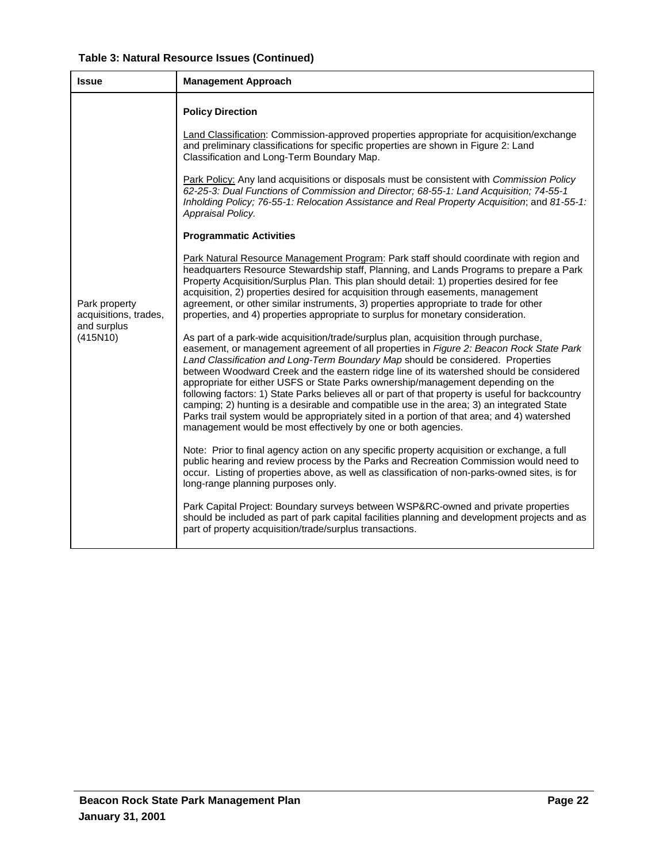|  |  | Table 3: Natural Resource Issues (Continued) |
|--|--|----------------------------------------------|
|--|--|----------------------------------------------|

| <b>Issue</b>                                                      | <b>Management Approach</b>                                                                                                                                                                                                                                                                                                                                                                                                                                                                                                                                                                                                                                                                                                                                                                                          |
|-------------------------------------------------------------------|---------------------------------------------------------------------------------------------------------------------------------------------------------------------------------------------------------------------------------------------------------------------------------------------------------------------------------------------------------------------------------------------------------------------------------------------------------------------------------------------------------------------------------------------------------------------------------------------------------------------------------------------------------------------------------------------------------------------------------------------------------------------------------------------------------------------|
|                                                                   | <b>Policy Direction</b><br>Land Classification: Commission-approved properties appropriate for acquisition/exchange                                                                                                                                                                                                                                                                                                                                                                                                                                                                                                                                                                                                                                                                                                 |
|                                                                   | and preliminary classifications for specific properties are shown in Figure 2: Land<br>Classification and Long-Term Boundary Map.                                                                                                                                                                                                                                                                                                                                                                                                                                                                                                                                                                                                                                                                                   |
|                                                                   | Park Policy: Any land acquisitions or disposals must be consistent with Commission Policy<br>62-25-3: Dual Functions of Commission and Director; 68-55-1: Land Acquisition; 74-55-1<br>Inholding Policy; 76-55-1: Relocation Assistance and Real Property Acquisition; and 81-55-1:<br>Appraisal Policy.                                                                                                                                                                                                                                                                                                                                                                                                                                                                                                            |
|                                                                   | <b>Programmatic Activities</b>                                                                                                                                                                                                                                                                                                                                                                                                                                                                                                                                                                                                                                                                                                                                                                                      |
| Park property<br>acquisitions, trades,<br>and surplus<br>(415N10) | Park Natural Resource Management Program: Park staff should coordinate with region and<br>headquarters Resource Stewardship staff, Planning, and Lands Programs to prepare a Park<br>Property Acquisition/Surplus Plan. This plan should detail: 1) properties desired for fee<br>acquisition, 2) properties desired for acquisition through easements, management<br>agreement, or other similar instruments, 3) properties appropriate to trade for other<br>properties, and 4) properties appropriate to surplus for monetary consideration.                                                                                                                                                                                                                                                                     |
|                                                                   | As part of a park-wide acquisition/trade/surplus plan, acquisition through purchase,<br>easement, or management agreement of all properties in Figure 2: Beacon Rock State Park<br>Land Classification and Long-Term Boundary Map should be considered. Properties<br>between Woodward Creek and the eastern ridge line of its watershed should be considered<br>appropriate for either USFS or State Parks ownership/management depending on the<br>following factors: 1) State Parks believes all or part of that property is useful for backcountry<br>camping; 2) hunting is a desirable and compatible use in the area; 3) an integrated State<br>Parks trail system would be appropriately sited in a portion of that area; and 4) watershed<br>management would be most effectively by one or both agencies. |
|                                                                   | Note: Prior to final agency action on any specific property acquisition or exchange, a full<br>public hearing and review process by the Parks and Recreation Commission would need to<br>occur. Listing of properties above, as well as classification of non-parks-owned sites, is for<br>long-range planning purposes only.                                                                                                                                                                                                                                                                                                                                                                                                                                                                                       |
|                                                                   | Park Capital Project: Boundary surveys between WSP&RC-owned and private properties<br>should be included as part of park capital facilities planning and development projects and as<br>part of property acquisition/trade/surplus transactions.                                                                                                                                                                                                                                                                                                                                                                                                                                                                                                                                                                    |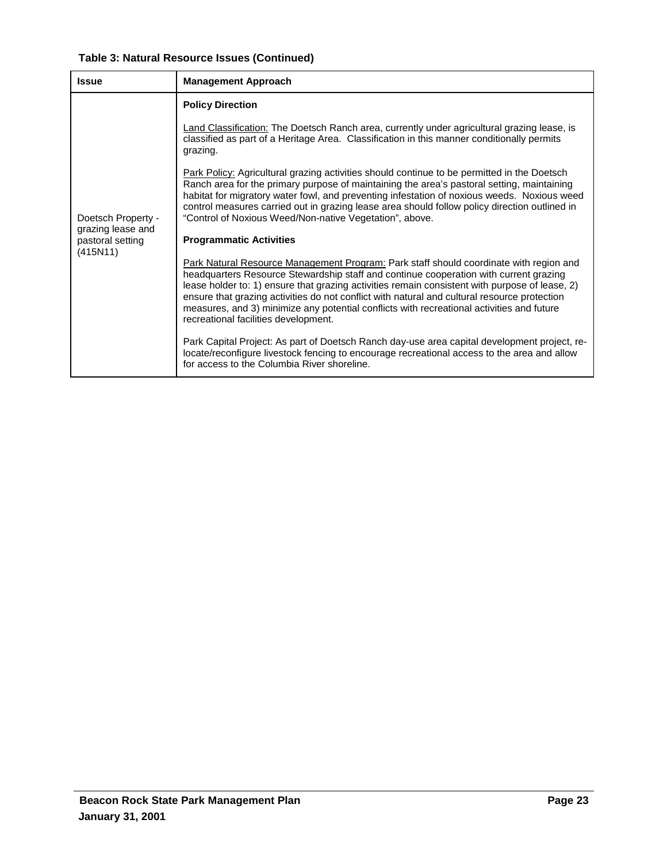| Table 3: Natural Resource Issues (Continued) |  |  |
|----------------------------------------------|--|--|
|----------------------------------------------|--|--|

| <b>Issue</b>                                      | <b>Management Approach</b>                                                                                                                                                                                                                                                                                                                                                                                                                                                                                             |
|---------------------------------------------------|------------------------------------------------------------------------------------------------------------------------------------------------------------------------------------------------------------------------------------------------------------------------------------------------------------------------------------------------------------------------------------------------------------------------------------------------------------------------------------------------------------------------|
| Doetsch Property -                                | <b>Policy Direction</b>                                                                                                                                                                                                                                                                                                                                                                                                                                                                                                |
|                                                   | Land Classification: The Doetsch Ranch area, currently under agricultural grazing lease, is<br>classified as part of a Heritage Area. Classification in this manner conditionally permits<br>grazing.                                                                                                                                                                                                                                                                                                                  |
|                                                   | Park Policy: Agricultural grazing activities should continue to be permitted in the Doetsch<br>Ranch area for the primary purpose of maintaining the area's pastoral setting, maintaining<br>habitat for migratory water fowl, and preventing infestation of noxious weeds. Noxious weed<br>control measures carried out in grazing lease area should follow policy direction outlined in<br>"Control of Noxious Weed/Non-native Vegetation", above.                                                                   |
| grazing lease and<br>pastoral setting<br>(415N11) | <b>Programmatic Activities</b>                                                                                                                                                                                                                                                                                                                                                                                                                                                                                         |
|                                                   | Park Natural Resource Management Program: Park staff should coordinate with region and<br>headquarters Resource Stewardship staff and continue cooperation with current grazing<br>lease holder to: 1) ensure that grazing activities remain consistent with purpose of lease, 2)<br>ensure that grazing activities do not conflict with natural and cultural resource protection<br>measures, and 3) minimize any potential conflicts with recreational activities and future<br>recreational facilities development. |
|                                                   | Park Capital Project: As part of Doetsch Ranch day-use area capital development project, re-<br>locate/reconfigure livestock fencing to encourage recreational access to the area and allow<br>for access to the Columbia River shoreline.                                                                                                                                                                                                                                                                             |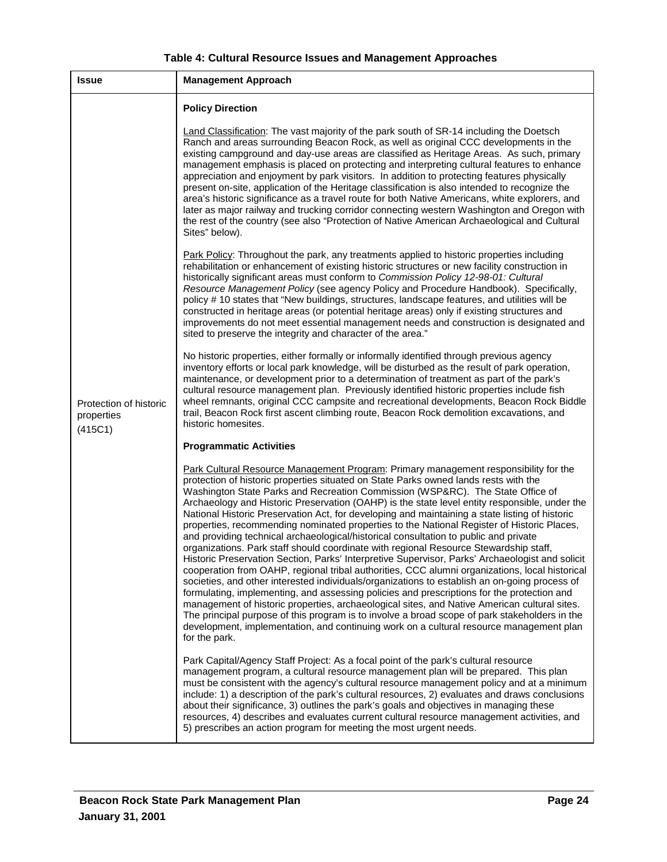| Table 4: Cultural Resource Issues and Management Approaches |  |  |  |
|-------------------------------------------------------------|--|--|--|
|-------------------------------------------------------------|--|--|--|

| <b>Issue</b>                                    | <b>Management Approach</b>                                                                                                                                                                                                                                                                                                                                                                                                                                                                                                                                                                                                                                                                                                                                                                                                                                                                                                                                                                                                                                                                                                                                                                                                                                                                                                                                                                                                                                        |
|-------------------------------------------------|-------------------------------------------------------------------------------------------------------------------------------------------------------------------------------------------------------------------------------------------------------------------------------------------------------------------------------------------------------------------------------------------------------------------------------------------------------------------------------------------------------------------------------------------------------------------------------------------------------------------------------------------------------------------------------------------------------------------------------------------------------------------------------------------------------------------------------------------------------------------------------------------------------------------------------------------------------------------------------------------------------------------------------------------------------------------------------------------------------------------------------------------------------------------------------------------------------------------------------------------------------------------------------------------------------------------------------------------------------------------------------------------------------------------------------------------------------------------|
|                                                 | <b>Policy Direction</b>                                                                                                                                                                                                                                                                                                                                                                                                                                                                                                                                                                                                                                                                                                                                                                                                                                                                                                                                                                                                                                                                                                                                                                                                                                                                                                                                                                                                                                           |
|                                                 | Land Classification: The vast majority of the park south of SR-14 including the Doetsch<br>Ranch and areas surrounding Beacon Rock, as well as original CCC developments in the<br>existing campground and day-use areas are classified as Heritage Areas. As such, primary<br>management emphasis is placed on protecting and interpreting cultural features to enhance<br>appreciation and enjoyment by park visitors. In addition to protecting features physically<br>present on-site, application of the Heritage classification is also intended to recognize the<br>area's historic significance as a travel route for both Native Americans, white explorers, and<br>later as major railway and trucking corridor connecting western Washington and Oregon with<br>the rest of the country (see also "Protection of Native American Archaeological and Cultural<br>Sites" below).                                                                                                                                                                                                                                                                                                                                                                                                                                                                                                                                                                         |
|                                                 | Park Policy: Throughout the park, any treatments applied to historic properties including<br>rehabilitation or enhancement of existing historic structures or new facility construction in<br>historically significant areas must conform to Commission Policy 12-98-01: Cultural<br>Resource Management Policy (see agency Policy and Procedure Handbook). Specifically,<br>policy # 10 states that "New buildings, structures, landscape features, and utilities will be<br>constructed in heritage areas (or potential heritage areas) only if existing structures and<br>improvements do not meet essential management needs and construction is designated and<br>sited to preserve the integrity and character of the area."                                                                                                                                                                                                                                                                                                                                                                                                                                                                                                                                                                                                                                                                                                                                |
| Protection of historic<br>properties<br>(415C1) | No historic properties, either formally or informally identified through previous agency<br>inventory efforts or local park knowledge, will be disturbed as the result of park operation,<br>maintenance, or development prior to a determination of treatment as part of the park's<br>cultural resource management plan. Previously identified historic properties include fish<br>wheel remnants, original CCC campsite and recreational developments, Beacon Rock Biddle<br>trail, Beacon Rock first ascent climbing route, Beacon Rock demolition excavations, and<br>historic homesites.                                                                                                                                                                                                                                                                                                                                                                                                                                                                                                                                                                                                                                                                                                                                                                                                                                                                    |
|                                                 | <b>Programmatic Activities</b>                                                                                                                                                                                                                                                                                                                                                                                                                                                                                                                                                                                                                                                                                                                                                                                                                                                                                                                                                                                                                                                                                                                                                                                                                                                                                                                                                                                                                                    |
|                                                 | Park Cultural Resource Management Program: Primary management responsibility for the<br>protection of historic properties situated on State Parks owned lands rests with the<br>Washington State Parks and Recreation Commission (WSP&RC). The State Office of<br>Archaeology and Historic Preservation (OAHP) is the state level entity responsible, under the<br>National Historic Preservation Act, for developing and maintaining a state listing of historic<br>properties, recommending nominated properties to the National Register of Historic Places,<br>and providing technical archaeological/historical consultation to public and private<br>organizations. Park staff should coordinate with regional Resource Stewardship staff,<br>Historic Preservation Section, Parks' Interpretive Supervisor, Parks' Archaeologist and solicit<br>cooperation from OAHP, regional tribal authorities, CCC alumni organizations, local historical<br>societies, and other interested individuals/organizations to establish an on-going process of<br>formulating, implementing, and assessing policies and prescriptions for the protection and<br>management of historic properties, archaeological sites, and Native American cultural sites.<br>The principal purpose of this program is to involve a broad scope of park stakeholders in the<br>development, implementation, and continuing work on a cultural resource management plan<br>for the park. |
|                                                 | Park Capital/Agency Staff Project: As a focal point of the park's cultural resource<br>management program, a cultural resource management plan will be prepared. This plan<br>must be consistent with the agency's cultural resource management policy and at a minimum<br>include: 1) a description of the park's cultural resources, 2) evaluates and draws conclusions<br>about their significance, 3) outlines the park's goals and objectives in managing these<br>resources, 4) describes and evaluates current cultural resource management activities, and<br>5) prescribes an action program for meeting the most urgent needs.                                                                                                                                                                                                                                                                                                                                                                                                                                                                                                                                                                                                                                                                                                                                                                                                                          |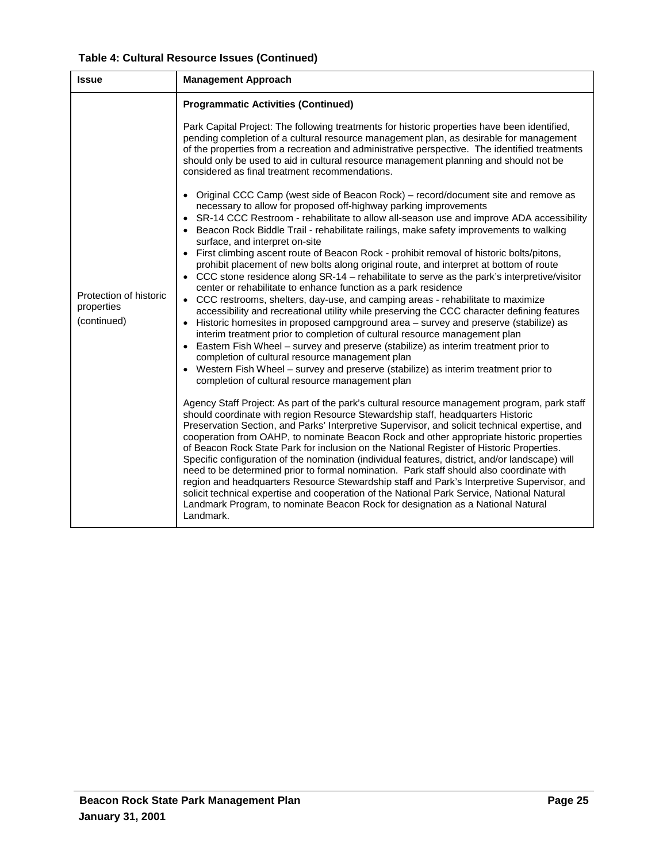| Table 4: Cultural Resource Issues (Continued) |  |  |  |
|-----------------------------------------------|--|--|--|
|-----------------------------------------------|--|--|--|

| <b>Issue</b>                                        | <b>Management Approach</b>                                                                                                                                                                                                                                                                                                                                                                                                                                                                                                                                                                                                                                                                                                                                                                                                                                                                                                                                                                                                                                                                                                                                                                                                                                                                                                                                                                                                                                                                                                                                                                                                                                                                                                                                                                                                                                                                                                                                                                                                                                                                                                                                                                                                                                                                                                                                       |
|-----------------------------------------------------|------------------------------------------------------------------------------------------------------------------------------------------------------------------------------------------------------------------------------------------------------------------------------------------------------------------------------------------------------------------------------------------------------------------------------------------------------------------------------------------------------------------------------------------------------------------------------------------------------------------------------------------------------------------------------------------------------------------------------------------------------------------------------------------------------------------------------------------------------------------------------------------------------------------------------------------------------------------------------------------------------------------------------------------------------------------------------------------------------------------------------------------------------------------------------------------------------------------------------------------------------------------------------------------------------------------------------------------------------------------------------------------------------------------------------------------------------------------------------------------------------------------------------------------------------------------------------------------------------------------------------------------------------------------------------------------------------------------------------------------------------------------------------------------------------------------------------------------------------------------------------------------------------------------------------------------------------------------------------------------------------------------------------------------------------------------------------------------------------------------------------------------------------------------------------------------------------------------------------------------------------------------------------------------------------------------------------------------------------------------|
|                                                     | <b>Programmatic Activities (Continued)</b>                                                                                                                                                                                                                                                                                                                                                                                                                                                                                                                                                                                                                                                                                                                                                                                                                                                                                                                                                                                                                                                                                                                                                                                                                                                                                                                                                                                                                                                                                                                                                                                                                                                                                                                                                                                                                                                                                                                                                                                                                                                                                                                                                                                                                                                                                                                       |
|                                                     | Park Capital Project: The following treatments for historic properties have been identified,<br>pending completion of a cultural resource management plan, as desirable for management<br>of the properties from a recreation and administrative perspective. The identified treatments<br>should only be used to aid in cultural resource management planning and should not be<br>considered as final treatment recommendations.                                                                                                                                                                                                                                                                                                                                                                                                                                                                                                                                                                                                                                                                                                                                                                                                                                                                                                                                                                                                                                                                                                                                                                                                                                                                                                                                                                                                                                                                                                                                                                                                                                                                                                                                                                                                                                                                                                                               |
| Protection of historic<br>properties<br>(continued) | • Original CCC Camp (west side of Beacon Rock) – record/document site and remove as<br>necessary to allow for proposed off-highway parking improvements<br>• SR-14 CCC Restroom - rehabilitate to allow all-season use and improve ADA accessibility<br>• Beacon Rock Biddle Trail - rehabilitate railings, make safety improvements to walking<br>surface, and interpret on-site<br>• First climbing ascent route of Beacon Rock - prohibit removal of historic bolts/pitons,<br>prohibit placement of new bolts along original route, and interpret at bottom of route<br>• CCC stone residence along SR-14 - rehabilitate to serve as the park's interpretive/visitor<br>center or rehabilitate to enhance function as a park residence<br>• CCC restrooms, shelters, day-use, and camping areas - rehabilitate to maximize<br>accessibility and recreational utility while preserving the CCC character defining features<br>• Historic homesites in proposed campground area - survey and preserve (stabilize) as<br>interim treatment prior to completion of cultural resource management plan<br>Eastern Fish Wheel - survey and preserve (stabilize) as interim treatment prior to<br>completion of cultural resource management plan<br>• Western Fish Wheel - survey and preserve (stabilize) as interim treatment prior to<br>completion of cultural resource management plan<br>Agency Staff Project: As part of the park's cultural resource management program, park staff<br>should coordinate with region Resource Stewardship staff, headquarters Historic<br>Preservation Section, and Parks' Interpretive Supervisor, and solicit technical expertise, and<br>cooperation from OAHP, to nominate Beacon Rock and other appropriate historic properties<br>of Beacon Rock State Park for inclusion on the National Register of Historic Properties.<br>Specific configuration of the nomination (individual features, district, and/or landscape) will<br>need to be determined prior to formal nomination. Park staff should also coordinate with<br>region and headquarters Resource Stewardship staff and Park's Interpretive Supervisor, and<br>solicit technical expertise and cooperation of the National Park Service, National Natural<br>Landmark Program, to nominate Beacon Rock for designation as a National Natural<br>Landmark. |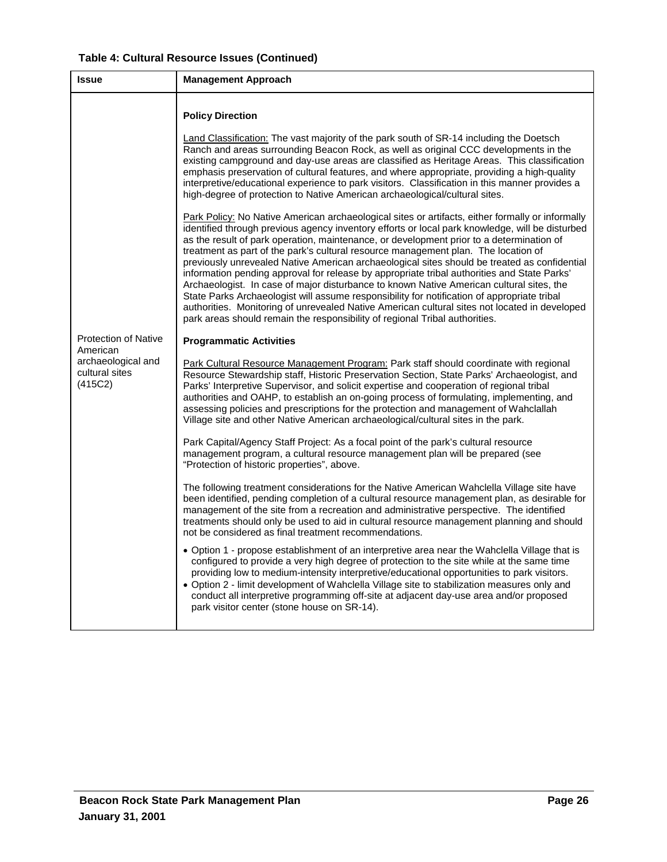|  | Table 4: Cultural Resource Issues (Continued) |  |  |
|--|-----------------------------------------------|--|--|
|--|-----------------------------------------------|--|--|

| <b>Issue</b>                                    | <b>Management Approach</b>                                                                                                                                                                                                                                                                                                                                                                                                                                                                                                                                                                                                                                                                                                                                                                                                                                                                                                                                                                                                                                                                                                                                                                                                                                                    |
|-------------------------------------------------|-------------------------------------------------------------------------------------------------------------------------------------------------------------------------------------------------------------------------------------------------------------------------------------------------------------------------------------------------------------------------------------------------------------------------------------------------------------------------------------------------------------------------------------------------------------------------------------------------------------------------------------------------------------------------------------------------------------------------------------------------------------------------------------------------------------------------------------------------------------------------------------------------------------------------------------------------------------------------------------------------------------------------------------------------------------------------------------------------------------------------------------------------------------------------------------------------------------------------------------------------------------------------------|
|                                                 | <b>Policy Direction</b><br>Land Classification: The vast majority of the park south of SR-14 including the Doetsch<br>Ranch and areas surrounding Beacon Rock, as well as original CCC developments in the<br>existing campground and day-use areas are classified as Heritage Areas. This classification<br>emphasis preservation of cultural features, and where appropriate, providing a high-quality<br>interpretive/educational experience to park visitors. Classification in this manner provides a<br>high-degree of protection to Native American archaeological/cultural sites.<br>Park Policy: No Native American archaeological sites or artifacts, either formally or informally<br>identified through previous agency inventory efforts or local park knowledge, will be disturbed<br>as the result of park operation, maintenance, or development prior to a determination of<br>treatment as part of the park's cultural resource management plan. The location of<br>previously unrevealed Native American archaeological sites should be treated as confidential<br>information pending approval for release by appropriate tribal authorities and State Parks'<br>Archaeologist. In case of major disturbance to known Native American cultural sites, the |
|                                                 | State Parks Archaeologist will assume responsibility for notification of appropriate tribal<br>authorities. Monitoring of unrevealed Native American cultural sites not located in developed<br>park areas should remain the responsibility of regional Tribal authorities.                                                                                                                                                                                                                                                                                                                                                                                                                                                                                                                                                                                                                                                                                                                                                                                                                                                                                                                                                                                                   |
| <b>Protection of Native</b><br>American         | <b>Programmatic Activities</b>                                                                                                                                                                                                                                                                                                                                                                                                                                                                                                                                                                                                                                                                                                                                                                                                                                                                                                                                                                                                                                                                                                                                                                                                                                                |
| archaeological and<br>cultural sites<br>(415C2) | Park Cultural Resource Management Program: Park staff should coordinate with regional<br>Resource Stewardship staff, Historic Preservation Section, State Parks' Archaeologist, and<br>Parks' Interpretive Supervisor, and solicit expertise and cooperation of regional tribal<br>authorities and OAHP, to establish an on-going process of formulating, implementing, and<br>assessing policies and prescriptions for the protection and management of Wahclallah<br>Village site and other Native American archaeological/cultural sites in the park.                                                                                                                                                                                                                                                                                                                                                                                                                                                                                                                                                                                                                                                                                                                      |
|                                                 | Park Capital/Agency Staff Project: As a focal point of the park's cultural resource<br>management program, a cultural resource management plan will be prepared (see<br>"Protection of historic properties", above.                                                                                                                                                                                                                                                                                                                                                                                                                                                                                                                                                                                                                                                                                                                                                                                                                                                                                                                                                                                                                                                           |
|                                                 | The following treatment considerations for the Native American Wahclella Village site have<br>been identified, pending completion of a cultural resource management plan, as desirable for<br>management of the site from a recreation and administrative perspective. The identified<br>treatments should only be used to aid in cultural resource management planning and should<br>not be considered as final treatment recommendations.                                                                                                                                                                                                                                                                                                                                                                                                                                                                                                                                                                                                                                                                                                                                                                                                                                   |
|                                                 | • Option 1 - propose establishment of an interpretive area near the Wahclella Village that is<br>configured to provide a very high degree of protection to the site while at the same time<br>providing low to medium-intensity interpretive/educational opportunities to park visitors.<br>• Option 2 - limit development of Wahclella Village site to stabilization measures only and<br>conduct all interpretive programming off-site at adjacent day-use area and/or proposed<br>park visitor center (stone house on SR-14).                                                                                                                                                                                                                                                                                                                                                                                                                                                                                                                                                                                                                                                                                                                                              |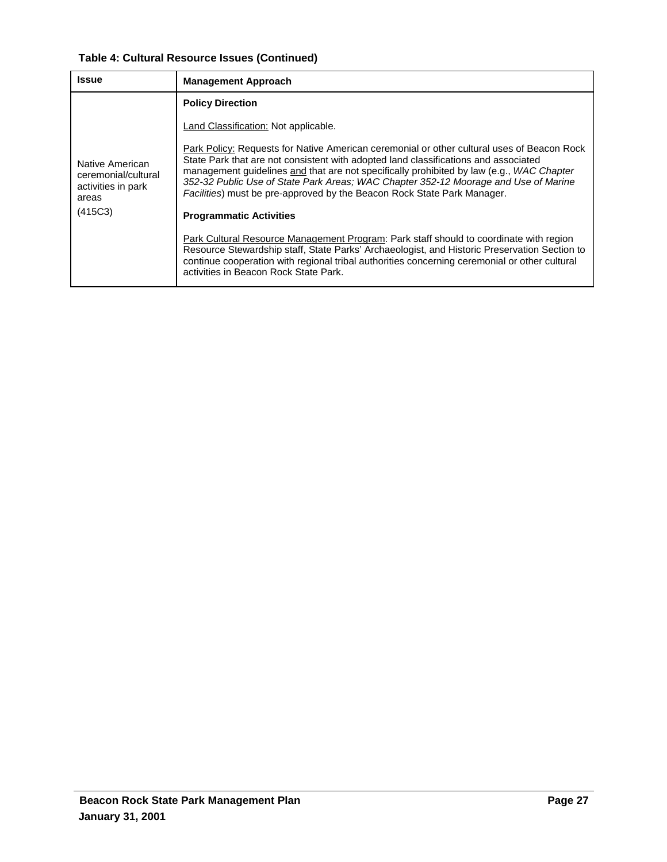# **Table 4: Cultural Resource Issues (Continued)**

| <b>Issue</b>                                                          | <b>Management Approach</b>                                                                                                                                                                                                                                                                                                                                                                                                                      |
|-----------------------------------------------------------------------|-------------------------------------------------------------------------------------------------------------------------------------------------------------------------------------------------------------------------------------------------------------------------------------------------------------------------------------------------------------------------------------------------------------------------------------------------|
|                                                                       | <b>Policy Direction</b>                                                                                                                                                                                                                                                                                                                                                                                                                         |
| Native American<br>ceremonial/cultural<br>activities in park<br>areas | Land Classification: Not applicable.                                                                                                                                                                                                                                                                                                                                                                                                            |
|                                                                       | Park Policy: Requests for Native American ceremonial or other cultural uses of Beacon Rock<br>State Park that are not consistent with adopted land classifications and associated<br>management guidelines and that are not specifically prohibited by law (e.g., WAC Chapter<br>352-32 Public Use of State Park Areas; WAC Chapter 352-12 Moorage and Use of Marine<br>Facilities) must be pre-approved by the Beacon Rock State Park Manager. |
| (415C3)                                                               | <b>Programmatic Activities</b>                                                                                                                                                                                                                                                                                                                                                                                                                  |
|                                                                       | Park Cultural Resource Management Program: Park staff should to coordinate with region<br>Resource Stewardship staff, State Parks' Archaeologist, and Historic Preservation Section to<br>continue cooperation with regional tribal authorities concerning ceremonial or other cultural<br>activities in Beacon Rock State Park.                                                                                                                |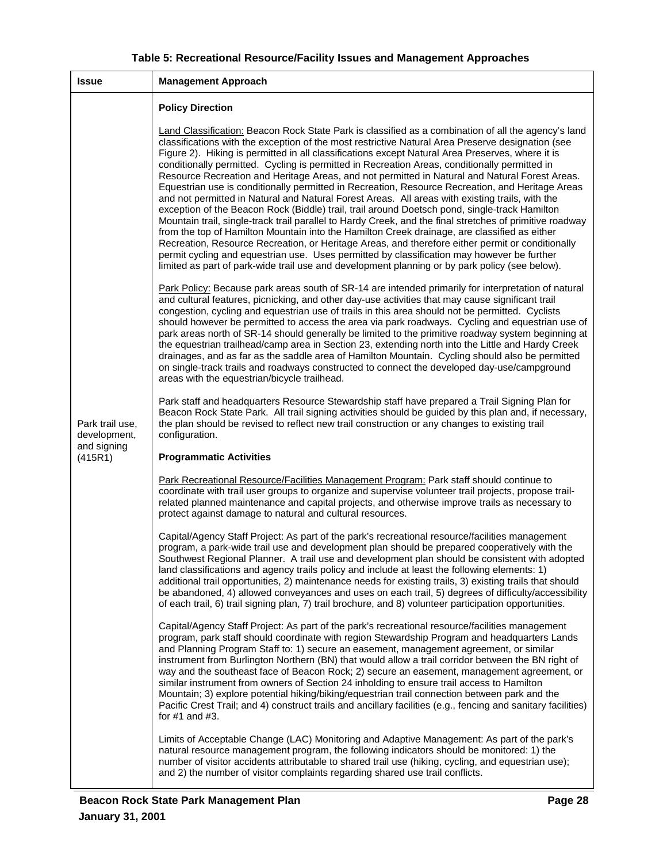| <b>Table 5: Recreational Resource/Facility Issues and Management Approaches</b> |  |  |
|---------------------------------------------------------------------------------|--|--|
|---------------------------------------------------------------------------------|--|--|

| <b>Issue</b>                    | <b>Management Approach</b>                                                                                                                                                                                                                                                                                                                                                                                                                                                                                                                                                                                                                                                                                                                                                                                                                                                                                                                                                                                                                                                                                                                                                                                                                                                                                                              |
|---------------------------------|-----------------------------------------------------------------------------------------------------------------------------------------------------------------------------------------------------------------------------------------------------------------------------------------------------------------------------------------------------------------------------------------------------------------------------------------------------------------------------------------------------------------------------------------------------------------------------------------------------------------------------------------------------------------------------------------------------------------------------------------------------------------------------------------------------------------------------------------------------------------------------------------------------------------------------------------------------------------------------------------------------------------------------------------------------------------------------------------------------------------------------------------------------------------------------------------------------------------------------------------------------------------------------------------------------------------------------------------|
|                                 | <b>Policy Direction</b>                                                                                                                                                                                                                                                                                                                                                                                                                                                                                                                                                                                                                                                                                                                                                                                                                                                                                                                                                                                                                                                                                                                                                                                                                                                                                                                 |
|                                 | Land Classification: Beacon Rock State Park is classified as a combination of all the agency's land<br>classifications with the exception of the most restrictive Natural Area Preserve designation (see<br>Figure 2). Hiking is permitted in all classifications except Natural Area Preserves, where it is<br>conditionally permitted. Cycling is permitted in Recreation Areas, conditionally permitted in<br>Resource Recreation and Heritage Areas, and not permitted in Natural and Natural Forest Areas.<br>Equestrian use is conditionally permitted in Recreation, Resource Recreation, and Heritage Areas<br>and not permitted in Natural and Natural Forest Areas. All areas with existing trails, with the<br>exception of the Beacon Rock (Biddle) trail, trail around Doetsch pond, single-track Hamilton<br>Mountain trail, single-track trail parallel to Hardy Creek, and the final stretches of primitive roadway<br>from the top of Hamilton Mountain into the Hamilton Creek drainage, are classified as either<br>Recreation, Resource Recreation, or Heritage Areas, and therefore either permit or conditionally<br>permit cycling and equestrian use. Uses permitted by classification may however be further<br>limited as part of park-wide trail use and development planning or by park policy (see below). |
|                                 | Park Policy: Because park areas south of SR-14 are intended primarily for interpretation of natural<br>and cultural features, picnicking, and other day-use activities that may cause significant trail<br>congestion, cycling and equestrian use of trails in this area should not be permitted. Cyclists<br>should however be permitted to access the area via park roadways. Cycling and equestrian use of<br>park areas north of SR-14 should generally be limited to the primitive roadway system beginning at<br>the equestrian trailhead/camp area in Section 23, extending north into the Little and Hardy Creek<br>drainages, and as far as the saddle area of Hamilton Mountain. Cycling should also be permitted<br>on single-track trails and roadways constructed to connect the developed day-use/campground<br>areas with the equestrian/bicycle trailhead.                                                                                                                                                                                                                                                                                                                                                                                                                                                              |
| Park trail use,<br>development, | Park staff and headquarters Resource Stewardship staff have prepared a Trail Signing Plan for<br>Beacon Rock State Park. All trail signing activities should be guided by this plan and, if necessary,<br>the plan should be revised to reflect new trail construction or any changes to existing trail<br>configuration.                                                                                                                                                                                                                                                                                                                                                                                                                                                                                                                                                                                                                                                                                                                                                                                                                                                                                                                                                                                                               |
| and signing<br>(415R1)          | <b>Programmatic Activities</b>                                                                                                                                                                                                                                                                                                                                                                                                                                                                                                                                                                                                                                                                                                                                                                                                                                                                                                                                                                                                                                                                                                                                                                                                                                                                                                          |
|                                 | Park Recreational Resource/Facilities Management Program: Park staff should continue to<br>coordinate with trail user groups to organize and supervise volunteer trail projects, propose trail-<br>related planned maintenance and capital projects, and otherwise improve trails as necessary to<br>protect against damage to natural and cultural resources.                                                                                                                                                                                                                                                                                                                                                                                                                                                                                                                                                                                                                                                                                                                                                                                                                                                                                                                                                                          |
|                                 | Capital/Agency Staff Project: As part of the park's recreational resource/facilities management<br>program, a park-wide trail use and development plan should be prepared cooperatively with the<br>Southwest Regional Planner. A trail use and development plan should be consistent with adopted<br>land classifications and agency trails policy and include at least the following elements: 1)<br>additional trail opportunities, 2) maintenance needs for existing trails, 3) existing trails that should<br>be abandoned, 4) allowed conveyances and uses on each trail, 5) degrees of difficulty/accessibility<br>of each trail, 6) trail signing plan, 7) trail brochure, and 8) volunteer participation opportunities.                                                                                                                                                                                                                                                                                                                                                                                                                                                                                                                                                                                                        |
|                                 | Capital/Agency Staff Project: As part of the park's recreational resource/facilities management<br>program, park staff should coordinate with region Stewardship Program and headquarters Lands<br>and Planning Program Staff to: 1) secure an easement, management agreement, or similar<br>instrument from Burlington Northern (BN) that would allow a trail corridor between the BN right of<br>way and the southeast face of Beacon Rock; 2) secure an easement, management agreement, or<br>similar instrument from owners of Section 24 inholding to ensure trail access to Hamilton<br>Mountain; 3) explore potential hiking/biking/equestrian trail connection between park and the<br>Pacific Crest Trail; and 4) construct trails and ancillary facilities (e.g., fencing and sanitary facilities)<br>for $#1$ and $#3$ .                                                                                                                                                                                                                                                                                                                                                                                                                                                                                                     |
|                                 | Limits of Acceptable Change (LAC) Monitoring and Adaptive Management: As part of the park's<br>natural resource management program, the following indicators should be monitored: 1) the<br>number of visitor accidents attributable to shared trail use (hiking, cycling, and equestrian use);<br>and 2) the number of visitor complaints regarding shared use trail conflicts.                                                                                                                                                                                                                                                                                                                                                                                                                                                                                                                                                                                                                                                                                                                                                                                                                                                                                                                                                        |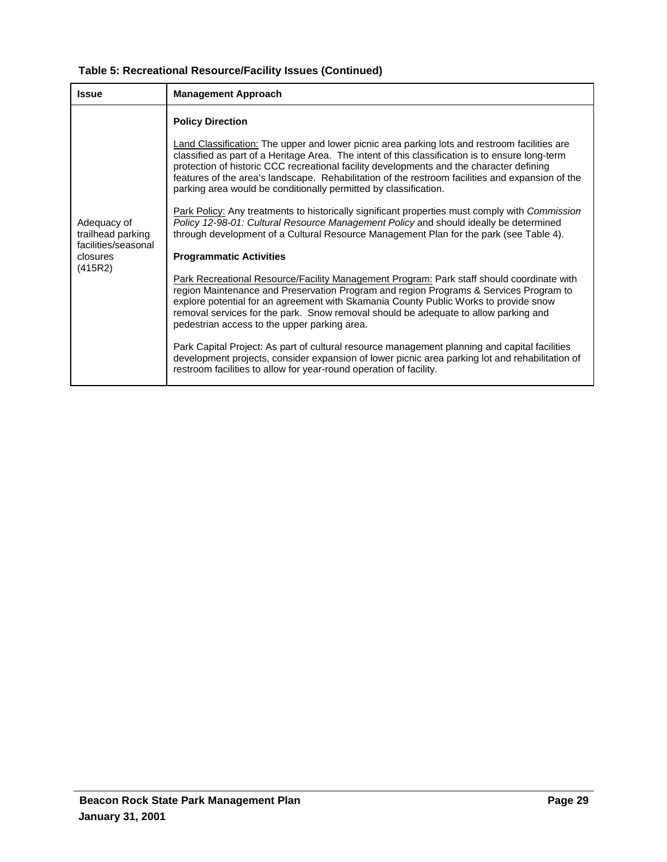# **Table 5: Recreational Resource/Facility Issues (Continued)**

| <b>Issue</b>                                                                   | <b>Management Approach</b>                                                                                                                                                                                                                                                                                                                                                                                                                                                                                                                                                                                                                                                                                                                                                                                                                                                                                                                                                                                          |
|--------------------------------------------------------------------------------|---------------------------------------------------------------------------------------------------------------------------------------------------------------------------------------------------------------------------------------------------------------------------------------------------------------------------------------------------------------------------------------------------------------------------------------------------------------------------------------------------------------------------------------------------------------------------------------------------------------------------------------------------------------------------------------------------------------------------------------------------------------------------------------------------------------------------------------------------------------------------------------------------------------------------------------------------------------------------------------------------------------------|
| Adequacy of<br>trailhead parking<br>facilities/seasonal<br>closures<br>(415R2) | <b>Policy Direction</b><br>Land Classification: The upper and lower picnic area parking lots and restroom facilities are<br>classified as part of a Heritage Area. The intent of this classification is to ensure long-term<br>protection of historic CCC recreational facility developments and the character defining<br>features of the area's landscape. Rehabilitation of the restroom facilities and expansion of the<br>parking area would be conditionally permitted by classification.<br>Park Policy: Any treatments to historically significant properties must comply with Commission<br>Policy 12-98-01: Cultural Resource Management Policy and should ideally be determined<br>through development of a Cultural Resource Management Plan for the park (see Table 4).<br><b>Programmatic Activities</b><br><b>Park Recreational Resource/Facility Management Program: Park staff should coordinate with</b><br>region Maintenance and Preservation Program and region Programs & Services Program to |
|                                                                                | explore potential for an agreement with Skamania County Public Works to provide snow<br>removal services for the park. Snow removal should be adequate to allow parking and<br>pedestrian access to the upper parking area.                                                                                                                                                                                                                                                                                                                                                                                                                                                                                                                                                                                                                                                                                                                                                                                         |
|                                                                                |                                                                                                                                                                                                                                                                                                                                                                                                                                                                                                                                                                                                                                                                                                                                                                                                                                                                                                                                                                                                                     |
|                                                                                | Park Capital Project: As part of cultural resource management planning and capital facilities<br>development projects, consider expansion of lower picnic area parking lot and rehabilitation of<br>restroom facilities to allow for year-round operation of facility.                                                                                                                                                                                                                                                                                                                                                                                                                                                                                                                                                                                                                                                                                                                                              |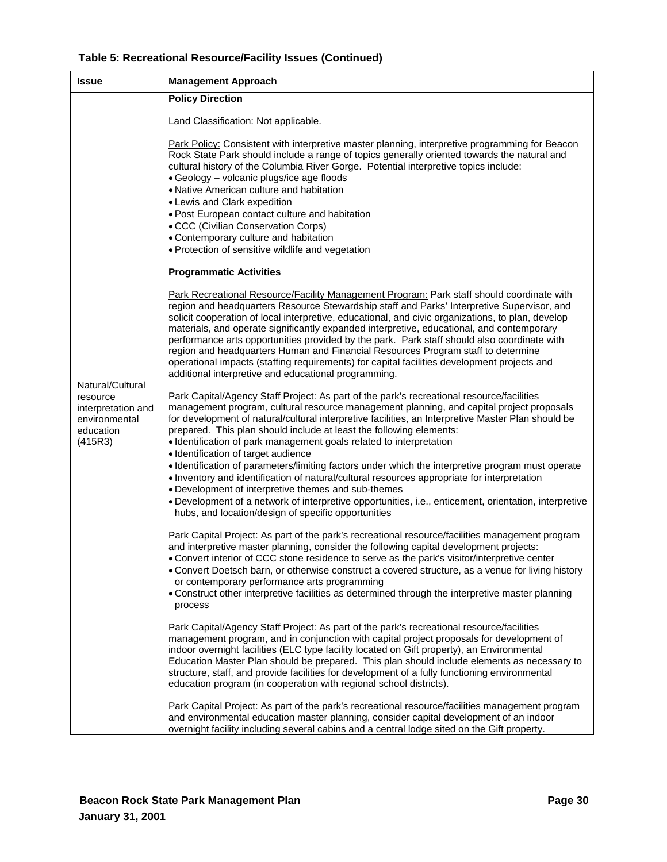|  | Table 5: Recreational Resource/Facility Issues (Continued) |  |  |
|--|------------------------------------------------------------|--|--|
|--|------------------------------------------------------------|--|--|

| <b>Issue</b>                                                                                | <b>Management Approach</b>                                                                                                                                                                                                                                                                                                                                                                                                                                                                                                                                                                                                                                                                                                          |
|---------------------------------------------------------------------------------------------|-------------------------------------------------------------------------------------------------------------------------------------------------------------------------------------------------------------------------------------------------------------------------------------------------------------------------------------------------------------------------------------------------------------------------------------------------------------------------------------------------------------------------------------------------------------------------------------------------------------------------------------------------------------------------------------------------------------------------------------|
|                                                                                             | <b>Policy Direction</b>                                                                                                                                                                                                                                                                                                                                                                                                                                                                                                                                                                                                                                                                                                             |
|                                                                                             | Land Classification: Not applicable.                                                                                                                                                                                                                                                                                                                                                                                                                                                                                                                                                                                                                                                                                                |
|                                                                                             | Park Policy: Consistent with interpretive master planning, interpretive programming for Beacon<br>Rock State Park should include a range of topics generally oriented towards the natural and<br>cultural history of the Columbia River Gorge. Potential interpretive topics include:<br>• Geology - volcanic plugs/ice age floods<br>• Native American culture and habitation<br>• Lewis and Clark expedition<br>. Post European contact culture and habitation<br>• CCC (Civilian Conservation Corps)<br>• Contemporary culture and habitation<br>• Protection of sensitive wildlife and vegetation                                                                                                                               |
|                                                                                             | <b>Programmatic Activities</b>                                                                                                                                                                                                                                                                                                                                                                                                                                                                                                                                                                                                                                                                                                      |
| Natural/Cultural<br>resource<br>interpretation and<br>environmental<br>education<br>(415R3) | Park Recreational Resource/Facility Management Program: Park staff should coordinate with<br>region and headquarters Resource Stewardship staff and Parks' Interpretive Supervisor, and<br>solicit cooperation of local interpretive, educational, and civic organizations, to plan, develop<br>materials, and operate significantly expanded interpretive, educational, and contemporary<br>performance arts opportunities provided by the park. Park staff should also coordinate with<br>region and headquarters Human and Financial Resources Program staff to determine<br>operational impacts (staffing requirements) for capital facilities development projects and<br>additional interpretive and educational programming. |
|                                                                                             | Park Capital/Agency Staff Project: As part of the park's recreational resource/facilities<br>management program, cultural resource management planning, and capital project proposals<br>for development of natural/cultural interpretive facilities, an Interpretive Master Plan should be<br>prepared. This plan should include at least the following elements:<br>• Identification of park management goals related to interpretation                                                                                                                                                                                                                                                                                           |
|                                                                                             | · Identification of target audience<br>• Identification of parameters/limiting factors under which the interpretive program must operate<br>• Inventory and identification of natural/cultural resources appropriate for interpretation<br>• Development of interpretive themes and sub-themes<br>· Development of a network of interpretive opportunities, i.e., enticement, orientation, interpretive                                                                                                                                                                                                                                                                                                                             |
|                                                                                             | hubs, and location/design of specific opportunities<br>Park Capital Project: As part of the park's recreational resource/facilities management program<br>and interpretive master planning, consider the following capital development projects:<br>Convert interior of CCC stone residence to serve as the park's visitor/interpretive center<br>• Convert Doetsch barn, or otherwise construct a covered structure, as a venue for living history<br>or contemporary performance arts programming<br>• Construct other interpretive facilities as determined through the interpretive master planning<br>process                                                                                                                  |
|                                                                                             | Park Capital/Agency Staff Project: As part of the park's recreational resource/facilities<br>management program, and in conjunction with capital project proposals for development of<br>indoor overnight facilities (ELC type facility located on Gift property), an Environmental<br>Education Master Plan should be prepared. This plan should include elements as necessary to<br>structure, staff, and provide facilities for development of a fully functioning environmental<br>education program (in cooperation with regional school districts).                                                                                                                                                                           |
|                                                                                             | Park Capital Project: As part of the park's recreational resource/facilities management program<br>and environmental education master planning, consider capital development of an indoor<br>overnight facility including several cabins and a central lodge sited on the Gift property.                                                                                                                                                                                                                                                                                                                                                                                                                                            |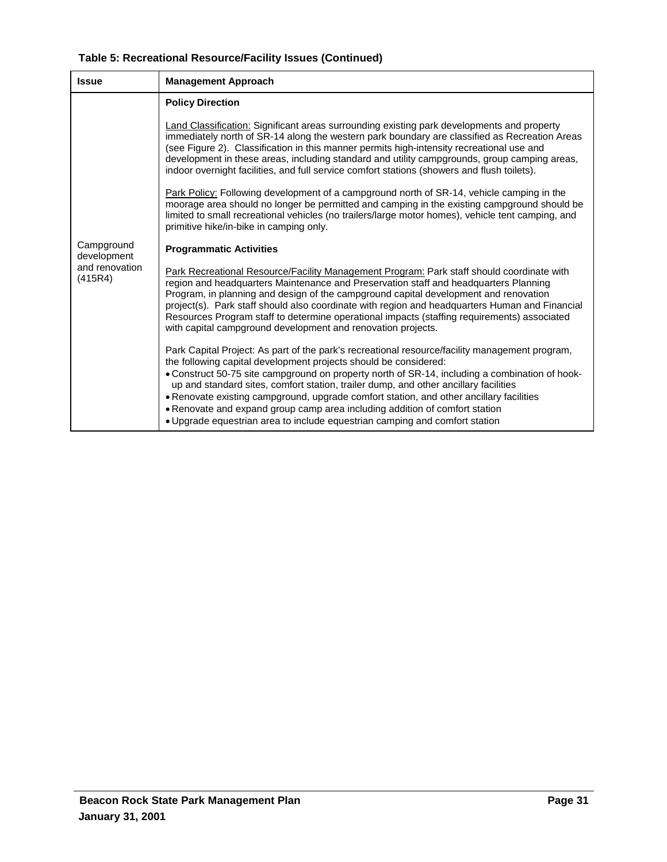| <b>Issue</b>              | <b>Management Approach</b>                                                                                                                                                                                                                                                                                                                                                                                                                                                                                                                                                                                            |  |
|---------------------------|-----------------------------------------------------------------------------------------------------------------------------------------------------------------------------------------------------------------------------------------------------------------------------------------------------------------------------------------------------------------------------------------------------------------------------------------------------------------------------------------------------------------------------------------------------------------------------------------------------------------------|--|
|                           | <b>Policy Direction</b>                                                                                                                                                                                                                                                                                                                                                                                                                                                                                                                                                                                               |  |
|                           | Land Classification: Significant areas surrounding existing park developments and property<br>immediately north of SR-14 along the western park boundary are classified as Recreation Areas<br>(see Figure 2). Classification in this manner permits high-intensity recreational use and<br>development in these areas, including standard and utility campgrounds, group camping areas,<br>indoor overnight facilities, and full service comfort stations (showers and flush toilets).                                                                                                                               |  |
|                           | <b>Park Policy:</b> Following development of a campground north of SR-14, vehicle camping in the<br>moorage area should no longer be permitted and camping in the existing campground should be<br>limited to small recreational vehicles (no trailers/large motor homes), vehicle tent camping, and<br>primitive hike/in-bike in camping only.                                                                                                                                                                                                                                                                       |  |
| Campground<br>development | <b>Programmatic Activities</b>                                                                                                                                                                                                                                                                                                                                                                                                                                                                                                                                                                                        |  |
| and renovation<br>(415R4) | Park Recreational Resource/Facility Management Program: Park staff should coordinate with<br>region and headquarters Maintenance and Preservation staff and headquarters Planning<br>Program, in planning and design of the campground capital development and renovation<br>project(s). Park staff should also coordinate with region and headquarters Human and Financial<br>Resources Program staff to determine operational impacts (staffing requirements) associated<br>with capital campground development and renovation projects.                                                                            |  |
|                           | Park Capital Project: As part of the park's recreational resource/facility management program,<br>the following capital development projects should be considered:<br>. Construct 50-75 site campground on property north of SR-14, including a combination of hook-<br>up and standard sites, comfort station, trailer dump, and other ancillary facilities<br>. Renovate existing campground, upgrade comfort station, and other ancillary facilities<br>• Renovate and expand group camp area including addition of comfort station<br>• Upgrade equestrian area to include equestrian camping and comfort station |  |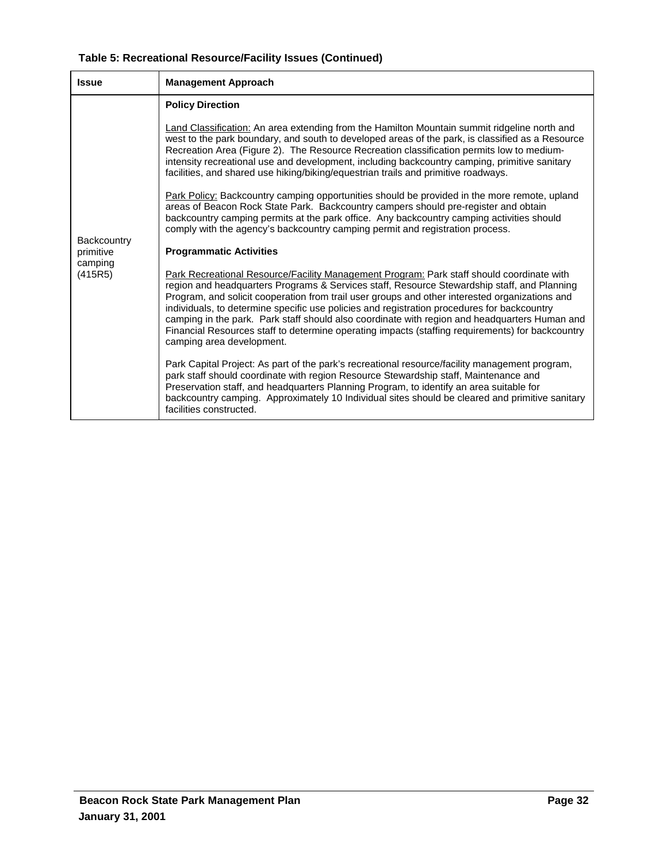| Table 5: Recreational Resource/Facility Issues (Continued) |  |
|------------------------------------------------------------|--|
|------------------------------------------------------------|--|

| <b>Issue</b>             | <b>Management Approach</b>                                                                                                                                                                                                                                                                                                                                                                                                                                                                                                                                                                                                  |  |
|--------------------------|-----------------------------------------------------------------------------------------------------------------------------------------------------------------------------------------------------------------------------------------------------------------------------------------------------------------------------------------------------------------------------------------------------------------------------------------------------------------------------------------------------------------------------------------------------------------------------------------------------------------------------|--|
|                          | <b>Policy Direction</b>                                                                                                                                                                                                                                                                                                                                                                                                                                                                                                                                                                                                     |  |
|                          | Land Classification: An area extending from the Hamilton Mountain summit ridgeline north and<br>west to the park boundary, and south to developed areas of the park, is classified as a Resource<br>Recreation Area (Figure 2). The Resource Recreation classification permits low to medium-<br>intensity recreational use and development, including backcountry camping, primitive sanitary<br>facilities, and shared use hiking/biking/equestrian trails and primitive roadways.                                                                                                                                        |  |
|                          | Park Policy: Backcountry camping opportunities should be provided in the more remote, upland<br>areas of Beacon Rock State Park. Backcountry campers should pre-register and obtain<br>backcountry camping permits at the park office. Any backcountry camping activities should<br>comply with the agency's backcountry camping permit and registration process.                                                                                                                                                                                                                                                           |  |
| Backcountry<br>primitive | <b>Programmatic Activities</b>                                                                                                                                                                                                                                                                                                                                                                                                                                                                                                                                                                                              |  |
| camping<br>(415R5)       | Park Recreational Resource/Facility Management Program: Park staff should coordinate with<br>region and headquarters Programs & Services staff, Resource Stewardship staff, and Planning<br>Program, and solicit cooperation from trail user groups and other interested organizations and<br>individuals, to determine specific use policies and registration procedures for backcountry<br>camping in the park. Park staff should also coordinate with region and headquarters Human and<br>Financial Resources staff to determine operating impacts (staffing requirements) for backcountry<br>camping area development. |  |
|                          | Park Capital Project: As part of the park's recreational resource/facility management program,<br>park staff should coordinate with region Resource Stewardship staff, Maintenance and<br>Preservation staff, and headquarters Planning Program, to identify an area suitable for<br>backcountry camping. Approximately 10 Individual sites should be cleared and primitive sanitary<br>facilities constructed.                                                                                                                                                                                                             |  |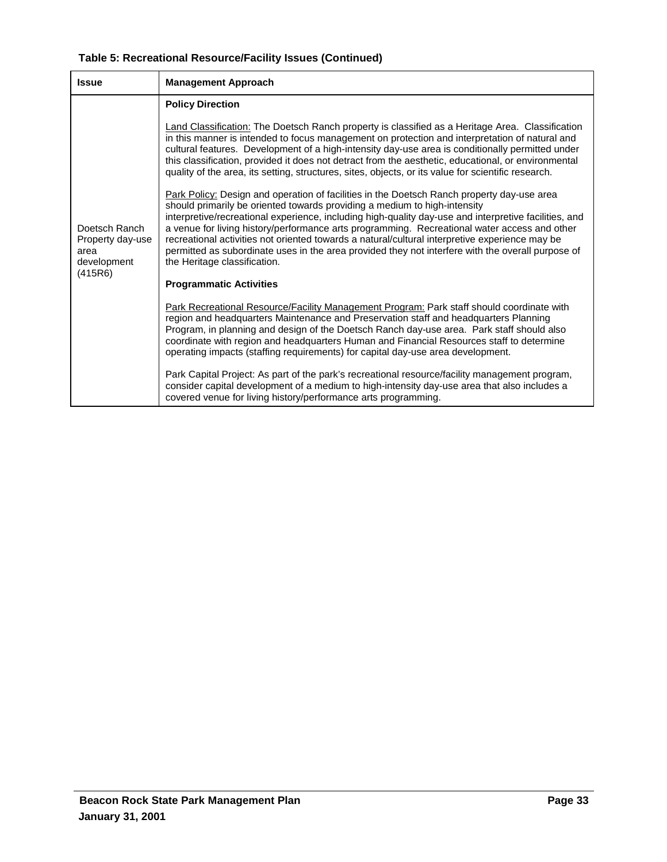| Table 5: Recreational Resource/Facility Issues (Continued) |  |  |  |
|------------------------------------------------------------|--|--|--|
|------------------------------------------------------------|--|--|--|

| <b>Issue</b>                                                        | <b>Management Approach</b>                                                                                                                                                                                                                                                                                                                                                                                                                                                                                                                                                                                              |  |
|---------------------------------------------------------------------|-------------------------------------------------------------------------------------------------------------------------------------------------------------------------------------------------------------------------------------------------------------------------------------------------------------------------------------------------------------------------------------------------------------------------------------------------------------------------------------------------------------------------------------------------------------------------------------------------------------------------|--|
|                                                                     | <b>Policy Direction</b>                                                                                                                                                                                                                                                                                                                                                                                                                                                                                                                                                                                                 |  |
| Doetsch Ranch<br>Property day-use<br>area<br>development<br>(415R6) | Land Classification: The Doetsch Ranch property is classified as a Heritage Area. Classification<br>in this manner is intended to focus management on protection and interpretation of natural and<br>cultural features. Development of a high-intensity day-use area is conditionally permitted under<br>this classification, provided it does not detract from the aesthetic, educational, or environmental<br>quality of the area, its setting, structures, sites, objects, or its value for scientific research.                                                                                                    |  |
|                                                                     | Park Policy: Design and operation of facilities in the Doetsch Ranch property day-use area<br>should primarily be oriented towards providing a medium to high-intensity<br>interpretive/recreational experience, including high-quality day-use and interpretive facilities, and<br>a venue for living history/performance arts programming. Recreational water access and other<br>recreational activities not oriented towards a natural/cultural interpretive experience may be<br>permitted as subordinate uses in the area provided they not interfere with the overall purpose of<br>the Heritage classification. |  |
|                                                                     | <b>Programmatic Activities</b>                                                                                                                                                                                                                                                                                                                                                                                                                                                                                                                                                                                          |  |
|                                                                     | Park Recreational Resource/Facility Management Program: Park staff should coordinate with<br>region and headquarters Maintenance and Preservation staff and headquarters Planning<br>Program, in planning and design of the Doetsch Ranch day-use area. Park staff should also<br>coordinate with region and headquarters Human and Financial Resources staff to determine<br>operating impacts (staffing requirements) for capital day-use area development.                                                                                                                                                           |  |
|                                                                     | Park Capital Project: As part of the park's recreational resource/facility management program,<br>consider capital development of a medium to high-intensity day-use area that also includes a<br>covered venue for living history/performance arts programming.                                                                                                                                                                                                                                                                                                                                                        |  |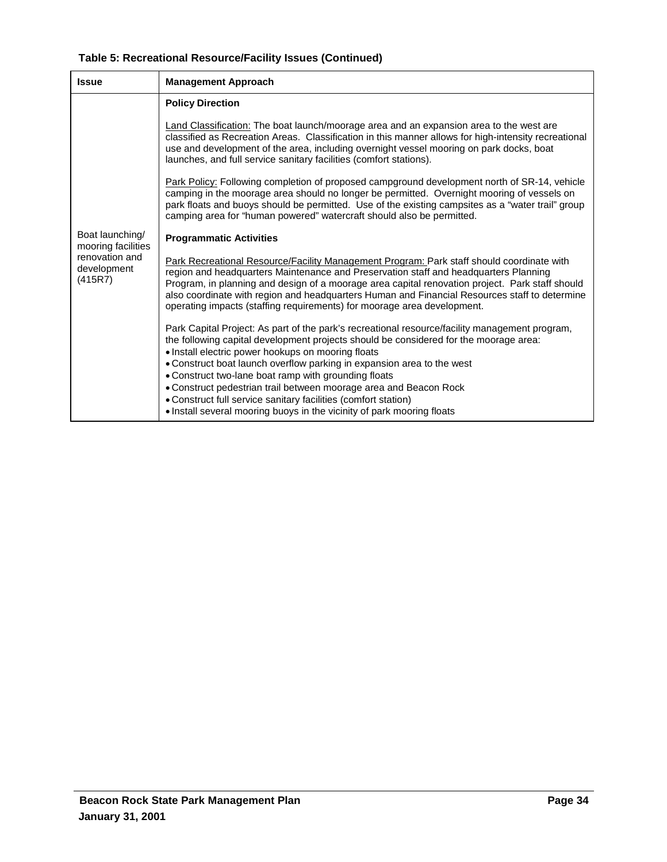| Table 5: Recreational Resource/Facility Issues (Continued) |  |
|------------------------------------------------------------|--|
|------------------------------------------------------------|--|

| <b>Issue</b>                             | <b>Management Approach</b>                                                                                                                                                                                                                                                                                                                                                                                                                                                                                                                                                                       |  |
|------------------------------------------|--------------------------------------------------------------------------------------------------------------------------------------------------------------------------------------------------------------------------------------------------------------------------------------------------------------------------------------------------------------------------------------------------------------------------------------------------------------------------------------------------------------------------------------------------------------------------------------------------|--|
|                                          | <b>Policy Direction</b>                                                                                                                                                                                                                                                                                                                                                                                                                                                                                                                                                                          |  |
|                                          | Land Classification: The boat launch/moorage area and an expansion area to the west are<br>classified as Recreation Areas. Classification in this manner allows for high-intensity recreational<br>use and development of the area, including overnight vessel mooring on park docks, boat<br>launches, and full service sanitary facilities (comfort stations).                                                                                                                                                                                                                                 |  |
|                                          | Park Policy: Following completion of proposed campground development north of SR-14, vehicle<br>camping in the moorage area should no longer be permitted. Overnight mooring of vessels on<br>park floats and buoys should be permitted. Use of the existing campsites as a "water trail" group<br>camping area for "human powered" watercraft should also be permitted.                                                                                                                                                                                                                         |  |
| Boat launching/<br>mooring facilities    | <b>Programmatic Activities</b>                                                                                                                                                                                                                                                                                                                                                                                                                                                                                                                                                                   |  |
| renovation and<br>development<br>(415R7) | Park Recreational Resource/Facility Management Program: Park staff should coordinate with<br>region and headquarters Maintenance and Preservation staff and headquarters Planning<br>Program, in planning and design of a moorage area capital renovation project. Park staff should<br>also coordinate with region and headquarters Human and Financial Resources staff to determine<br>operating impacts (staffing requirements) for moorage area development.                                                                                                                                 |  |
|                                          | Park Capital Project: As part of the park's recreational resource/facility management program,<br>the following capital development projects should be considered for the moorage area:<br>• Install electric power hookups on mooring floats<br>• Construct boat launch overflow parking in expansion area to the west<br>• Construct two-lane boat ramp with grounding floats<br>• Construct pedestrian trail between moorage area and Beacon Rock<br>• Construct full service sanitary facilities (comfort station)<br>• Install several mooring buoys in the vicinity of park mooring floats |  |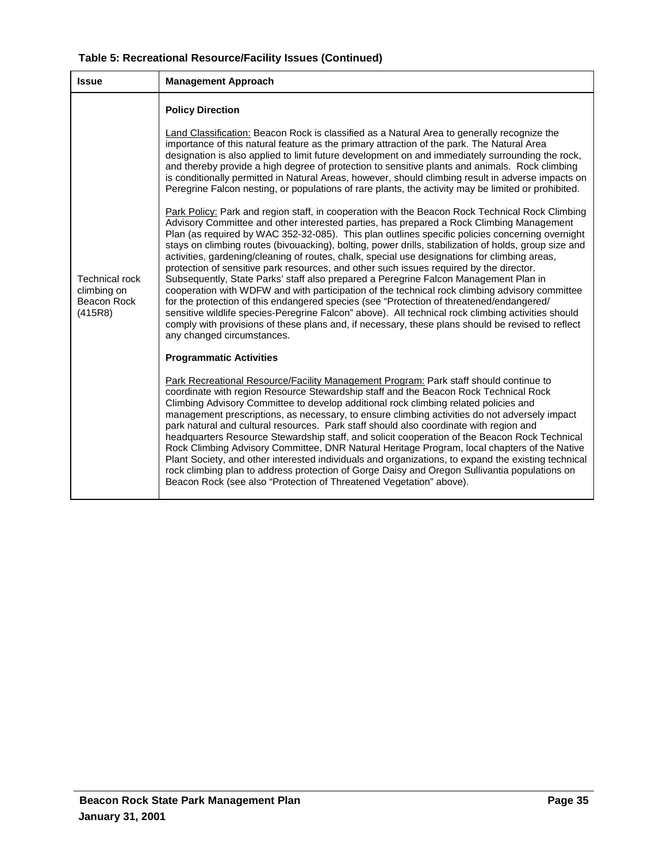| Table 5: Recreational Resource/Facility Issues (Continued) |  |
|------------------------------------------------------------|--|
|------------------------------------------------------------|--|

| <b>Issue</b>                                                   | <b>Management Approach</b>                                                                                                                                                                                                                                                                                                                                                                                                                                                                                                                                                                                                                                                                                                                                                                                                                                                                                                                                                                                                                                                                                                         |
|----------------------------------------------------------------|------------------------------------------------------------------------------------------------------------------------------------------------------------------------------------------------------------------------------------------------------------------------------------------------------------------------------------------------------------------------------------------------------------------------------------------------------------------------------------------------------------------------------------------------------------------------------------------------------------------------------------------------------------------------------------------------------------------------------------------------------------------------------------------------------------------------------------------------------------------------------------------------------------------------------------------------------------------------------------------------------------------------------------------------------------------------------------------------------------------------------------|
|                                                                | <b>Policy Direction</b>                                                                                                                                                                                                                                                                                                                                                                                                                                                                                                                                                                                                                                                                                                                                                                                                                                                                                                                                                                                                                                                                                                            |
| <b>Technical rock</b><br>climbing on<br>Beacon Rock<br>(415R8) | Land Classification: Beacon Rock is classified as a Natural Area to generally recognize the<br>importance of this natural feature as the primary attraction of the park. The Natural Area<br>designation is also applied to limit future development on and immediately surrounding the rock,<br>and thereby provide a high degree of protection to sensitive plants and animals. Rock climbing<br>is conditionally permitted in Natural Areas, however, should climbing result in adverse impacts on<br>Peregrine Falcon nesting, or populations of rare plants, the activity may be limited or prohibited.                                                                                                                                                                                                                                                                                                                                                                                                                                                                                                                       |
|                                                                | Park Policy: Park and region staff, in cooperation with the Beacon Rock Technical Rock Climbing<br>Advisory Committee and other interested parties, has prepared a Rock Climbing Management<br>Plan (as required by WAC 352-32-085). This plan outlines specific policies concerning overnight<br>stays on climbing routes (bivouacking), bolting, power drills, stabilization of holds, group size and<br>activities, gardening/cleaning of routes, chalk, special use designations for climbing areas,<br>protection of sensitive park resources, and other such issues required by the director.<br>Subsequently, State Parks' staff also prepared a Peregrine Falcon Management Plan in<br>cooperation with WDFW and with participation of the technical rock climbing advisory committee<br>for the protection of this endangered species (see "Protection of threatened/endangered/<br>sensitive wildlife species-Peregrine Falcon" above). All technical rock climbing activities should<br>comply with provisions of these plans and, if necessary, these plans should be revised to reflect<br>any changed circumstances. |
|                                                                | <b>Programmatic Activities</b>                                                                                                                                                                                                                                                                                                                                                                                                                                                                                                                                                                                                                                                                                                                                                                                                                                                                                                                                                                                                                                                                                                     |
|                                                                | Park Recreational Resource/Facility Management Program: Park staff should continue to<br>coordinate with region Resource Stewardship staff and the Beacon Rock Technical Rock<br>Climbing Advisory Committee to develop additional rock climbing related policies and<br>management prescriptions, as necessary, to ensure climbing activities do not adversely impact<br>park natural and cultural resources. Park staff should also coordinate with region and<br>headquarters Resource Stewardship staff, and solicit cooperation of the Beacon Rock Technical<br>Rock Climbing Advisory Committee, DNR Natural Heritage Program, local chapters of the Native<br>Plant Society, and other interested individuals and organizations, to expand the existing technical<br>rock climbing plan to address protection of Gorge Daisy and Oregon Sullivantia populations on<br>Beacon Rock (see also "Protection of Threatened Vegetation" above).                                                                                                                                                                                   |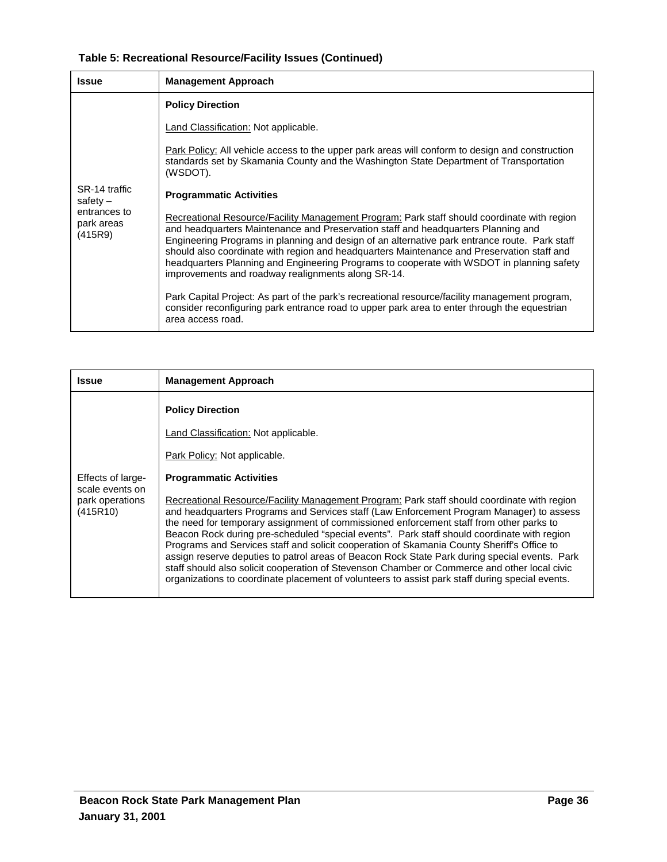| Table 5: Recreational Resource/Facility Issues (Continued) |  |  |  |
|------------------------------------------------------------|--|--|--|
|------------------------------------------------------------|--|--|--|

| <b>Issue</b>                                                         | <b>Management Approach</b>                                                                                                                                                                                                                                                                                                                                                                                                                                                                                                         |
|----------------------------------------------------------------------|------------------------------------------------------------------------------------------------------------------------------------------------------------------------------------------------------------------------------------------------------------------------------------------------------------------------------------------------------------------------------------------------------------------------------------------------------------------------------------------------------------------------------------|
| SR-14 traffic<br>safety $-$<br>entrances to<br>park areas<br>(415R9) | <b>Policy Direction</b>                                                                                                                                                                                                                                                                                                                                                                                                                                                                                                            |
|                                                                      | Land Classification: Not applicable.                                                                                                                                                                                                                                                                                                                                                                                                                                                                                               |
|                                                                      | Park Policy: All vehicle access to the upper park areas will conform to design and construction<br>standards set by Skamania County and the Washington State Department of Transportation<br>(WSDOT).                                                                                                                                                                                                                                                                                                                              |
|                                                                      | <b>Programmatic Activities</b>                                                                                                                                                                                                                                                                                                                                                                                                                                                                                                     |
|                                                                      | Recreational Resource/Facility Management Program: Park staff should coordinate with region<br>and headquarters Maintenance and Preservation staff and headquarters Planning and<br>Engineering Programs in planning and design of an alternative park entrance route. Park staff<br>should also coordinate with region and headquarters Maintenance and Preservation staff and<br>headquarters Planning and Engineering Programs to cooperate with WSDOT in planning safety<br>improvements and roadway realignments along SR-14. |
|                                                                      | Park Capital Project: As part of the park's recreational resource/facility management program,<br>consider reconfiguring park entrance road to upper park area to enter through the equestrian<br>area access road.                                                                                                                                                                                                                                                                                                                |

| <b>Issue</b>                                                        | <b>Management Approach</b>                                                                                                                                                                                                                                                                                                                                                                                                                                                                                                                                                                                                                                                                                                                                                                                                                                                                                                      |
|---------------------------------------------------------------------|---------------------------------------------------------------------------------------------------------------------------------------------------------------------------------------------------------------------------------------------------------------------------------------------------------------------------------------------------------------------------------------------------------------------------------------------------------------------------------------------------------------------------------------------------------------------------------------------------------------------------------------------------------------------------------------------------------------------------------------------------------------------------------------------------------------------------------------------------------------------------------------------------------------------------------|
| Effects of large-<br>scale events on<br>park operations<br>(415R10) | <b>Policy Direction</b><br><b>Land Classification: Not applicable.</b><br>Park Policy: Not applicable.<br><b>Programmatic Activities</b><br>Recreational Resource/Facility Management Program: Park staff should coordinate with region<br>and headquarters Programs and Services staff (Law Enforcement Program Manager) to assess<br>the need for temporary assignment of commissioned enforcement staff from other parks to<br>Beacon Rock during pre-scheduled "special events". Park staff should coordinate with region<br>Programs and Services staff and solicit cooperation of Skamania County Sheriff's Office to<br>assign reserve deputies to patrol areas of Beacon Rock State Park during special events. Park<br>staff should also solicit cooperation of Stevenson Chamber or Commerce and other local civic<br>organizations to coordinate placement of volunteers to assist park staff during special events. |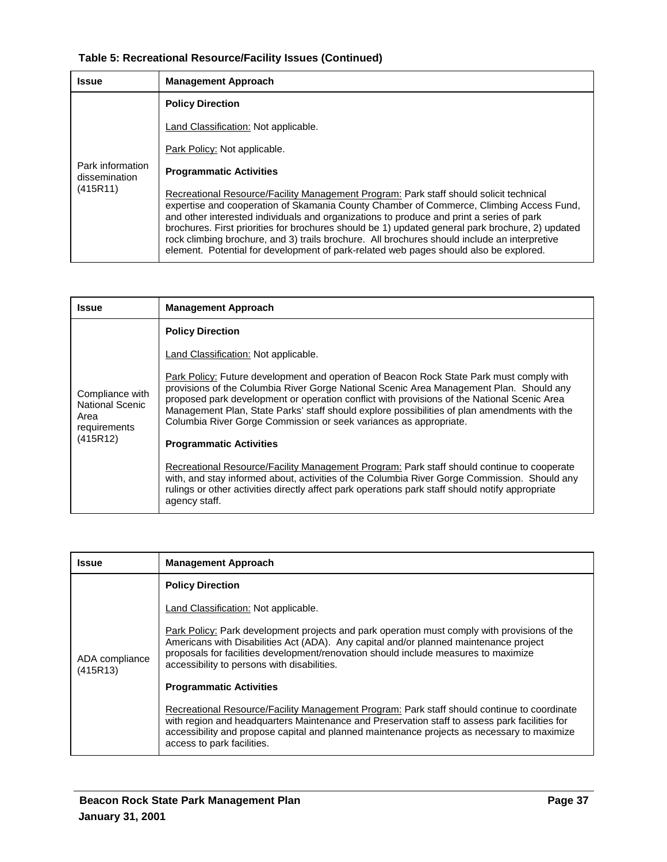# **Table 5: Recreational Resource/Facility Issues (Continued)**

| <b>Issue</b>                                  | <b>Management Approach</b>                                                                                                                                                                                                                                                                                                                                                                                                                                                                                                                                                 |
|-----------------------------------------------|----------------------------------------------------------------------------------------------------------------------------------------------------------------------------------------------------------------------------------------------------------------------------------------------------------------------------------------------------------------------------------------------------------------------------------------------------------------------------------------------------------------------------------------------------------------------------|
|                                               | <b>Policy Direction</b>                                                                                                                                                                                                                                                                                                                                                                                                                                                                                                                                                    |
|                                               | <b>Land Classification: Not applicable.</b>                                                                                                                                                                                                                                                                                                                                                                                                                                                                                                                                |
|                                               | Park Policy: Not applicable.                                                                                                                                                                                                                                                                                                                                                                                                                                                                                                                                               |
| Park information<br>dissemination<br>(415R11) | <b>Programmatic Activities</b>                                                                                                                                                                                                                                                                                                                                                                                                                                                                                                                                             |
|                                               | Recreational Resource/Facility Management Program: Park staff should solicit technical<br>expertise and cooperation of Skamania County Chamber of Commerce, Climbing Access Fund,<br>and other interested individuals and organizations to produce and print a series of park<br>brochures. First priorities for brochures should be 1) updated general park brochure, 2) updated<br>rock climbing brochure, and 3) trails brochure. All brochures should include an interpretive<br>element. Potential for development of park-related web pages should also be explored. |

| <b>Issue</b>                                                                  | <b>Management Approach</b>                                                                                                                                                                                                                                                                                                                                                                                                                                                                |
|-------------------------------------------------------------------------------|-------------------------------------------------------------------------------------------------------------------------------------------------------------------------------------------------------------------------------------------------------------------------------------------------------------------------------------------------------------------------------------------------------------------------------------------------------------------------------------------|
|                                                                               | <b>Policy Direction</b>                                                                                                                                                                                                                                                                                                                                                                                                                                                                   |
|                                                                               | Land Classification: Not applicable.                                                                                                                                                                                                                                                                                                                                                                                                                                                      |
| Compliance with<br><b>National Scenic</b><br>Area<br>requirements<br>(415R12) | Park Policy: Future development and operation of Beacon Rock State Park must comply with<br>provisions of the Columbia River Gorge National Scenic Area Management Plan. Should any<br>proposed park development or operation conflict with provisions of the National Scenic Area<br>Management Plan, State Parks' staff should explore possibilities of plan amendments with the<br>Columbia River Gorge Commission or seek variances as appropriate.<br><b>Programmatic Activities</b> |
|                                                                               | Recreational Resource/Facility Management Program: Park staff should continue to cooperate<br>with, and stay informed about, activities of the Columbia River Gorge Commission. Should any<br>rulings or other activities directly affect park operations park staff should notify appropriate<br>agency staff.                                                                                                                                                                           |

| Issue                      | <b>Management Approach</b>                                                                                                                                                                                                                                                                                                  |  |  |  |  |  |
|----------------------------|-----------------------------------------------------------------------------------------------------------------------------------------------------------------------------------------------------------------------------------------------------------------------------------------------------------------------------|--|--|--|--|--|
|                            | <b>Policy Direction</b>                                                                                                                                                                                                                                                                                                     |  |  |  |  |  |
|                            | Land Classification: Not applicable.                                                                                                                                                                                                                                                                                        |  |  |  |  |  |
| ADA compliance<br>(415R13) | Park Policy: Park development projects and park operation must comply with provisions of the<br>Americans with Disabilities Act (ADA). Any capital and/or planned maintenance project<br>proposals for facilities development/renovation should include measures to maximize<br>accessibility to persons with disabilities. |  |  |  |  |  |
|                            | <b>Programmatic Activities</b>                                                                                                                                                                                                                                                                                              |  |  |  |  |  |
|                            | Recreational Resource/Facility Management Program: Park staff should continue to coordinate<br>with region and headquarters Maintenance and Preservation staff to assess park facilities for<br>accessibility and propose capital and planned maintenance projects as necessary to maximize<br>access to park facilities.   |  |  |  |  |  |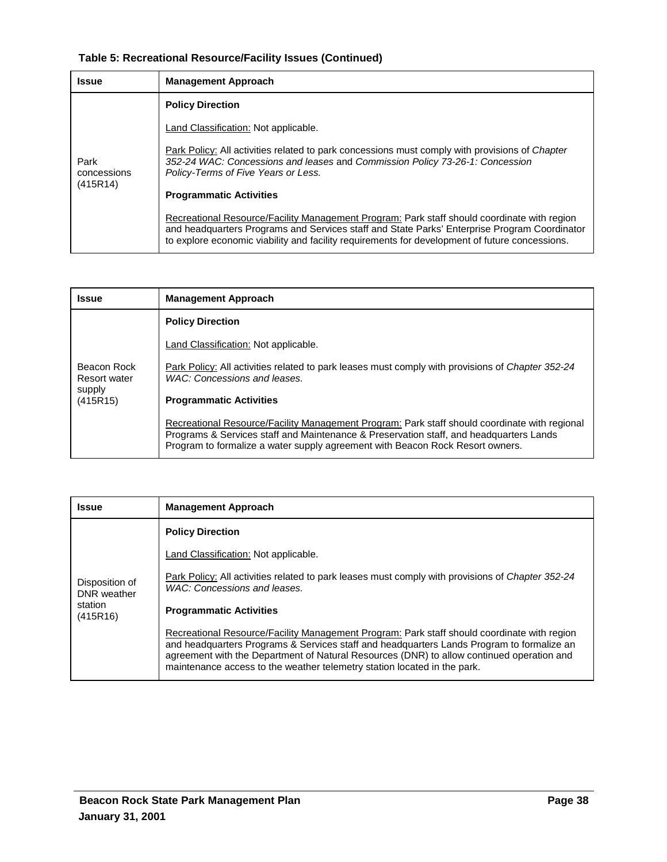# **Table 5: Recreational Resource/Facility Issues (Continued)**

| <b>Issue</b>        | <b>Management Approach</b>                                                                                                                                                                                                                                                                    |  |  |  |  |  |
|---------------------|-----------------------------------------------------------------------------------------------------------------------------------------------------------------------------------------------------------------------------------------------------------------------------------------------|--|--|--|--|--|
|                     | <b>Policy Direction</b>                                                                                                                                                                                                                                                                       |  |  |  |  |  |
|                     | <b>Land Classification: Not applicable.</b>                                                                                                                                                                                                                                                   |  |  |  |  |  |
| Park<br>concessions | Park Policy: All activities related to park concessions must comply with provisions of Chapter<br>352-24 WAC: Concessions and leases and Commission Policy 73-26-1: Concession<br>Policy-Terms of Five Years or Less.                                                                         |  |  |  |  |  |
| (415R14)            | <b>Programmatic Activities</b>                                                                                                                                                                                                                                                                |  |  |  |  |  |
|                     | Recreational Resource/Facility Management Program: Park staff should coordinate with region<br>and headquarters Programs and Services staff and State Parks' Enterprise Program Coordinator<br>to explore economic viability and facility requirements for development of future concessions. |  |  |  |  |  |

| Issue                              | <b>Management Approach</b>                                                                                                                                                                                                                                               |
|------------------------------------|--------------------------------------------------------------------------------------------------------------------------------------------------------------------------------------------------------------------------------------------------------------------------|
|                                    | <b>Policy Direction</b>                                                                                                                                                                                                                                                  |
|                                    | Land Classification: Not applicable.                                                                                                                                                                                                                                     |
| Beacon Rock<br><b>Resort water</b> | Park Policy: All activities related to park leases must comply with provisions of Chapter 352-24<br>WAC: Concessions and leases.                                                                                                                                         |
| supply<br>(415R15)                 | <b>Programmatic Activities</b>                                                                                                                                                                                                                                           |
|                                    | Recreational Resource/Facility Management Program: Park staff should coordinate with regional<br>Programs & Services staff and Maintenance & Preservation staff, and headquarters Lands<br>Program to formalize a water supply agreement with Beacon Rock Resort owners. |

| <b>Issue</b>                  | <b>Management Approach</b>                                                                                                                                                                                                                                                                                                                                        |  |  |  |  |  |  |
|-------------------------------|-------------------------------------------------------------------------------------------------------------------------------------------------------------------------------------------------------------------------------------------------------------------------------------------------------------------------------------------------------------------|--|--|--|--|--|--|
|                               | <b>Policy Direction</b>                                                                                                                                                                                                                                                                                                                                           |  |  |  |  |  |  |
|                               | Land Classification: Not applicable.                                                                                                                                                                                                                                                                                                                              |  |  |  |  |  |  |
| Disposition of<br>DNR weather | Park Policy: All activities related to park leases must comply with provisions of Chapter 352-24<br>WAC: Concessions and leases.                                                                                                                                                                                                                                  |  |  |  |  |  |  |
| station<br>(415R16)           | <b>Programmatic Activities</b>                                                                                                                                                                                                                                                                                                                                    |  |  |  |  |  |  |
|                               | Recreational Resource/Facility Management Program: Park staff should coordinate with region<br>and headquarters Programs & Services staff and headquarters Lands Program to formalize an<br>agreement with the Department of Natural Resources (DNR) to allow continued operation and<br>maintenance access to the weather telemetry station located in the park. |  |  |  |  |  |  |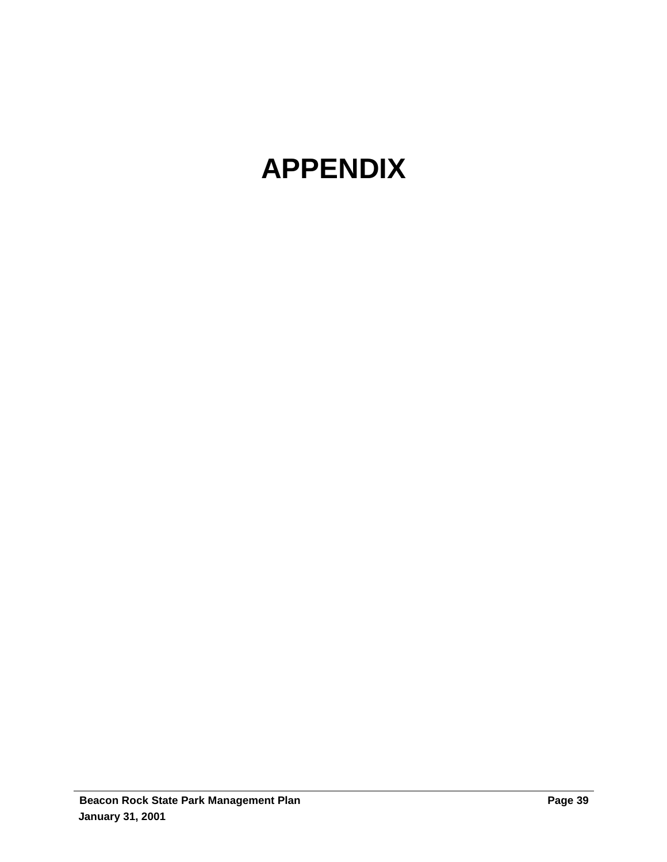# **APPENDIX**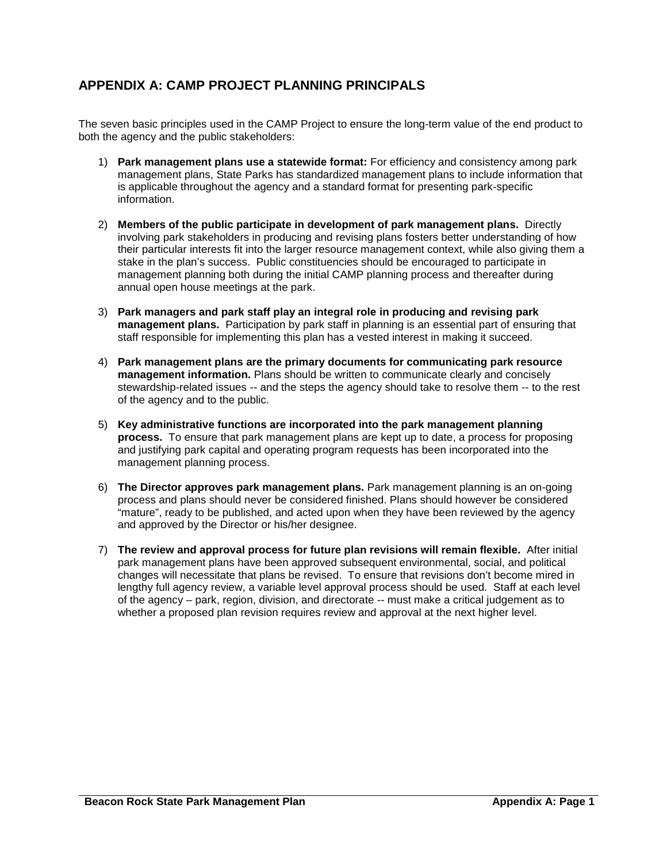# **APPENDIX A: CAMP PROJECT PLANNING PRINCIPALS**

The seven basic principles used in the CAMP Project to ensure the long-term value of the end product to both the agency and the public stakeholders:

- 1) **Park management plans use a statewide format:** For efficiency and consistency among park management plans, State Parks has standardized management plans to include information that is applicable throughout the agency and a standard format for presenting park-specific information.
- 2) **Members of the public participate in development of park management plans.** Directly involving park stakeholders in producing and revising plans fosters better understanding of how their particular interests fit into the larger resource management context, while also giving them a stake in the plan's success. Public constituencies should be encouraged to participate in management planning both during the initial CAMP planning process and thereafter during annual open house meetings at the park.
- 3) **Park managers and park staff play an integral role in producing and revising park management plans.** Participation by park staff in planning is an essential part of ensuring that staff responsible for implementing this plan has a vested interest in making it succeed.
- 4) **Park management plans are the primary documents for communicating park resource management information.** Plans should be written to communicate clearly and concisely stewardship-related issues -- and the steps the agency should take to resolve them -- to the rest of the agency and to the public.
- 5) **Key administrative functions are incorporated into the park management planning process.** To ensure that park management plans are kept up to date, a process for proposing and justifying park capital and operating program requests has been incorporated into the management planning process.
- 6) **The Director approves park management plans.** Park management planning is an on-going process and plans should never be considered finished. Plans should however be considered "mature", ready to be published, and acted upon when they have been reviewed by the agency and approved by the Director or his/her designee.
- 7) **The review and approval process for future plan revisions will remain flexible.** After initial park management plans have been approved subsequent environmental, social, and political changes will necessitate that plans be revised. To ensure that revisions don't become mired in lengthy full agency review, a variable level approval process should be used. Staff at each level of the agency – park, region, division, and directorate -- must make a critical judgement as to whether a proposed plan revision requires review and approval at the next higher level.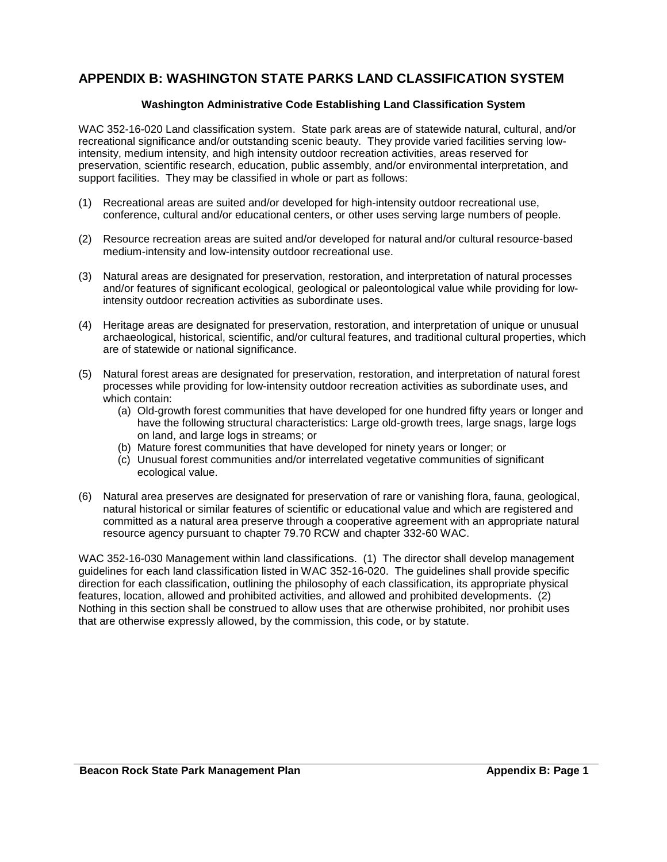# **APPENDIX B: WASHINGTON STATE PARKS LAND CLASSIFICATION SYSTEM**

#### **Washington Administrative Code Establishing Land Classification System**

WAC 352-16-020 Land classification system. State park areas are of statewide natural, cultural, and/or recreational significance and/or outstanding scenic beauty. They provide varied facilities serving lowintensity, medium intensity, and high intensity outdoor recreation activities, areas reserved for preservation, scientific research, education, public assembly, and/or environmental interpretation, and support facilities. They may be classified in whole or part as follows:

- (1) Recreational areas are suited and/or developed for high-intensity outdoor recreational use, conference, cultural and/or educational centers, or other uses serving large numbers of people.
- (2) Resource recreation areas are suited and/or developed for natural and/or cultural resource-based medium-intensity and low-intensity outdoor recreational use.
- (3) Natural areas are designated for preservation, restoration, and interpretation of natural processes and/or features of significant ecological, geological or paleontological value while providing for lowintensity outdoor recreation activities as subordinate uses.
- (4) Heritage areas are designated for preservation, restoration, and interpretation of unique or unusual archaeological, historical, scientific, and/or cultural features, and traditional cultural properties, which are of statewide or national significance.
- (5) Natural forest areas are designated for preservation, restoration, and interpretation of natural forest processes while providing for low-intensity outdoor recreation activities as subordinate uses, and which contain:
	- (a) Old-growth forest communities that have developed for one hundred fifty years or longer and have the following structural characteristics: Large old-growth trees, large snags, large logs on land, and large logs in streams; or
	- (b) Mature forest communities that have developed for ninety years or longer; or
	- (c) Unusual forest communities and/or interrelated vegetative communities of significant ecological value.
- (6) Natural area preserves are designated for preservation of rare or vanishing flora, fauna, geological, natural historical or similar features of scientific or educational value and which are registered and committed as a natural area preserve through a cooperative agreement with an appropriate natural resource agency pursuant to chapter 79.70 RCW and chapter 332-60 WAC.

WAC 352-16-030 Management within land classifications. (1) The director shall develop management guidelines for each land classification listed in WAC 352-16-020. The guidelines shall provide specific direction for each classification, outlining the philosophy of each classification, its appropriate physical features, location, allowed and prohibited activities, and allowed and prohibited developments. (2) Nothing in this section shall be construed to allow uses that are otherwise prohibited, nor prohibit uses that are otherwise expressly allowed, by the commission, this code, or by statute.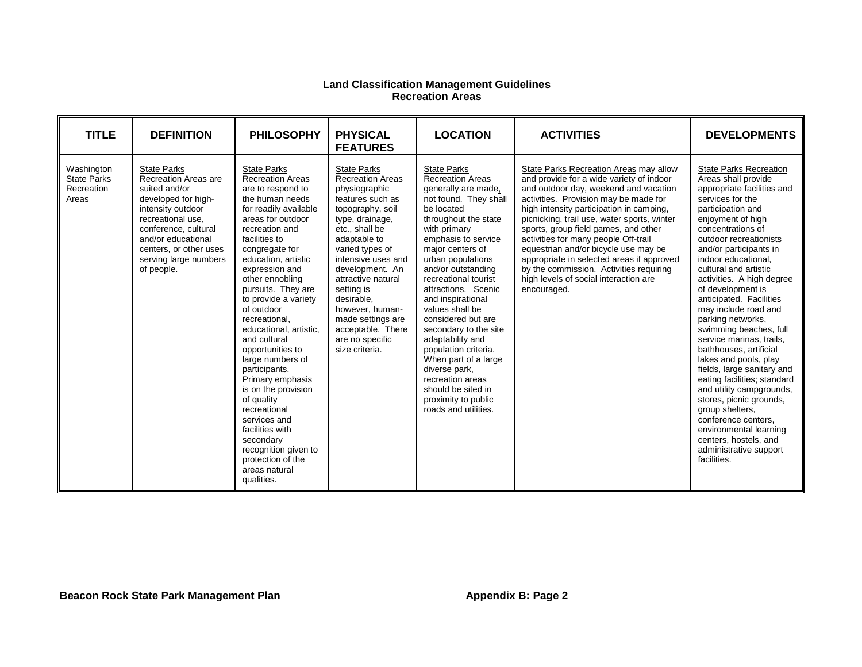#### **Land Classification Management Guidelines Recreation Areas**

| <b>TITLE</b>                                            | <b>DEFINITION</b>                                                                                                                                                                                                                           | <b>PHILOSOPHY</b>                                                                                                                                                                                                                                                                                                                                                                                                                                                                                                                                                                                                                         | <b>PHYSICAL</b><br><b>FEATURES</b>                                                                                                                                                                                                                                                                                                                                          | <b>LOCATION</b>                                                                                                                                                                                                                                                                                                                                                                                                                                                                                                                                               | <b>ACTIVITIES</b>                                                                                                                                                                                                                                                                                                                                                                                                                                                                                                                       | <b>DEVELOPMENTS</b>                                                                                                                                                                                                                                                                                                                                                                                                                                                                                                                                                                                                                                                                                                                                                    |
|---------------------------------------------------------|---------------------------------------------------------------------------------------------------------------------------------------------------------------------------------------------------------------------------------------------|-------------------------------------------------------------------------------------------------------------------------------------------------------------------------------------------------------------------------------------------------------------------------------------------------------------------------------------------------------------------------------------------------------------------------------------------------------------------------------------------------------------------------------------------------------------------------------------------------------------------------------------------|-----------------------------------------------------------------------------------------------------------------------------------------------------------------------------------------------------------------------------------------------------------------------------------------------------------------------------------------------------------------------------|---------------------------------------------------------------------------------------------------------------------------------------------------------------------------------------------------------------------------------------------------------------------------------------------------------------------------------------------------------------------------------------------------------------------------------------------------------------------------------------------------------------------------------------------------------------|-----------------------------------------------------------------------------------------------------------------------------------------------------------------------------------------------------------------------------------------------------------------------------------------------------------------------------------------------------------------------------------------------------------------------------------------------------------------------------------------------------------------------------------------|------------------------------------------------------------------------------------------------------------------------------------------------------------------------------------------------------------------------------------------------------------------------------------------------------------------------------------------------------------------------------------------------------------------------------------------------------------------------------------------------------------------------------------------------------------------------------------------------------------------------------------------------------------------------------------------------------------------------------------------------------------------------|
| Washington<br><b>State Parks</b><br>Recreation<br>Areas | <b>State Parks</b><br>Recreation Areas are<br>suited and/or<br>developed for high-<br>intensity outdoor<br>recreational use.<br>conference, cultural<br>and/or educational<br>centers, or other uses<br>serving large numbers<br>of people. | <b>State Parks</b><br><b>Recreation Areas</b><br>are to respond to<br>the human needs<br>for readily available<br>areas for outdoor<br>recreation and<br>facilities to<br>congregate for<br>education, artistic<br>expression and<br>other ennobling<br>pursuits. They are<br>to provide a variety<br>of outdoor<br>recreational.<br>educational, artistic,<br>and cultural<br>opportunities to<br>large numbers of<br>participants.<br>Primary emphasis<br>is on the provision<br>of quality<br>recreational<br>services and<br>facilities with<br>secondary<br>recognition given to<br>protection of the<br>areas natural<br>qualities. | <b>State Parks</b><br><b>Recreation Areas</b><br>physiographic<br>features such as<br>topography, soil<br>type, drainage,<br>etc., shall be<br>adaptable to<br>varied types of<br>intensive uses and<br>development. An<br>attractive natural<br>setting is<br>desirable,<br>however, human-<br>made settings are<br>acceptable. There<br>are no specific<br>size criteria. | <b>State Parks</b><br><b>Recreation Areas</b><br>generally are made,<br>not found. They shall<br>be located<br>throughout the state<br>with primary<br>emphasis to service<br>major centers of<br>urban populations<br>and/or outstanding<br>recreational tourist<br>attractions. Scenic<br>and inspirational<br>values shall be<br>considered but are<br>secondary to the site<br>adaptability and<br>population criteria.<br>When part of a large<br>diverse park,<br>recreation areas<br>should be sited in<br>proximity to public<br>roads and utilities. | State Parks Recreation Areas may allow<br>and provide for a wide variety of indoor<br>and outdoor day, weekend and vacation<br>activities. Provision may be made for<br>high intensity participation in camping.<br>picnicking, trail use, water sports, winter<br>sports, group field games, and other<br>activities for many people Off-trail<br>equestrian and/or bicycle use may be<br>appropriate in selected areas if approved<br>by the commission. Activities requiring<br>high levels of social interaction are<br>encouraged. | <b>State Parks Recreation</b><br>Areas shall provide<br>appropriate facilities and<br>services for the<br>participation and<br>enjoyment of high<br>concentrations of<br>outdoor recreationists<br>and/or participants in<br>indoor educational,<br>cultural and artistic<br>activities. A high degree<br>of development is<br>anticipated. Facilities<br>may include road and<br>parking networks,<br>swimming beaches, full<br>service marinas, trails,<br>bathhouses, artificial<br>lakes and pools, play<br>fields, large sanitary and<br>eating facilities; standard<br>and utility campgrounds,<br>stores, picnic grounds,<br>group shelters.<br>conference centers.<br>environmental learning<br>centers, hostels, and<br>administrative support<br>facilities. |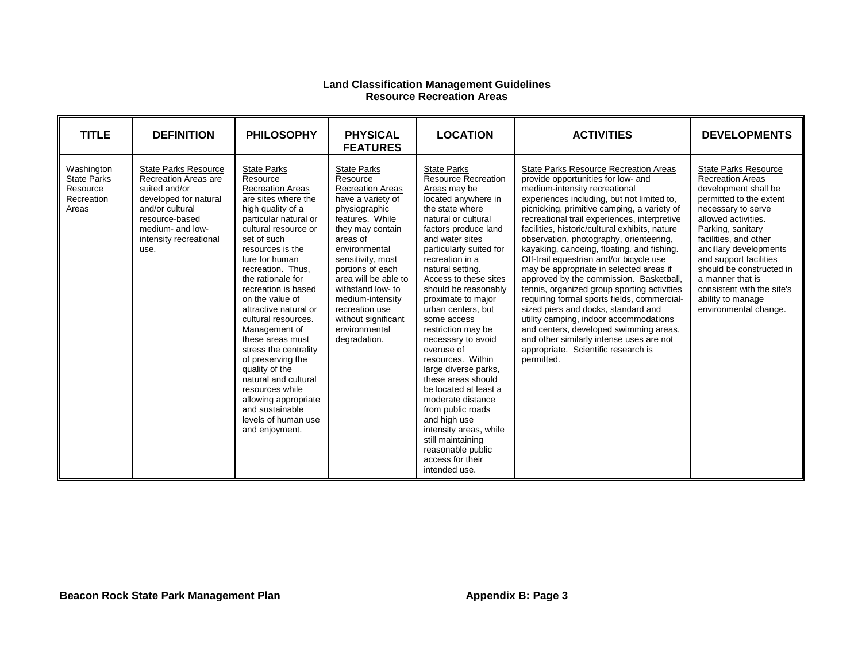#### **Land Classification Management Guidelines Resource Recreation Areas**

| <b>TITLE</b>                                                        | <b>DEFINITION</b>                                                                                                                                                                        | <b>PHILOSOPHY</b>                                                                                                                                                                                                                                                                                                                                                                                                                                                                                                                                                                   | <b>PHYSICAL</b><br><b>FEATURES</b>                                                                                                                                                                                                                                                                                                                      | <b>LOCATION</b>                                                                                                                                                                                                                                                                                                                                                                                                                                                                                                                                                                                                                                                                     | <b>ACTIVITIES</b>                                                                                                                                                                                                                                                                                                                                                                                                                                                                                                                                                                                                                                                                                                                                                                                                                                                      | <b>DEVELOPMENTS</b>                                                                                                                                                                                                                                                                                                                                                                  |
|---------------------------------------------------------------------|------------------------------------------------------------------------------------------------------------------------------------------------------------------------------------------|-------------------------------------------------------------------------------------------------------------------------------------------------------------------------------------------------------------------------------------------------------------------------------------------------------------------------------------------------------------------------------------------------------------------------------------------------------------------------------------------------------------------------------------------------------------------------------------|---------------------------------------------------------------------------------------------------------------------------------------------------------------------------------------------------------------------------------------------------------------------------------------------------------------------------------------------------------|-------------------------------------------------------------------------------------------------------------------------------------------------------------------------------------------------------------------------------------------------------------------------------------------------------------------------------------------------------------------------------------------------------------------------------------------------------------------------------------------------------------------------------------------------------------------------------------------------------------------------------------------------------------------------------------|------------------------------------------------------------------------------------------------------------------------------------------------------------------------------------------------------------------------------------------------------------------------------------------------------------------------------------------------------------------------------------------------------------------------------------------------------------------------------------------------------------------------------------------------------------------------------------------------------------------------------------------------------------------------------------------------------------------------------------------------------------------------------------------------------------------------------------------------------------------------|--------------------------------------------------------------------------------------------------------------------------------------------------------------------------------------------------------------------------------------------------------------------------------------------------------------------------------------------------------------------------------------|
| Washington<br><b>State Parks</b><br>Resource<br>Recreation<br>Areas | <b>State Parks Resource</b><br>Recreation Areas are<br>suited and/or<br>developed for natural<br>and/or cultural<br>resource-based<br>medium- and low-<br>intensity recreational<br>use. | <b>State Parks</b><br>Resource<br><b>Recreation Areas</b><br>are sites where the<br>high quality of a<br>particular natural or<br>cultural resource or<br>set of such<br>resources is the<br>lure for human<br>recreation. Thus.<br>the rationale for<br>recreation is based<br>on the value of<br>attractive natural or<br>cultural resources.<br>Management of<br>these areas must<br>stress the centrality<br>of preserving the<br>quality of the<br>natural and cultural<br>resources while<br>allowing appropriate<br>and sustainable<br>levels of human use<br>and enjoyment. | <b>State Parks</b><br>Resource<br><b>Recreation Areas</b><br>have a variety of<br>physiographic<br>features. While<br>they may contain<br>areas of<br>environmental<br>sensitivity, most<br>portions of each<br>area will be able to<br>withstand low- to<br>medium-intensity<br>recreation use<br>without significant<br>environmental<br>degradation. | <b>State Parks</b><br><b>Resource Recreation</b><br>Areas may be<br>located anywhere in<br>the state where<br>natural or cultural<br>factors produce land<br>and water sites<br>particularly suited for<br>recreation in a<br>natural setting.<br>Access to these sites<br>should be reasonably<br>proximate to major<br>urban centers, but<br>some access<br>restriction may be<br>necessary to avoid<br>overuse of<br>resources. Within<br>large diverse parks,<br>these areas should<br>be located at least a<br>moderate distance<br>from public roads<br>and high use<br>intensity areas, while<br>still maintaining<br>reasonable public<br>access for their<br>intended use. | <b>State Parks Resource Recreation Areas</b><br>provide opportunities for low- and<br>medium-intensity recreational<br>experiences including, but not limited to,<br>picnicking, primitive camping, a variety of<br>recreational trail experiences, interpretive<br>facilities, historic/cultural exhibits, nature<br>observation, photography, orienteering,<br>kayaking, canoeing, floating, and fishing.<br>Off-trail equestrian and/or bicycle use<br>may be appropriate in selected areas if<br>approved by the commission. Basketball,<br>tennis, organized group sporting activities<br>requiring formal sports fields, commercial-<br>sized piers and docks, standard and<br>utility camping, indoor accommodations<br>and centers, developed swimming areas,<br>and other similarly intense uses are not<br>appropriate. Scientific research is<br>permitted. | <b>State Parks Resource</b><br><b>Recreation Areas</b><br>development shall be<br>permitted to the extent<br>necessary to serve<br>allowed activities.<br>Parking, sanitary<br>facilities, and other<br>ancillary developments<br>and support facilities<br>should be constructed in<br>a manner that is<br>consistent with the site's<br>ability to manage<br>environmental change. |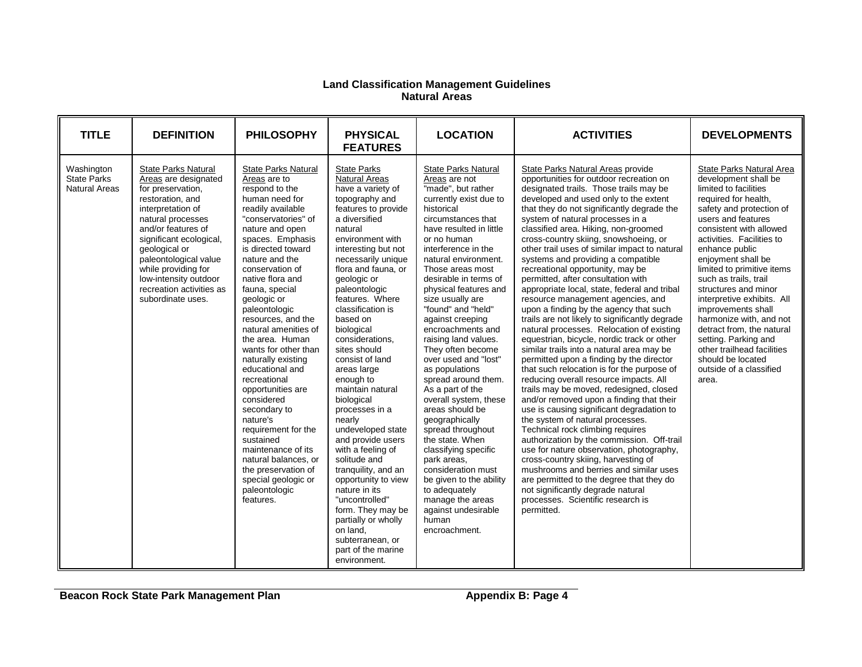#### **Land Classification Management Guidelines Natural Areas**

| <b>TITLE</b>                                      | <b>DEFINITION</b>                                                                                                                                                                                                                                                                                                                 | <b>PHILOSOPHY</b>                                                                                                                                                                                                                                                                                                                                                                                                                                                                                                                                                                                                                                                                 | <b>PHYSICAL</b><br><b>FEATURES</b>                                                                                                                                                                                                                                                                                                                                                                                                                                                                                                                                                                                                                                                                                                                               | <b>LOCATION</b>                                                                                                                                                                                                                                                                                                                                                                                                                                                                                                                                                                                                                                                                                                                                                                                         | <b>ACTIVITIES</b>                                                                                                                                                                                                                                                                                                                                                                                                                                                                                                                                                                                                                                                                                                                                                                                                                                                                                                                                                                                                                                                                                                                                                                                                                                                                                                                                                                                                                                                                           | <b>DEVELOPMENTS</b>                                                                                                                                                                                                                                                                                                                                                                                                                                                                                                                                           |
|---------------------------------------------------|-----------------------------------------------------------------------------------------------------------------------------------------------------------------------------------------------------------------------------------------------------------------------------------------------------------------------------------|-----------------------------------------------------------------------------------------------------------------------------------------------------------------------------------------------------------------------------------------------------------------------------------------------------------------------------------------------------------------------------------------------------------------------------------------------------------------------------------------------------------------------------------------------------------------------------------------------------------------------------------------------------------------------------------|------------------------------------------------------------------------------------------------------------------------------------------------------------------------------------------------------------------------------------------------------------------------------------------------------------------------------------------------------------------------------------------------------------------------------------------------------------------------------------------------------------------------------------------------------------------------------------------------------------------------------------------------------------------------------------------------------------------------------------------------------------------|---------------------------------------------------------------------------------------------------------------------------------------------------------------------------------------------------------------------------------------------------------------------------------------------------------------------------------------------------------------------------------------------------------------------------------------------------------------------------------------------------------------------------------------------------------------------------------------------------------------------------------------------------------------------------------------------------------------------------------------------------------------------------------------------------------|---------------------------------------------------------------------------------------------------------------------------------------------------------------------------------------------------------------------------------------------------------------------------------------------------------------------------------------------------------------------------------------------------------------------------------------------------------------------------------------------------------------------------------------------------------------------------------------------------------------------------------------------------------------------------------------------------------------------------------------------------------------------------------------------------------------------------------------------------------------------------------------------------------------------------------------------------------------------------------------------------------------------------------------------------------------------------------------------------------------------------------------------------------------------------------------------------------------------------------------------------------------------------------------------------------------------------------------------------------------------------------------------------------------------------------------------------------------------------------------------|---------------------------------------------------------------------------------------------------------------------------------------------------------------------------------------------------------------------------------------------------------------------------------------------------------------------------------------------------------------------------------------------------------------------------------------------------------------------------------------------------------------------------------------------------------------|
| Washington<br><b>State Parks</b><br>Natural Areas | <b>State Parks Natural</b><br>Areas are designated<br>for preservation,<br>restoration, and<br>interpretation of<br>natural processes<br>and/or features of<br>significant ecological,<br>geological or<br>paleontological value<br>while providing for<br>low-intensity outdoor<br>recreation activities as<br>subordinate uses. | <b>State Parks Natural</b><br>Areas are to<br>respond to the<br>human need for<br>readily available<br>"conservatories" of<br>nature and open<br>spaces. Emphasis<br>is directed toward<br>nature and the<br>conservation of<br>native flora and<br>fauna, special<br>geologic or<br>paleontologic<br>resources, and the<br>natural amenities of<br>the area. Human<br>wants for other than<br>naturally existing<br>educational and<br>recreational<br>opportunities are<br>considered<br>secondary to<br>nature's<br>requirement for the<br>sustained<br>maintenance of its<br>natural balances, or<br>the preservation of<br>special geologic or<br>paleontologic<br>features. | <b>State Parks</b><br><b>Natural Areas</b><br>have a variety of<br>topography and<br>features to provide<br>a diversified<br>natural<br>environment with<br>interesting but not<br>necessarily unique<br>flora and fauna, or<br>geologic or<br>paleontologic<br>features. Where<br>classification is<br>based on<br>biological<br>considerations.<br>sites should<br>consist of land<br>areas large<br>enough to<br>maintain natural<br>biological<br>processes in a<br>nearly<br>undeveloped state<br>and provide users<br>with a feeling of<br>solitude and<br>tranguility, and an<br>opportunity to view<br>nature in its<br>"uncontrolled"<br>form. They may be<br>partially or wholly<br>on land.<br>subterranean, or<br>part of the marine<br>environment. | <b>State Parks Natural</b><br>Areas are not<br>"made", but rather<br>currently exist due to<br>historical<br>circumstances that<br>have resulted in little<br>or no human<br>interference in the<br>natural environment.<br>Those areas most<br>desirable in terms of<br>physical features and<br>size usually are<br>"found" and "held"<br>against creeping<br>encroachments and<br>raising land values.<br>They often become<br>over used and "lost"<br>as populations<br>spread around them.<br>As a part of the<br>overall system, these<br>areas should be<br>geographically<br>spread throughout<br>the state. When<br>classifying specific<br>park areas,<br>consideration must<br>be given to the ability<br>to adequately<br>manage the areas<br>against undesirable<br>human<br>encroachment. | State Parks Natural Areas provide<br>opportunities for outdoor recreation on<br>designated trails. Those trails may be<br>developed and used only to the extent<br>that they do not significantly degrade the<br>system of natural processes in a<br>classified area. Hiking, non-groomed<br>cross-country skiing, snowshoeing, or<br>other trail uses of similar impact to natural<br>systems and providing a compatible<br>recreational opportunity, may be<br>permitted, after consultation with<br>appropriate local, state, federal and tribal<br>resource management agencies, and<br>upon a finding by the agency that such<br>trails are not likely to significantly degrade<br>natural processes. Relocation of existing<br>equestrian, bicycle, nordic track or other<br>similar trails into a natural area may be<br>permitted upon a finding by the director<br>that such relocation is for the purpose of<br>reducing overall resource impacts. All<br>trails may be moved, redesigned, closed<br>and/or removed upon a finding that their<br>use is causing significant degradation to<br>the system of natural processes.<br>Technical rock climbing requires<br>authorization by the commission. Off-trail<br>use for nature observation, photography,<br>cross-country skiing, harvesting of<br>mushrooms and berries and similar uses<br>are permitted to the degree that they do<br>not significantly degrade natural<br>processes. Scientific research is<br>permitted. | State Parks Natural Area<br>development shall be<br>limited to facilities<br>required for health,<br>safety and protection of<br>users and features<br>consistent with allowed<br>activities. Facilities to<br>enhance public<br>enjoyment shall be<br>limited to primitive items<br>such as trails, trail<br>structures and minor<br>interpretive exhibits. All<br>improvements shall<br>harmonize with, and not<br>detract from, the natural<br>setting. Parking and<br>other trailhead facilities<br>should be located<br>outside of a classified<br>area. |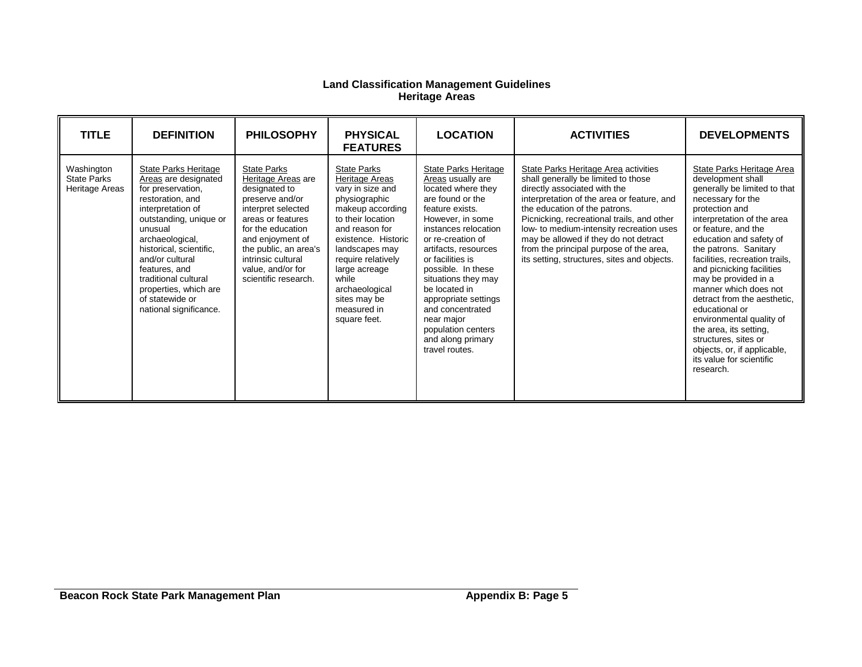#### **Land Classification Management Guidelines Heritage Areas**

| <b>TITLE</b>                                       | <b>DEFINITION</b>                                                                                                                                                                                                                                                                                                                      | <b>PHILOSOPHY</b>                                                                                                                                                                                                                                            | <b>PHYSICAL</b><br><b>FEATURES</b>                                                                                                                                                                                                                                                             | <b>LOCATION</b>                                                                                                                                                                                                                                                                                                                                                                                                 | <b>ACTIVITIES</b>                                                                                                                                                                                                                                                                                                                                                                                                       | <b>DEVELOPMENTS</b>                                                                                                                                                                                                                                                                                                                                                                                                                                                                                                                                   |
|----------------------------------------------------|----------------------------------------------------------------------------------------------------------------------------------------------------------------------------------------------------------------------------------------------------------------------------------------------------------------------------------------|--------------------------------------------------------------------------------------------------------------------------------------------------------------------------------------------------------------------------------------------------------------|------------------------------------------------------------------------------------------------------------------------------------------------------------------------------------------------------------------------------------------------------------------------------------------------|-----------------------------------------------------------------------------------------------------------------------------------------------------------------------------------------------------------------------------------------------------------------------------------------------------------------------------------------------------------------------------------------------------------------|-------------------------------------------------------------------------------------------------------------------------------------------------------------------------------------------------------------------------------------------------------------------------------------------------------------------------------------------------------------------------------------------------------------------------|-------------------------------------------------------------------------------------------------------------------------------------------------------------------------------------------------------------------------------------------------------------------------------------------------------------------------------------------------------------------------------------------------------------------------------------------------------------------------------------------------------------------------------------------------------|
| Washington<br><b>State Parks</b><br>Heritage Areas | <b>State Parks Heritage</b><br>Areas are designated<br>for preservation,<br>restoration, and<br>interpretation of<br>outstanding, unique or<br>unusual<br>archaeological,<br>historical, scientific,<br>and/or cultural<br>features, and<br>traditional cultural<br>properties, which are<br>of statewide or<br>national significance. | <b>State Parks</b><br>Heritage Areas are<br>designated to<br>preserve and/or<br>interpret selected<br>areas or features<br>for the education<br>and enjoyment of<br>the public, an area's<br>intrinsic cultural<br>value, and/or for<br>scientific research. | <b>State Parks</b><br>Heritage Areas<br>vary in size and<br>physiographic<br>makeup according<br>to their location<br>and reason for<br>existence. Historic<br>landscapes may<br>require relatively<br>large acreage<br>while<br>archaeological<br>sites may be<br>measured in<br>square feet. | <b>State Parks Heritage</b><br>Areas usually are<br>located where they<br>are found or the<br>feature exists.<br>However, in some<br>instances relocation<br>or re-creation of<br>artifacts, resources<br>or facilities is<br>possible. In these<br>situations they may<br>be located in<br>appropriate settings<br>and concentrated<br>near major<br>population centers<br>and along primary<br>travel routes. | State Parks Heritage Area activities<br>shall generally be limited to those<br>directly associated with the<br>interpretation of the area or feature, and<br>the education of the patrons.<br>Picnicking, recreational trails, and other<br>low- to medium-intensity recreation uses<br>may be allowed if they do not detract<br>from the principal purpose of the area,<br>its setting, structures, sites and objects. | State Parks Heritage Area<br>development shall<br>generally be limited to that<br>necessary for the<br>protection and<br>interpretation of the area<br>or feature, and the<br>education and safety of<br>the patrons. Sanitary<br>facilities, recreation trails,<br>and picnicking facilities<br>may be provided in a<br>manner which does not<br>detract from the aesthetic.<br>educational or<br>environmental quality of<br>the area, its setting,<br>structures, sites or<br>objects, or, if applicable,<br>its value for scientific<br>research. |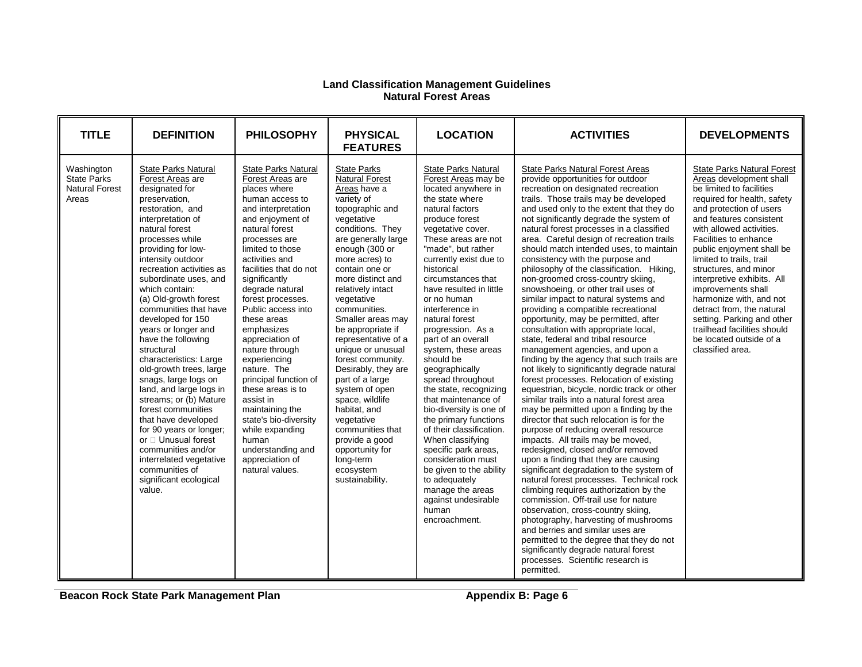#### **Land Classification Management Guidelines Natural Forest Areas**

| <b>TITLE</b>                                                       | <b>DEFINITION</b>                                                                                                                                                                                                                                                                                                                                                                                                                                                                                                                                                                                                                                                                                                                                           | <b>PHILOSOPHY</b>                                                                                                                                                                                                                                                                                                                                                                                                                                                                                                                                                                                            | <b>PHYSICAL</b><br><b>FEATURES</b>                                                                                                                                                                                                                                                                                                                                                                                                                                                                                                                                                                                | <b>LOCATION</b>                                                                                                                                                                                                                                                                                                                                                                                                                                                                                                                                                                                                                                                                                                                                                                           | <b>ACTIVITIES</b>                                                                                                                                                                                                                                                                                                                                                                                                                                                                                                                                                                                                                                                                                                                                                                                                                                                                                                                                                                                                                                                                                                                                                                                                                                                                                                                                                                                                                                                                                                                                                                                                                                                                                                    | <b>DEVELOPMENTS</b>                                                                                                                                                                                                                                                                                                                                                                                                                                                                                                                          |
|--------------------------------------------------------------------|-------------------------------------------------------------------------------------------------------------------------------------------------------------------------------------------------------------------------------------------------------------------------------------------------------------------------------------------------------------------------------------------------------------------------------------------------------------------------------------------------------------------------------------------------------------------------------------------------------------------------------------------------------------------------------------------------------------------------------------------------------------|--------------------------------------------------------------------------------------------------------------------------------------------------------------------------------------------------------------------------------------------------------------------------------------------------------------------------------------------------------------------------------------------------------------------------------------------------------------------------------------------------------------------------------------------------------------------------------------------------------------|-------------------------------------------------------------------------------------------------------------------------------------------------------------------------------------------------------------------------------------------------------------------------------------------------------------------------------------------------------------------------------------------------------------------------------------------------------------------------------------------------------------------------------------------------------------------------------------------------------------------|-------------------------------------------------------------------------------------------------------------------------------------------------------------------------------------------------------------------------------------------------------------------------------------------------------------------------------------------------------------------------------------------------------------------------------------------------------------------------------------------------------------------------------------------------------------------------------------------------------------------------------------------------------------------------------------------------------------------------------------------------------------------------------------------|----------------------------------------------------------------------------------------------------------------------------------------------------------------------------------------------------------------------------------------------------------------------------------------------------------------------------------------------------------------------------------------------------------------------------------------------------------------------------------------------------------------------------------------------------------------------------------------------------------------------------------------------------------------------------------------------------------------------------------------------------------------------------------------------------------------------------------------------------------------------------------------------------------------------------------------------------------------------------------------------------------------------------------------------------------------------------------------------------------------------------------------------------------------------------------------------------------------------------------------------------------------------------------------------------------------------------------------------------------------------------------------------------------------------------------------------------------------------------------------------------------------------------------------------------------------------------------------------------------------------------------------------------------------------------------------------------------------------|----------------------------------------------------------------------------------------------------------------------------------------------------------------------------------------------------------------------------------------------------------------------------------------------------------------------------------------------------------------------------------------------------------------------------------------------------------------------------------------------------------------------------------------------|
| Washington<br><b>State Parks</b><br><b>Natural Forest</b><br>Areas | <b>State Parks Natural</b><br>Forest Areas are<br>designated for<br>preservation.<br>restoration, and<br>interpretation of<br>natural forest<br>processes while<br>providing for low-<br>intensity outdoor<br>recreation activities as<br>subordinate uses, and<br>which contain:<br>(a) Old-growth forest<br>communities that have<br>developed for 150<br>years or longer and<br>have the following<br>structural<br>characteristics: Large<br>old-growth trees, large<br>snags, large logs on<br>land, and large logs in<br>streams; or (b) Mature<br>forest communities<br>that have developed<br>for 90 years or longer;<br>or D Unusual forest<br>communities and/or<br>interrelated vegetative<br>communities of<br>significant ecological<br>value. | <b>State Parks Natural</b><br>Forest Areas are<br>places where<br>human access to<br>and interpretation<br>and enjoyment of<br>natural forest<br>processes are<br>limited to those<br>activities and<br>facilities that do not<br>significantly<br>degrade natural<br>forest processes.<br>Public access into<br>these areas<br>emphasizes<br>appreciation of<br>nature through<br>experiencing<br>nature. The<br>principal function of<br>these areas is to<br>assist in<br>maintaining the<br>state's bio-diversity<br>while expanding<br>human<br>understanding and<br>appreciation of<br>natural values. | <b>State Parks</b><br><b>Natural Forest</b><br>Areas have a<br>variety of<br>topographic and<br>vegetative<br>conditions. They<br>are generally large<br>enough (300 or<br>more acres) to<br>contain one or<br>more distinct and<br>relatively intact<br>vegetative<br>communities.<br>Smaller areas may<br>be appropriate if<br>representative of a<br>unique or unusual<br>forest community.<br>Desirably, they are<br>part of a large<br>system of open<br>space, wildlife<br>habitat, and<br>vegetative<br>communities that<br>provide a good<br>opportunity for<br>long-term<br>ecosystem<br>sustainability. | <b>State Parks Natural</b><br>Forest Areas may be<br>located anywhere in<br>the state where<br>natural factors<br>produce forest<br>vegetative cover.<br>These areas are not<br>"made", but rather<br>currently exist due to<br>historical<br>circumstances that<br>have resulted in little<br>or no human<br>interference in<br>natural forest<br>progression. As a<br>part of an overall<br>system, these areas<br>should be<br>geographically<br>spread throughout<br>the state, recognizing<br>that maintenance of<br>bio-diversity is one of<br>the primary functions<br>of their classification.<br>When classifying<br>specific park areas.<br>consideration must<br>be given to the ability<br>to adequately<br>manage the areas<br>against undesirable<br>human<br>encroachment. | <b>State Parks Natural Forest Areas</b><br>provide opportunities for outdoor<br>recreation on designated recreation<br>trails. Those trails may be developed<br>and used only to the extent that they do<br>not significantly degrade the system of<br>natural forest processes in a classified<br>area. Careful design of recreation trails<br>should match intended uses, to maintain<br>consistency with the purpose and<br>philosophy of the classification. Hiking,<br>non-groomed cross-country skiing,<br>snowshoeing, or other trail uses of<br>similar impact to natural systems and<br>providing a compatible recreational<br>opportunity, may be permitted, after<br>consultation with appropriate local,<br>state, federal and tribal resource<br>management agencies, and upon a<br>finding by the agency that such trails are<br>not likely to significantly degrade natural<br>forest processes. Relocation of existing<br>equestrian, bicycle, nordic track or other<br>similar trails into a natural forest area<br>may be permitted upon a finding by the<br>director that such relocation is for the<br>purpose of reducing overall resource<br>impacts. All trails may be moved,<br>redesigned, closed and/or removed<br>upon a finding that they are causing<br>significant degradation to the system of<br>natural forest processes. Technical rock<br>climbing requires authorization by the<br>commission. Off-trail use for nature<br>observation, cross-country skiing,<br>photography, harvesting of mushrooms<br>and berries and similar uses are<br>permitted to the degree that they do not<br>significantly degrade natural forest<br>processes. Scientific research is<br>permitted. | <b>State Parks Natural Forest</b><br>Areas development shall<br>be limited to facilities<br>required for health, safety<br>and protection of users<br>and features consistent<br>with allowed activities.<br>Facilities to enhance<br>public enjoyment shall be<br>limited to trails, trail<br>structures, and minor<br>interpretive exhibits. All<br>improvements shall<br>harmonize with, and not<br>detract from, the natural<br>setting. Parking and other<br>trailhead facilities should<br>be located outside of a<br>classified area. |

**Beacon Rock State Park Management Plan Appendix B: Page 6**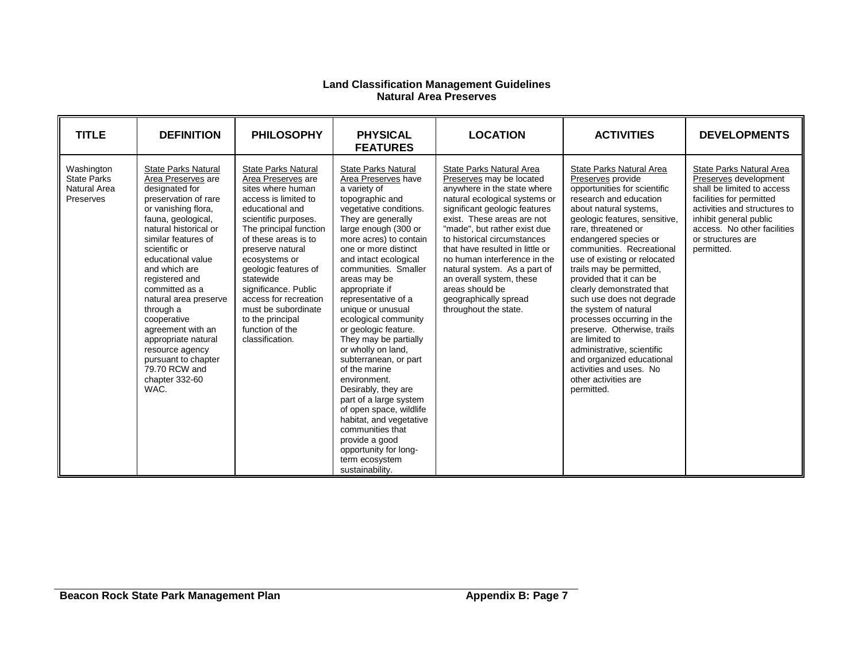#### **Land Classification Management Guidelines Natural Area Preserves**

| <b>TITLE</b>                                                  | <b>DEFINITION</b>                                                                                                                                                                                                                                                                                                                                                                                                                                                        | <b>PHILOSOPHY</b>                                                                                                                                                                                                                                                                                                                                                                                      | <b>PHYSICAL</b><br><b>FEATURES</b>                                                                                                                                                                                                                                                                                                                                                                                                                                                                                                                                                                                                                                                                                | <b>LOCATION</b>                                                                                                                                                                                                                                                                                                                                                                                                                                        | <b>ACTIVITIES</b>                                                                                                                                                                                                                                                                                                                                                                                                                                                                                                                                                                                                                    | <b>DEVELOPMENTS</b>                                                                                                                                                                                                                     |
|---------------------------------------------------------------|--------------------------------------------------------------------------------------------------------------------------------------------------------------------------------------------------------------------------------------------------------------------------------------------------------------------------------------------------------------------------------------------------------------------------------------------------------------------------|--------------------------------------------------------------------------------------------------------------------------------------------------------------------------------------------------------------------------------------------------------------------------------------------------------------------------------------------------------------------------------------------------------|-------------------------------------------------------------------------------------------------------------------------------------------------------------------------------------------------------------------------------------------------------------------------------------------------------------------------------------------------------------------------------------------------------------------------------------------------------------------------------------------------------------------------------------------------------------------------------------------------------------------------------------------------------------------------------------------------------------------|--------------------------------------------------------------------------------------------------------------------------------------------------------------------------------------------------------------------------------------------------------------------------------------------------------------------------------------------------------------------------------------------------------------------------------------------------------|--------------------------------------------------------------------------------------------------------------------------------------------------------------------------------------------------------------------------------------------------------------------------------------------------------------------------------------------------------------------------------------------------------------------------------------------------------------------------------------------------------------------------------------------------------------------------------------------------------------------------------------|-----------------------------------------------------------------------------------------------------------------------------------------------------------------------------------------------------------------------------------------|
| Washington<br><b>State Parks</b><br>Natural Area<br>Preserves | <b>State Parks Natural</b><br>Area Preserves are<br>designated for<br>preservation of rare<br>or vanishing flora,<br>fauna, geological,<br>natural historical or<br>similar features of<br>scientific or<br>educational value<br>and which are<br>registered and<br>committed as a<br>natural area preserve<br>through a<br>cooperative<br>agreement with an<br>appropriate natural<br>resource agency<br>pursuant to chapter<br>79.70 RCW and<br>chapter 332-60<br>WAC. | <b>State Parks Natural</b><br>Area Preserves are<br>sites where human<br>access is limited to<br>educational and<br>scientific purposes.<br>The principal function<br>of these areas is to<br>preserve natural<br>ecosystems or<br>geologic features of<br>statewide<br>significance. Public<br>access for recreation<br>must be subordinate<br>to the principal<br>function of the<br>classification. | <b>State Parks Natural</b><br>Area Preserves have<br>a variety of<br>topographic and<br>vegetative conditions.<br>They are generally<br>large enough (300 or<br>more acres) to contain<br>one or more distinct<br>and intact ecological<br>communities. Smaller<br>areas may be<br>appropriate if<br>representative of a<br>unique or unusual<br>ecological community<br>or geologic feature.<br>They may be partially<br>or wholly on land,<br>subterranean, or part<br>of the marine<br>environment.<br>Desirably, they are<br>part of a large system<br>of open space, wildlife<br>habitat, and vegetative<br>communities that<br>provide a good<br>opportunity for long-<br>term ecosystem<br>sustainability. | State Parks Natural Area<br>Preserves may be located<br>anywhere in the state where<br>natural ecological systems or<br>significant geologic features<br>exist. These areas are not<br>"made", but rather exist due<br>to historical circumstances<br>that have resulted in little or<br>no human interference in the<br>natural system. As a part of<br>an overall system, these<br>areas should be<br>geographically spread<br>throughout the state. | State Parks Natural Area<br>Preserves provide<br>opportunities for scientific<br>research and education<br>about natural systems,<br>geologic features, sensitive,<br>rare, threatened or<br>endangered species or<br>communities. Recreational<br>use of existing or relocated<br>trails may be permitted,<br>provided that it can be<br>clearly demonstrated that<br>such use does not degrade<br>the system of natural<br>processes occurring in the<br>preserve. Otherwise, trails<br>are limited to<br>administrative, scientific<br>and organized educational<br>activities and uses. No<br>other activities are<br>permitted. | State Parks Natural Area<br>Preserves development<br>shall be limited to access<br>facilities for permitted<br>activities and structures to<br>inhibit general public<br>access. No other facilities<br>or structures are<br>permitted. |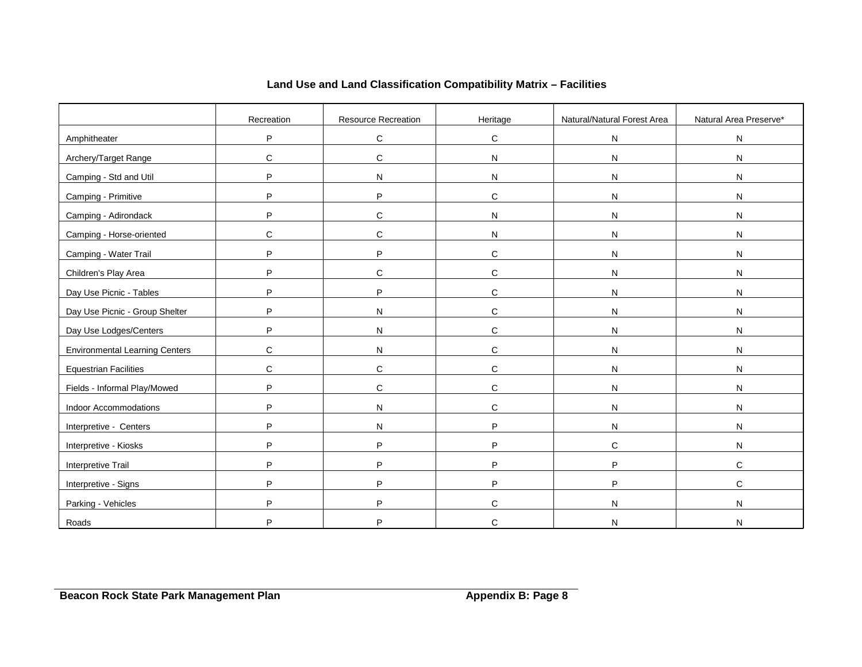|                                       | Recreation  | Resource Recreation | Heritage     | Natural/Natural Forest Area | Natural Area Preserve* |
|---------------------------------------|-------------|---------------------|--------------|-----------------------------|------------------------|
| Amphitheater                          | P           | $\mathbf C$         | $\mathbf C$  | N                           | ${\sf N}$              |
| Archery/Target Range                  | $\mathsf C$ | $\mathbf C$         | ${\sf N}$    | N                           | ${\sf N}$              |
| Camping - Std and Util                | P           | N                   | ${\sf N}$    | N                           | N                      |
| Camping - Primitive                   | P           | P                   | $\mathbf C$  | N                           | ${\sf N}$              |
| Camping - Adirondack                  | P           | $\mathbf C$         | N            | N                           | ${\sf N}$              |
| Camping - Horse-oriented              | C           | $\mathbf C$         | ${\sf N}$    | ${\sf N}$                   | N                      |
| Camping - Water Trail                 | P           | P                   | $\mathbf C$  | N                           | ${\sf N}$              |
| Children's Play Area                  | P           | $\mathbf C$         | $\mathsf{C}$ | N                           | ${\sf N}$              |
| Day Use Picnic - Tables               | P           | P                   | $\mathbf C$  | N                           | ${\sf N}$              |
| Day Use Picnic - Group Shelter        | P           | N                   | $\mathbf C$  | N                           | ${\sf N}$              |
| Day Use Lodges/Centers                | P           | ${\sf N}$           | $\mathbf C$  | N                           | ${\sf N}$              |
| <b>Environmental Learning Centers</b> | C           | ${\sf N}$           | $\mathbf C$  | N                           | N                      |
| <b>Equestrian Facilities</b>          | C           | $\mathbf C$         | $\mathbf C$  | ${\sf N}$                   | ${\sf N}$              |
| Fields - Informal Play/Mowed          | P           | C                   | $\mathbf C$  | N                           | ${\sf N}$              |
| Indoor Accommodations                 | P           | N                   | $\mathsf{C}$ | N                           | N                      |
| Interpretive - Centers                | P           | ${\sf N}$           | P            | ${\sf N}$                   | ${\sf N}$              |
| Interpretive - Kiosks                 | P           | P                   | P            | $\mathbf C$                 | ${\sf N}$              |
| Interpretive Trail                    | P           | P                   | P            | P                           | C                      |
| Interpretive - Signs                  | P           | P                   | P            | P                           | $\mathbf C$            |
| Parking - Vehicles                    | P           | P                   | C            | N                           | ${\sf N}$              |
| Roads                                 | P           | P                   | C            | N                           | N                      |

# **Land Use and Land Classification Compatibility Matrix – Facilities**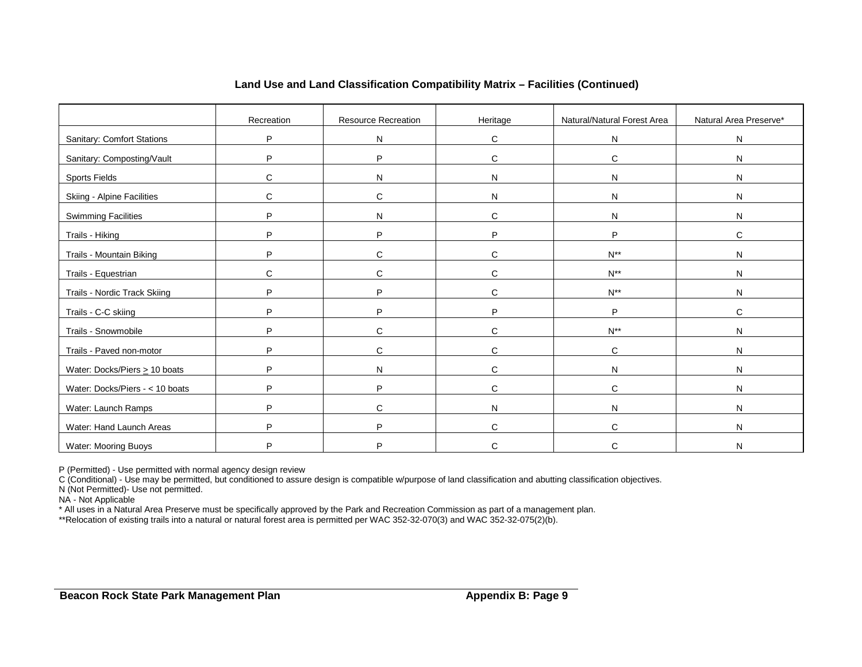|                                    | Recreation | Resource Recreation | Heritage     | Natural/Natural Forest Area | Natural Area Preserve* |
|------------------------------------|------------|---------------------|--------------|-----------------------------|------------------------|
| <b>Sanitary: Comfort Stations</b>  | P          | N                   | C            | N                           | ${\sf N}$              |
| Sanitary: Composting/Vault         | P          | P                   | $\mathsf{C}$ | C                           | N                      |
| <b>Sports Fields</b>               | C          | N                   | N            | N                           | N                      |
| Skiing - Alpine Facilities         | C          | C                   | N            | N                           | N                      |
| <b>Swimming Facilities</b>         | P          | N                   | C            | N                           | N                      |
| Trails - Hiking                    | P          | P                   | P            | P                           | C                      |
| Trails - Mountain Biking           | P          | $\mathsf{C}$        | $\mathsf{C}$ | $N^{**}$                    | N                      |
| Trails - Equestrian                | С          | C                   | $\mathsf{C}$ | $N^{**}$                    | ${\sf N}$              |
| Trails - Nordic Track Skiing       | P          | P                   | $\mathsf{C}$ | $\mathsf{N}^{\ast\ast}$     | N                      |
| Trails - C-C skiing                | P          | P                   | P            | P                           | $\mathsf{C}$           |
| Trails - Snowmobile                | P          | C                   | $\mathsf{C}$ | $N^{**}$                    | N                      |
| Trails - Paved non-motor           | P          | C                   | C            | C                           | N                      |
| Water: Docks/Piers $\geq 10$ boats | P          | N                   | C            | N                           | N                      |
| Water: Docks/Piers - < 10 boats    | P          | P                   | $\mathsf{C}$ | C                           | N                      |
| Water: Launch Ramps                | P          | C                   | N            | N                           | N                      |
| Water: Hand Launch Areas           | P          | P                   | C            | C                           | N                      |
| Water: Mooring Buoys               | P          | D                   | C            | C                           | N                      |

#### **Land Use and Land Classification Compatibility Matrix – Facilities (Continued)**

P (Permitted) - Use permitted with normal agency design review

C (Conditional) - Use may be permitted, but conditioned to assure design is compatible w/purpose of land classification and abutting classification objectives.

N (Not Permitted)- Use not permitted.

NA - Not Applicable

\* All uses in a Natural Area Preserve must be specifically approved by the Park and Recreation Commission as part of a management plan.

\*\*Relocation of existing trails into a natural or natural forest area is permitted per WAC 352-32-070(3) and WAC 352-32-075(2)(b).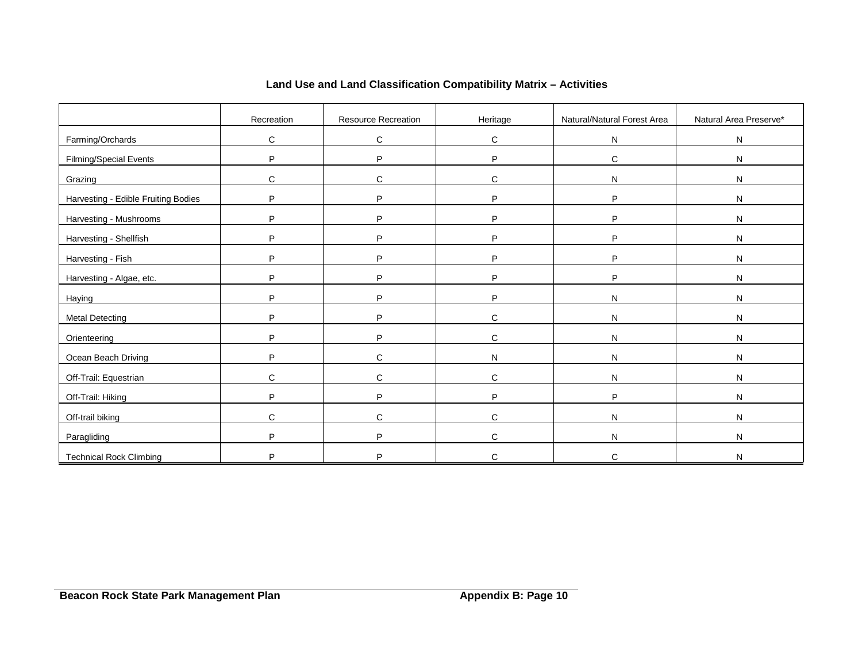|                                     | Recreation   | Resource Recreation | Heritage     | Natural/Natural Forest Area | Natural Area Preserve* |
|-------------------------------------|--------------|---------------------|--------------|-----------------------------|------------------------|
| Farming/Orchards                    | C            | C                   | $\mathbf C$  | N                           | ${\sf N}$              |
| Filming/Special Events              | P            | P                   | P            | $\mathbf C$                 | ${\sf N}$              |
| Grazing                             | C            | С                   | C            | N                           | ${\sf N}$              |
| Harvesting - Edible Fruiting Bodies | P            | P                   | P            | P                           | ${\sf N}$              |
| Harvesting - Mushrooms              | P            | P                   | P            | P                           | N                      |
| Harvesting - Shellfish              | P            | P                   | P            | P                           | N                      |
| Harvesting - Fish                   | P            | P                   | P            | P                           | ${\sf N}$              |
| Harvesting - Algae, etc.            | P            | P                   | P            | P                           | ${\sf N}$              |
| Haying                              | P            | P                   | P            | N                           | ${\sf N}$              |
| <b>Metal Detecting</b>              | P            | P                   | $\mathsf{C}$ | N                           | ${\sf N}$              |
| Orienteering                        | P            | P                   | C            | N                           | ${\sf N}$              |
| Ocean Beach Driving                 | P            | C                   | N            | N                           | N                      |
| Off-Trail: Equestrian               | C            | $\mathsf{C}$        | C            | N                           | ${\sf N}$              |
| Off-Trail: Hiking                   | P            | P                   | P            | P                           | ${\sf N}$              |
| Off-trail biking                    | $\mathsf{C}$ | $\mathsf C$         | $\mathsf{C}$ | N                           | ${\sf N}$              |
| Paragliding                         | P            | P                   | $\mathsf{C}$ | N                           | ${\sf N}$              |
| <b>Technical Rock Climbing</b>      | P            | P                   | C            | C                           | N                      |

# **Land Use and Land Classification Compatibility Matrix – Activities**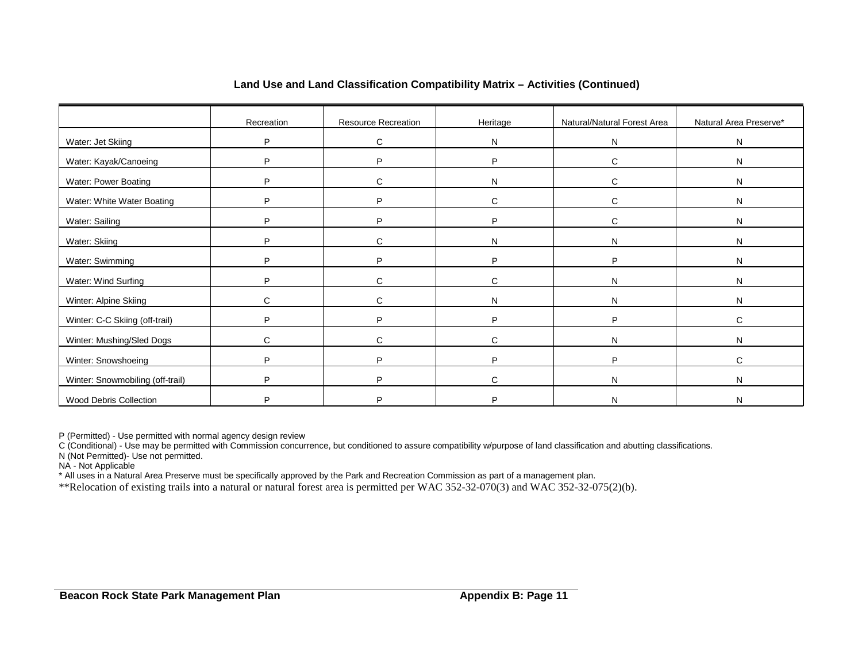|                                  | Recreation | Resource Recreation | Heritage     | Natural/Natural Forest Area | Natural Area Preserve* |
|----------------------------------|------------|---------------------|--------------|-----------------------------|------------------------|
| Water: Jet Skiing                | P          | C                   | N            | N                           | N                      |
| Water: Kayak/Canoeing            | P          | P                   | P            | C                           | N                      |
| Water: Power Boating             | P          | C                   | N            | C                           | N                      |
| Water: White Water Boating       | P          | P                   | C            | C                           | N                      |
| Water: Sailing                   | P          | P                   | P            | $\mathsf{C}$                | N                      |
| Water: Skiing                    | P          | C                   | N            | N                           | N                      |
| Water: Swimming                  | P          | P                   | P            | P                           | N                      |
| Water: Wind Surfing              | P          | C                   | C            | N                           | N                      |
| Winter: Alpine Skiing            | C          | C                   | N            | N                           | N                      |
| Winter: C-C Skiing (off-trail)   | P          | P                   | P            | P                           | C                      |
| Winter: Mushing/Sled Dogs        | C          | C                   | $\mathbf{C}$ | N                           | N                      |
| Winter: Snowshoeing              | P          | P                   | Þ            | P                           | C                      |
| Winter: Snowmobiling (off-trail) | P          | P                   | $\mathsf{C}$ | N                           | N                      |
| Wood Debris Collection           | D          | P                   | D            | N                           | N                      |

#### **Land Use and Land Classification Compatibility Matrix – Activities (Continued)**

P (Permitted) - Use permitted with normal agency design review

C (Conditional) - Use may be permitted with Commission concurrence, but conditioned to assure compatibility w/purpose of land classification and abutting classifications.

N (Not Permitted)- Use not permitted.

NA - Not Applicable

\* All uses in a Natural Area Preserve must be specifically approved by the Park and Recreation Commission as part of a management plan.

\*\*Relocation of existing trails into a natural or natural forest area is permitted per WAC 352-32-070(3) and WAC 352-32-075(2)(b).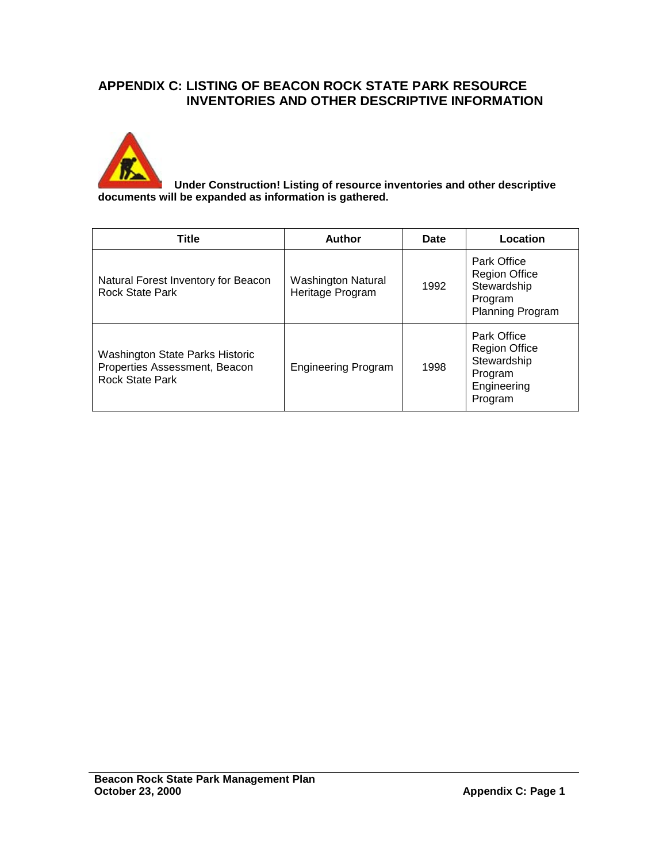# **APPENDIX C: LISTING OF BEACON ROCK STATE PARK RESOURCE INVENTORIES AND OTHER DESCRIPTIVE INFORMATION**



 **Under Construction! Listing of resource inventories and other descriptive documents will be expanded as information is gathered.**

| Title                                                                                             | Author                                        | <b>Date</b> | Location                                                                                 |
|---------------------------------------------------------------------------------------------------|-----------------------------------------------|-------------|------------------------------------------------------------------------------------------|
| Natural Forest Inventory for Beacon<br><b>Rock State Park</b>                                     | <b>Washington Natural</b><br>Heritage Program | 1992        | <b>Park Office</b><br><b>Region Office</b><br>Stewardship<br>Program<br>Planning Program |
| <b>Washington State Parks Historic</b><br>Properties Assessment, Beacon<br><b>Rock State Park</b> | <b>Engineering Program</b>                    | 1998        | Park Office<br><b>Region Office</b><br>Stewardship<br>Program<br>Engineering<br>Program  |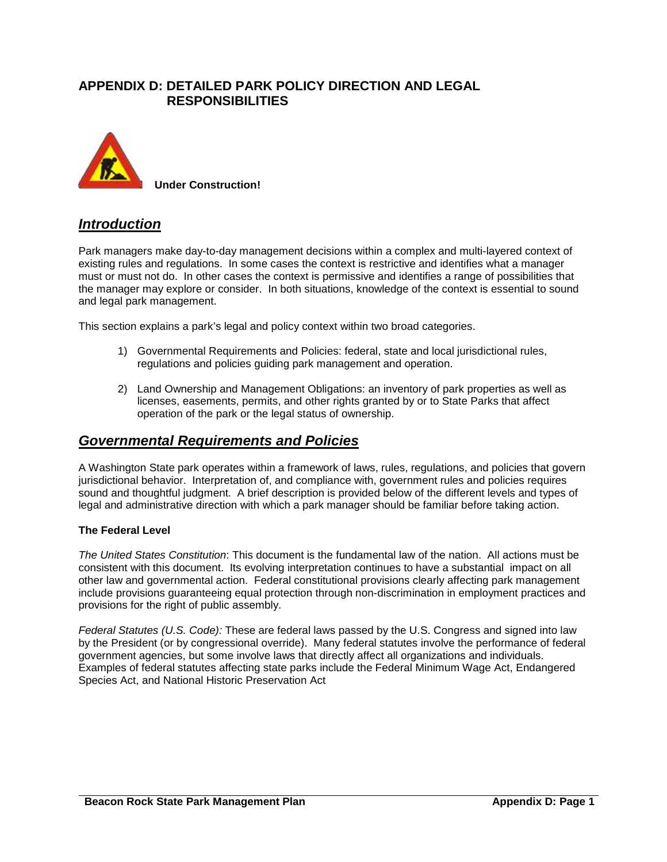# **APPENDIX D: DETAILED PARK POLICY DIRECTION AND LEGAL RESPONSIBILITIES**



**Under Construction!** 

# *Introduction*

Park managers make day-to-day management decisions within a complex and multi-layered context of existing rules and regulations. In some cases the context is restrictive and identifies what a manager must or must not do. In other cases the context is permissive and identifies a range of possibilities that the manager may explore or consider. In both situations, knowledge of the context is essential to sound and legal park management.

This section explains a park's legal and policy context within two broad categories.

- 1) Governmental Requirements and Policies: federal, state and local jurisdictional rules, regulations and policies guiding park management and operation.
- 2) Land Ownership and Management Obligations: an inventory of park properties as well as licenses, easements, permits, and other rights granted by or to State Parks that affect operation of the park or the legal status of ownership.

# *Governmental Requirements and Policies*

A Washington State park operates within a framework of laws, rules, regulations, and policies that govern jurisdictional behavior. Interpretation of, and compliance with, government rules and policies requires sound and thoughtful judgment. A brief description is provided below of the different levels and types of legal and administrative direction with which a park manager should be familiar before taking action.

#### **The Federal Level**

*The United States Constitution*: This document is the fundamental law of the nation. All actions must be consistent with this document. Its evolving interpretation continues to have a substantial impact on all other law and governmental action. Federal constitutional provisions clearly affecting park management include provisions guaranteeing equal protection through non-discrimination in employment practices and provisions for the right of public assembly.

*Federal Statutes (U.S. Code):* These are federal laws passed by the U.S. Congress and signed into law by the President (or by congressional override). Many federal statutes involve the performance of federal government agencies, but some involve laws that directly affect all organizations and individuals. Examples of federal statutes affecting state parks include the Federal Minimum Wage Act, Endangered Species Act, and National Historic Preservation Act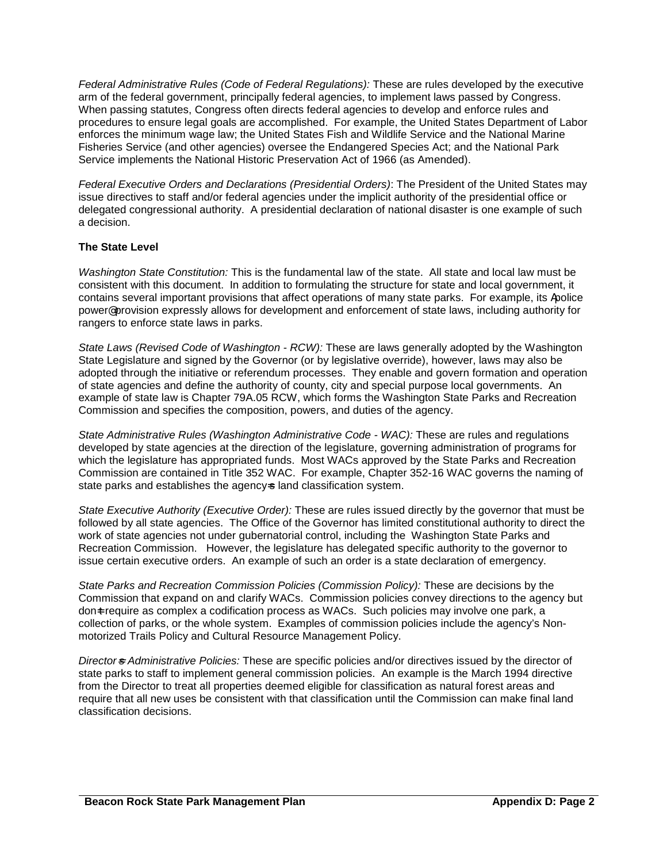*Federal Administrative Rules (Code of Federal Regulations):* These are rules developed by the executive arm of the federal government, principally federal agencies, to implement laws passed by Congress. When passing statutes, Congress often directs federal agencies to develop and enforce rules and procedures to ensure legal goals are accomplished. For example, the United States Department of Labor enforces the minimum wage law; the United States Fish and Wildlife Service and the National Marine Fisheries Service (and other agencies) oversee the Endangered Species Act; and the National Park Service implements the National Historic Preservation Act of 1966 (as Amended).

*Federal Executive Orders and Declarations (Presidential Orders)*: The President of the United States may issue directives to staff and/or federal agencies under the implicit authority of the presidential office or delegated congressional authority. A presidential declaration of national disaster is one example of such a decision.

#### **The State Level**

*Washington State Constitution:* This is the fundamental law of the state. All state and local law must be consistent with this document. In addition to formulating the structure for state and local government, it contains several important provisions that affect operations of many state parks. For example, its Apolice power<sup>®</sup> provision expressly allows for development and enforcement of state laws, including authority for rangers to enforce state laws in parks.

*State Laws (Revised Code of Washington - RCW):* These are laws generally adopted by the Washington State Legislature and signed by the Governor (or by legislative override), however, laws may also be adopted through the initiative or referendum processes. They enable and govern formation and operation of state agencies and define the authority of county, city and special purpose local governments. An example of state law is Chapter 79A.05 RCW, which forms the Washington State Parks and Recreation Commission and specifies the composition, powers, and duties of the agency.

*State Administrative Rules (Washington Administrative Code - WAC):* These are rules and regulations developed by state agencies at the direction of the legislature, governing administration of programs for which the legislature has appropriated funds. Most WACs approved by the State Parks and Recreation Commission are contained in Title 352 WAC. For example, Chapter 352-16 WAC governs the naming of state parks and establishes the agency-s land classification system.

*State Executive Authority (Executive Order):* These are rules issued directly by the governor that must be followed by all state agencies. The Office of the Governor has limited constitutional authority to direct the work of state agencies not under gubernatorial control, including the Washington State Parks and Recreation Commission. However, the legislature has delegated specific authority to the governor to issue certain executive orders. An example of such an order is a state declaration of emergency.

*State Parks and Recreation Commission Policies (Commission Policy):* These are decisions by the Commission that expand on and clarify WACs. Commission policies convey directions to the agency but don-t require as complex a codification process as WACs. Such policies may involve one park, a collection of parks, or the whole system. Examples of commission policies include the agency's Nonmotorized Trails Policy and Cultural Resource Management Policy.

*Director*=*s Administrative Policies:* These are specific policies and/or directives issued by the director of state parks to staff to implement general commission policies. An example is the March 1994 directive from the Director to treat all properties deemed eligible for classification as natural forest areas and require that all new uses be consistent with that classification until the Commission can make final land classification decisions.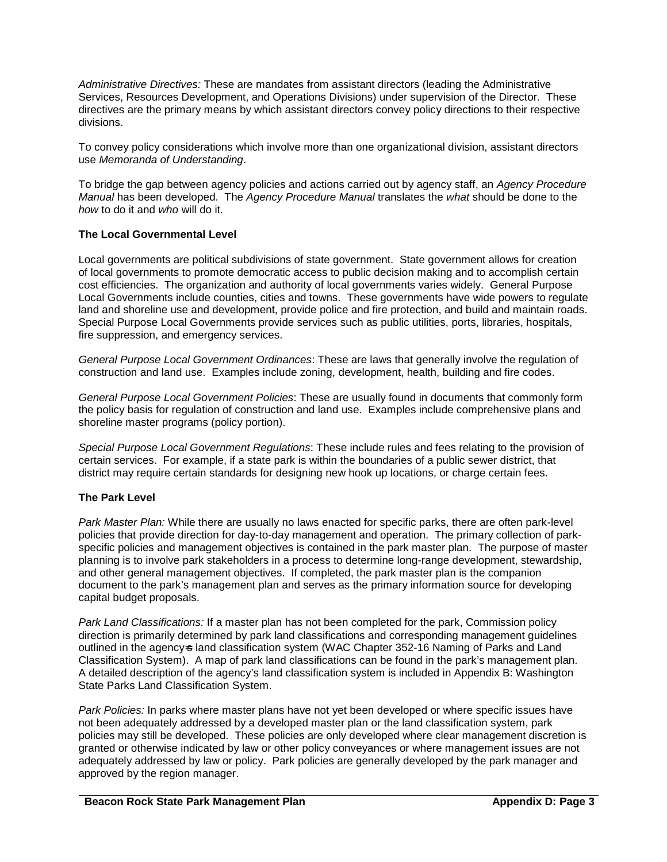*Administrative Directives:* These are mandates from assistant directors (leading the Administrative Services, Resources Development, and Operations Divisions) under supervision of the Director. These directives are the primary means by which assistant directors convey policy directions to their respective divisions.

To convey policy considerations which involve more than one organizational division, assistant directors use *Memoranda of Understanding*.

To bridge the gap between agency policies and actions carried out by agency staff, an *Agency Procedure Manual* has been developed. The *Agency Procedure Manual* translates the *what* should be done to the *how* to do it and *who* will do it.

#### **The Local Governmental Level**

Local governments are political subdivisions of state government. State government allows for creation of local governments to promote democratic access to public decision making and to accomplish certain cost efficiencies. The organization and authority of local governments varies widely.General Purpose Local Governments include counties, cities and towns. These governments have wide powers to regulate land and shoreline use and development, provide police and fire protection, and build and maintain roads. Special Purpose Local Governments provide services such as public utilities, ports, libraries, hospitals, fire suppression, and emergency services.

*General Purpose Local Government Ordinances*: These are laws that generally involve the regulation of construction and land use. Examples include zoning, development, health, building and fire codes.

*General Purpose Local Government Policies*: These are usually found in documents that commonly form the policy basis for regulation of construction and land use. Examples include comprehensive plans and shoreline master programs (policy portion).

*Special Purpose Local Government Regulations*: These include rules and fees relating to the provision of certain services. For example, if a state park is within the boundaries of a public sewer district, that district may require certain standards for designing new hook up locations, or charge certain fees.

#### **The Park Level**

*Park Master Plan:* While there are usually no laws enacted for specific parks, there are often park-level policies that provide direction for day-to-day management and operation. The primary collection of parkspecific policies and management objectives is contained in the park master plan. The purpose of master planning is to involve park stakeholders in a process to determine long-range development, stewardship, and other general management objectives. If completed, the park master plan is the companion document to the park's management plan and serves as the primary information source for developing capital budget proposals.

*Park Land Classifications:* If a master plan has not been completed for the park, Commission policy direction is primarily determined by park land classifications and corresponding management guidelines outlined in the agency-s land classification system (WAC Chapter 352-16 Naming of Parks and Land Classification System). A map of park land classifications can be found in the park's management plan. A detailed description of the agency's land classification system is included in Appendix B: Washington State Parks Land Classification System.

*Park Policies:* In parks where master plans have not yet been developed or where specific issues have not been adequately addressed by a developed master plan or the land classification system, park policies may still be developed. These policies are only developed where clear management discretion is granted or otherwise indicated by law or other policy conveyances or where management issues are not adequately addressed by law or policy. Park policies are generally developed by the park manager and approved by the region manager.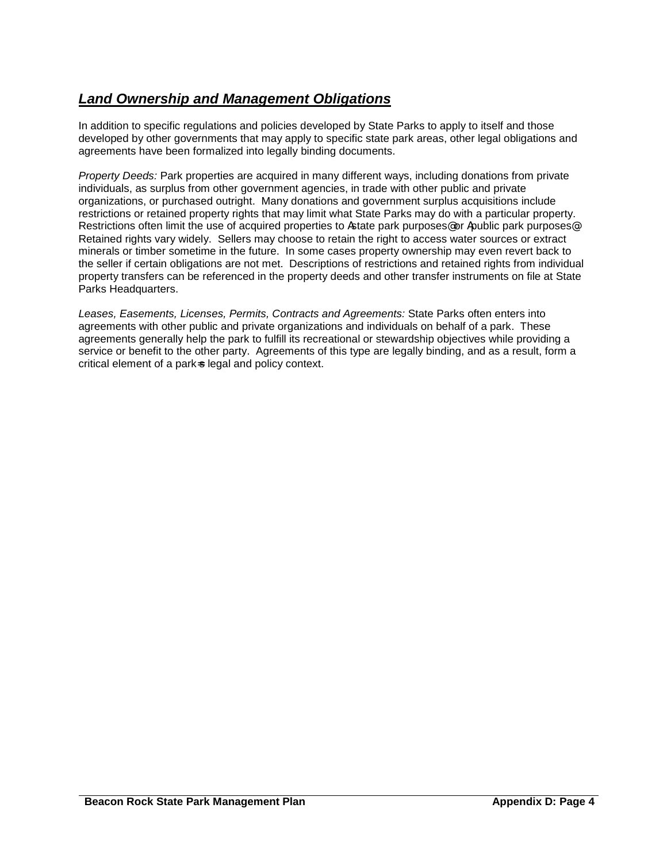# *Land Ownership and Management Obligations*

In addition to specific regulations and policies developed by State Parks to apply to itself and those developed by other governments that may apply to specific state park areas, other legal obligations and agreements have been formalized into legally binding documents.

*Property Deeds:* Park properties are acquired in many different ways, including donations from private individuals, as surplus from other government agencies, in trade with other public and private organizations, or purchased outright. Many donations and government surplus acquisitions include restrictions or retained property rights that may limit what State Parks may do with a particular property. Restrictions often limit the use of acquired properties to Astate park purposes® or Apublic park purposes®. Retained rights vary widely. Sellers may choose to retain the right to access water sources or extract minerals or timber sometime in the future. In some cases property ownership may even revert back to the seller if certain obligations are not met. Descriptions of restrictions and retained rights from individual property transfers can be referenced in the property deeds and other transfer instruments on file at State Parks Headquarters.

*Leases, Easements, Licenses, Permits, Contracts and Agreements:* State Parks often enters into agreements with other public and private organizations and individuals on behalf of a park. These agreements generally help the park to fulfill its recreational or stewardship objectives while providing a service or benefit to the other party. Agreements of this type are legally binding, and as a result, form a critical element of a park-s legal and policy context.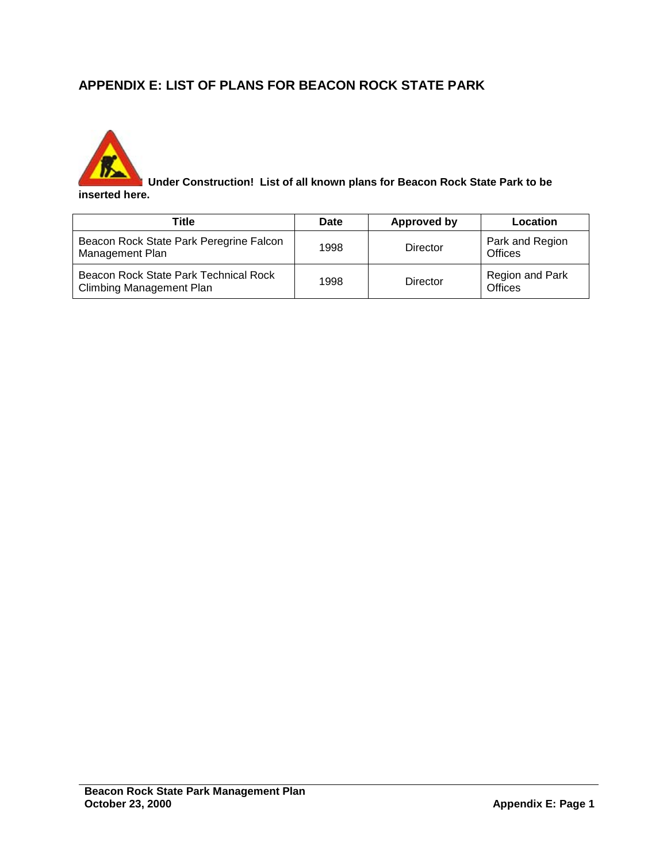# **APPENDIX E: LIST OF PLANS FOR BEACON ROCK STATE PARK**



 **Under Construction! List of all known plans for Beacon Rock State Park to be inserted here.**

| Title                                                                    | Date | <b>Approved by</b> | Location                   |
|--------------------------------------------------------------------------|------|--------------------|----------------------------|
| Beacon Rock State Park Peregrine Falcon<br>Management Plan               | 1998 | Director           | Park and Region<br>Offices |
| Beacon Rock State Park Technical Rock<br><b>Climbing Management Plan</b> | 1998 | Director           | Region and Park<br>Offices |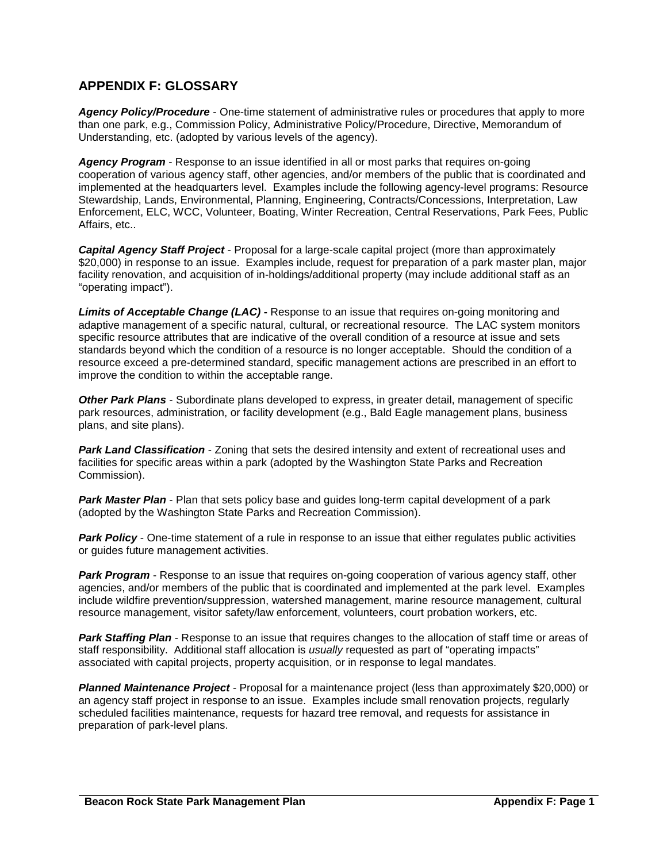# **APPENDIX F: GLOSSARY**

*Agency Policy/Procedure* - One-time statement of administrative rules or procedures that apply to more than one park, e.g., Commission Policy, Administrative Policy/Procedure, Directive, Memorandum of Understanding, etc. (adopted by various levels of the agency).

*Agency Program* - Response to an issue identified in all or most parks that requires on-going cooperation of various agency staff, other agencies, and/or members of the public that is coordinated and implemented at the headquarters level. Examples include the following agency-level programs: Resource Stewardship, Lands, Environmental, Planning, Engineering, Contracts/Concessions, Interpretation, Law Enforcement, ELC, WCC, Volunteer, Boating, Winter Recreation, Central Reservations, Park Fees, Public Affairs, etc..

*Capital Agency Staff Project* - Proposal for a large-scale capital project (more than approximately \$20,000) in response to an issue. Examples include, request for preparation of a park master plan, major facility renovation, and acquisition of in-holdings/additional property (may include additional staff as an "operating impact").

*Limits of Acceptable Change (LAC)* **-** Response to an issue that requires on-going monitoring and adaptive management of a specific natural, cultural, or recreational resource. The LAC system monitors specific resource attributes that are indicative of the overall condition of a resource at issue and sets standards beyond which the condition of a resource is no longer acceptable. Should the condition of a resource exceed a pre-determined standard, specific management actions are prescribed in an effort to improve the condition to within the acceptable range.

*Other Park Plans* - Subordinate plans developed to express, in greater detail, management of specific park resources, administration, or facility development (e.g., Bald Eagle management plans, business plans, and site plans).

**Park Land Classification** - Zoning that sets the desired intensity and extent of recreational uses and facilities for specific areas within a park (adopted by the Washington State Parks and Recreation Commission).

*Park Master Plan* - Plan that sets policy base and guides long-term capital development of a park (adopted by the Washington State Parks and Recreation Commission).

**Park Policy** - One-time statement of a rule in response to an issue that either regulates public activities or guides future management activities.

**Park Program** - Response to an issue that requires on-going cooperation of various agency staff, other agencies, and/or members of the public that is coordinated and implemented at the park level. Examples include wildfire prevention/suppression, watershed management, marine resource management, cultural resource management, visitor safety/law enforcement, volunteers, court probation workers, etc.

*Park Staffing Plan* - Response to an issue that requires changes to the allocation of staff time or areas of staff responsibility. Additional staff allocation is *usually* requested as part of "operating impacts" associated with capital projects, property acquisition, or in response to legal mandates.

*Planned Maintenance Project* - Proposal for a maintenance project (less than approximately \$20,000) or an agency staff project in response to an issue. Examples include small renovation projects, regularly scheduled facilities maintenance, requests for hazard tree removal, and requests for assistance in preparation of park-level plans.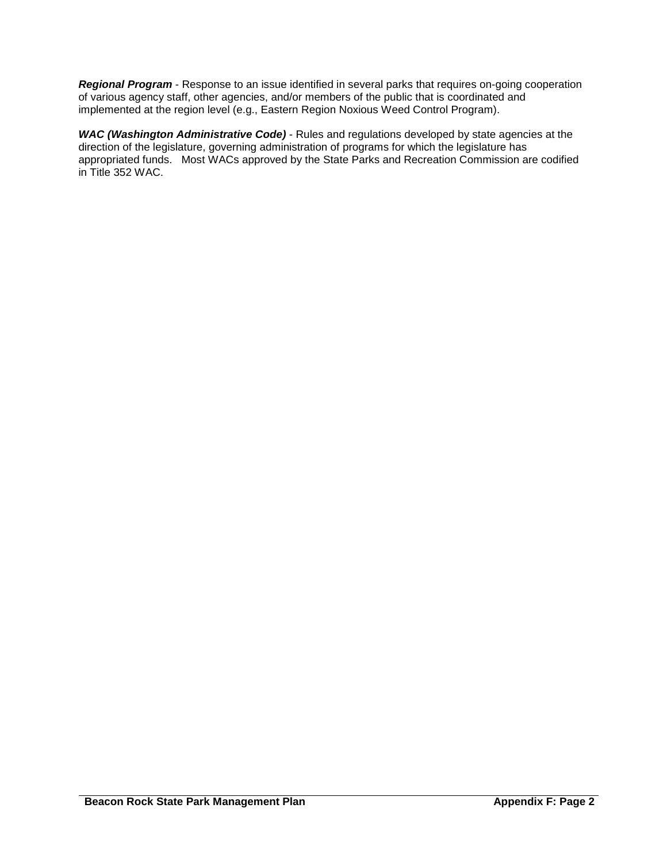*Regional Program* - Response to an issue identified in several parks that requires on-going cooperation of various agency staff, other agencies, and/or members of the public that is coordinated and implemented at the region level (e.g., Eastern Region Noxious Weed Control Program).

*WAC (Washington Administrative Code)* - Rules and regulations developed by state agencies at the direction of the legislature, governing administration of programs for which the legislature has appropriated funds. Most WACs approved by the State Parks and Recreation Commission are codified in Title 352 WAC.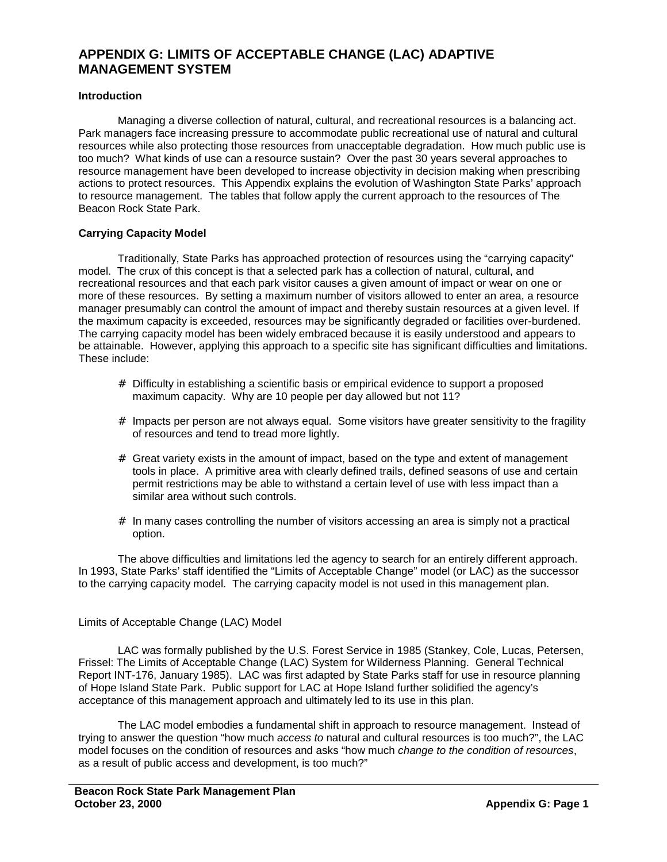# **APPENDIX G: LIMITS OF ACCEPTABLE CHANGE (LAC) ADAPTIVE MANAGEMENT SYSTEM**

#### **Introduction**

Managing a diverse collection of natural, cultural, and recreational resources is a balancing act. Park managers face increasing pressure to accommodate public recreational use of natural and cultural resources while also protecting those resources from unacceptable degradation. How much public use is too much? What kinds of use can a resource sustain? Over the past 30 years several approaches to resource management have been developed to increase objectivity in decision making when prescribing actions to protect resources. This Appendix explains the evolution of Washington State Parks' approach to resource management. The tables that follow apply the current approach to the resources of The Beacon Rock State Park.

#### **Carrying Capacity Model**

Traditionally, State Parks has approached protection of resources using the "carrying capacity" model. The crux of this concept is that a selected park has a collection of natural, cultural, and recreational resources and that each park visitor causes a given amount of impact or wear on one or more of these resources. By setting a maximum number of visitors allowed to enter an area, a resource manager presumably can control the amount of impact and thereby sustain resources at a given level. If the maximum capacity is exceeded, resources may be significantly degraded or facilities over-burdened. The carrying capacity model has been widely embraced because it is easily understood and appears to be attainable. However, applying this approach to a specific site has significant difficulties and limitations. These include:

- # Difficulty in establishing a scientific basis or empirical evidence to support a proposed maximum capacity. Why are 10 people per day allowed but not 11?
- $#$  Impacts per person are not always equal. Some visitors have greater sensitivity to the fragility of resources and tend to tread more lightly.
- $#$  Great variety exists in the amount of impact, based on the type and extent of management tools in place. A primitive area with clearly defined trails, defined seasons of use and certain permit restrictions may be able to withstand a certain level of use with less impact than a similar area without such controls.
- $#$  In many cases controlling the number of visitors accessing an area is simply not a practical option.

The above difficulties and limitations led the agency to search for an entirely different approach. In 1993, State Parks' staff identified the "Limits of Acceptable Change" model (or LAC) as the successor to the carrying capacity model. The carrying capacity model is not used in this management plan.

#### Limits of Acceptable Change (LAC) Model

LAC was formally published by the U.S. Forest Service in 1985 (Stankey, Cole, Lucas, Petersen, Frissel: The Limits of Acceptable Change (LAC) System for Wilderness Planning. General Technical Report INT-176, January 1985). LAC was first adapted by State Parks staff for use in resource planning of Hope Island State Park. Public support for LAC at Hope Island further solidified the agency's acceptance of this management approach and ultimately led to its use in this plan.

The LAC model embodies a fundamental shift in approach to resource management. Instead of trying to answer the question "how much *access to* natural and cultural resources is too much?", the LAC model focuses on the condition of resources and asks "how much *change to the condition of resources*, as a result of public access and development, is too much?"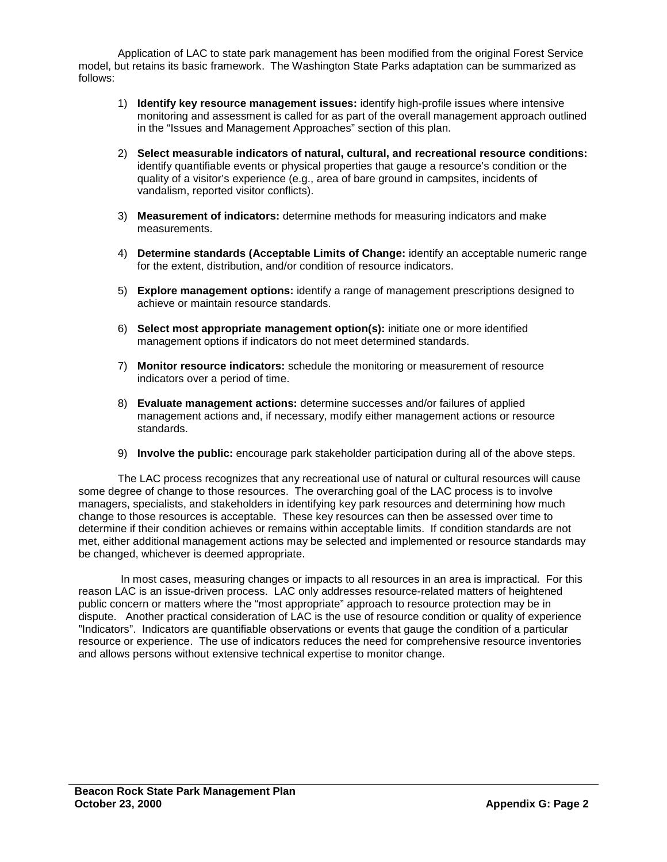Application of LAC to state park management has been modified from the original Forest Service model, but retains its basic framework. The Washington State Parks adaptation can be summarized as follows:

- 1) **Identify key resource management issues:** identify high-profile issues where intensive monitoring and assessment is called for as part of the overall management approach outlined in the "Issues and Management Approaches" section of this plan.
- 2) **Select measurable indicators of natural, cultural, and recreational resource conditions:** identify quantifiable events or physical properties that gauge a resource's condition or the quality of a visitor's experience (e.g., area of bare ground in campsites, incidents of vandalism, reported visitor conflicts).
- 3) **Measurement of indicators:** determine methods for measuring indicators and make measurements.
- 4) **Determine standards (Acceptable Limits of Change:** identify an acceptable numeric range for the extent, distribution, and/or condition of resource indicators.
- 5) **Explore management options:** identify a range of management prescriptions designed to achieve or maintain resource standards.
- 6) **Select most appropriate management option(s):** initiate one or more identified management options if indicators do not meet determined standards.
- 7) **Monitor resource indicators:** schedule the monitoring or measurement of resource indicators over a period of time.
- 8) **Evaluate management actions:** determine successes and/or failures of applied management actions and, if necessary, modify either management actions or resource standards.
- 9) **Involve the public:** encourage park stakeholder participation during all of the above steps.

The LAC process recognizes that any recreational use of natural or cultural resources will cause some degree of change to those resources. The overarching goal of the LAC process is to involve managers, specialists, and stakeholders in identifying key park resources and determining how much change to those resources is acceptable. These key resources can then be assessed over time to determine if their condition achieves or remains within acceptable limits. If condition standards are not met, either additional management actions may be selected and implemented or resource standards may be changed, whichever is deemed appropriate.

In most cases, measuring changes or impacts to all resources in an area is impractical. For this reason LAC is an issue-driven process. LAC only addresses resource-related matters of heightened public concern or matters where the "most appropriate" approach to resource protection may be in dispute. Another practical consideration of LAC is the use of resource condition or quality of experience "Indicators". Indicators are quantifiable observations or events that gauge the condition of a particular resource or experience. The use of indicators reduces the need for comprehensive resource inventories and allows persons without extensive technical expertise to monitor change.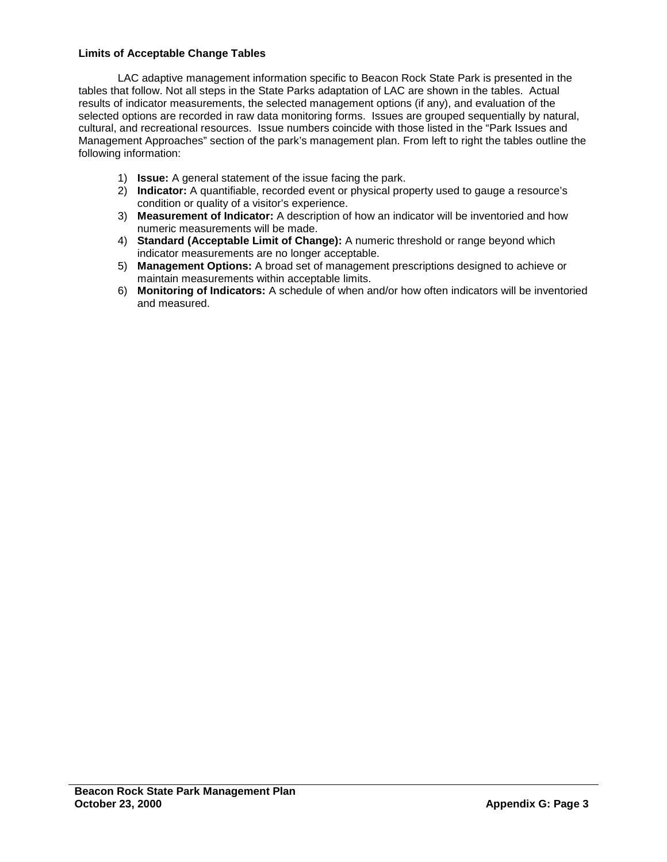#### **Limits of Acceptable Change Tables**

LAC adaptive management information specific to Beacon Rock State Park is presented in the tables that follow. Not all steps in the State Parks adaptation of LAC are shown in the tables. Actual results of indicator measurements, the selected management options (if any), and evaluation of the selected options are recorded in raw data monitoring forms. Issues are grouped sequentially by natural, cultural, and recreational resources. Issue numbers coincide with those listed in the "Park Issues and Management Approaches" section of the park's management plan. From left to right the tables outline the following information:

- 1) **Issue:** A general statement of the issue facing the park.
- 2) **Indicator:** A quantifiable, recorded event or physical property used to gauge a resource's condition or quality of a visitor's experience.
- 3) **Measurement of Indicator:** A description of how an indicator will be inventoried and how numeric measurements will be made.
- 4) **Standard (Acceptable Limit of Change):** A numeric threshold or range beyond which indicator measurements are no longer acceptable.
- 5) **Management Options:** A broad set of management prescriptions designed to achieve or maintain measurements within acceptable limits.
- 6) **Monitoring of Indicators:** A schedule of when and/or how often indicators will be inventoried and measured.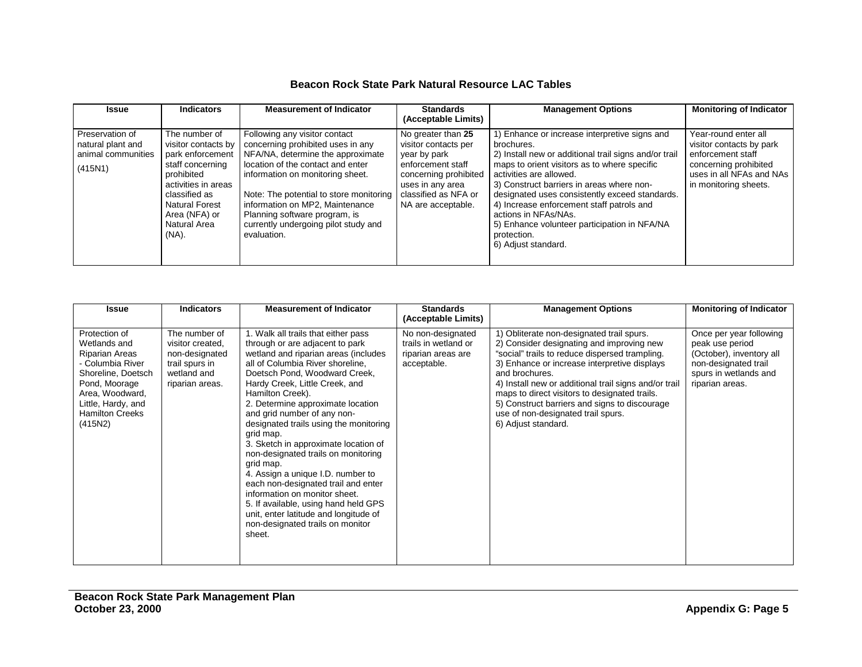#### **Beacon Rock State Park Natural Resource LAC Tables**

| <b>Issue</b>                                                          | <b>Indicators</b>                                                                                                                                                                                     | <b>Measurement of Indicator</b>                                                                                                                                                                                                                                                                                                                        | <b>Standards</b><br>(Acceptable Limits)                                                                                                                                    | <b>Management Options</b>                                                                                                                                                                                                                                                                                                                                                                                                                                | <b>Monitoring of Indicator</b>                                                                                                                      |
|-----------------------------------------------------------------------|-------------------------------------------------------------------------------------------------------------------------------------------------------------------------------------------------------|--------------------------------------------------------------------------------------------------------------------------------------------------------------------------------------------------------------------------------------------------------------------------------------------------------------------------------------------------------|----------------------------------------------------------------------------------------------------------------------------------------------------------------------------|----------------------------------------------------------------------------------------------------------------------------------------------------------------------------------------------------------------------------------------------------------------------------------------------------------------------------------------------------------------------------------------------------------------------------------------------------------|-----------------------------------------------------------------------------------------------------------------------------------------------------|
| Preservation of<br>natural plant and<br>animal communities<br>(415N1) | The number of<br>visitor contacts by<br>park enforcement<br>staff concerning<br>prohibited<br>activities in areas<br>classified as<br><b>Natural Forest</b><br>Area (NFA) or<br>Natural Area<br>(NA). | Following any visitor contact<br>concerning prohibited uses in any<br>NFA/NA, determine the approximate<br>location of the contact and enter<br>information on monitoring sheet.<br>Note: The potential to store monitoring<br>information on MP2, Maintenance<br>Planning software program, is<br>currently undergoing pilot study and<br>evaluation. | No greater than 25<br>visitor contacts per<br>year by park<br>enforcement staff<br>concerning prohibited<br>uses in any area<br>classified as NFA or<br>NA are acceptable. | ) Enhance or increase interpretive signs and<br>brochures.<br>2) Install new or additional trail signs and/or trail<br>maps to orient visitors as to where specific<br>activities are allowed.<br>3) Construct barriers in areas where non-<br>designated uses consistently exceed standards.<br>4) Increase enforcement staff patrols and<br>actions in NFAs/NAs.<br>5) Enhance volunteer participation in NFA/NA<br>protection.<br>6) Adjust standard. | Year-round enter all<br>visitor contacts by park<br>enforcement staff<br>concerning prohibited<br>uses in all NFAs and NAs<br>in monitoring sheets. |

| Issue                                                                                                                                                                                    | <b>Indicators</b>                                                                                       | <b>Measurement of Indicator</b>                                                                                                                                                                                                                                                                                                                                                                                                                                                                                                                                                                                                                                                                              | <b>Standards</b><br>(Acceptable Limits)                                                     | <b>Management Options</b>                                                                                                                                                                                                                                                                                                                                                                                                          | <b>Monitoring of Indicator</b>                                                                                                             |
|------------------------------------------------------------------------------------------------------------------------------------------------------------------------------------------|---------------------------------------------------------------------------------------------------------|--------------------------------------------------------------------------------------------------------------------------------------------------------------------------------------------------------------------------------------------------------------------------------------------------------------------------------------------------------------------------------------------------------------------------------------------------------------------------------------------------------------------------------------------------------------------------------------------------------------------------------------------------------------------------------------------------------------|---------------------------------------------------------------------------------------------|------------------------------------------------------------------------------------------------------------------------------------------------------------------------------------------------------------------------------------------------------------------------------------------------------------------------------------------------------------------------------------------------------------------------------------|--------------------------------------------------------------------------------------------------------------------------------------------|
| Protection of<br>Wetlands and<br>Riparian Areas<br>- Columbia River<br>Shoreline, Doetsch<br>Pond, Moorage<br>Area, Woodward,<br>Little, Hardy, and<br><b>Hamilton Creeks</b><br>(415N2) | The number of<br>visitor created,<br>non-designated<br>trail spurs in<br>wetland and<br>riparian areas. | 1. Walk all trails that either pass<br>through or are adjacent to park<br>wetland and riparian areas (includes<br>all of Columbia River shoreline,<br>Doetsch Pond, Woodward Creek,<br>Hardy Creek, Little Creek, and<br>Hamilton Creek).<br>2. Determine approximate location<br>and grid number of any non-<br>designated trails using the monitoring<br>grid map.<br>3. Sketch in approximate location of<br>non-designated trails on monitoring<br>grid map.<br>4. Assign a unique I.D. number to<br>each non-designated trail and enter<br>information on monitor sheet.<br>5. If available, using hand held GPS<br>unit, enter latitude and longitude of<br>non-designated trails on monitor<br>sheet. | $\overline{No}$ non-designated<br>trails in wetland or<br>riparian areas are<br>acceptable. | 1) Obliterate non-designated trail spurs.<br>2) Consider designating and improving new<br>"social" trails to reduce dispersed trampling.<br>3) Enhance or increase interpretive displays<br>and brochures.<br>4) Install new or additional trail signs and/or trail<br>maps to direct visitors to designated trails.<br>5) Construct barriers and signs to discourage<br>use of non-designated trail spurs.<br>6) Adjust standard. | Once per year following<br>peak use period<br>(October), inventory all<br>non-designated trail<br>spurs in wetlands and<br>riparian areas. |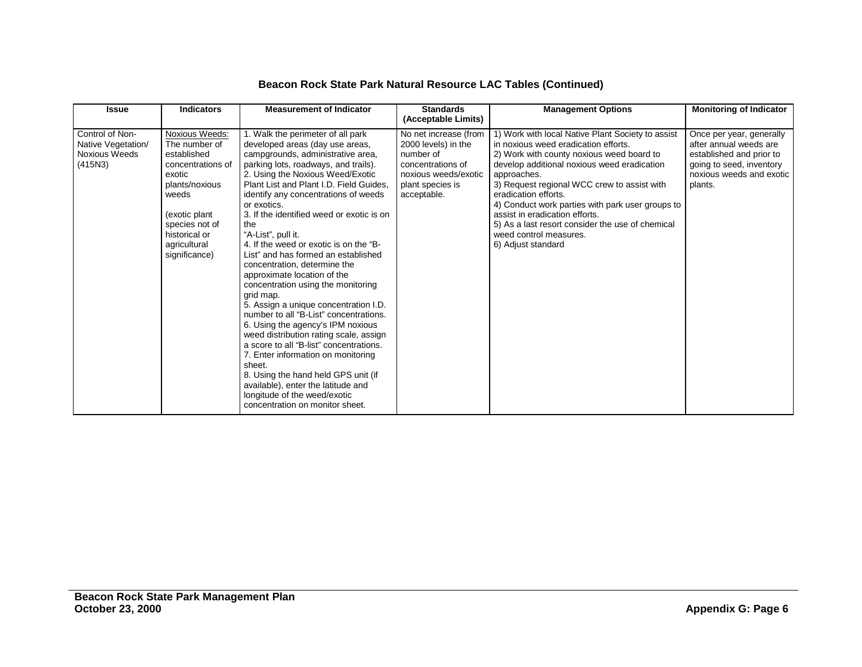| <b>Issue</b>                                                      | <b>Indicators</b>                                                                                                                                                                                    | <b>Measurement of Indicator</b>                                                                                                                                                                                                                                                                                                                                                                                                                                                                                                                                                                                                                                                                                                                                                                                                                                                                                                                                                   | <b>Standards</b><br>(Acceptable Limits)                                                                                                   | <b>Management Options</b>                                                                                                                                                                                                                                                                                                                                                                                                                                             | <b>Monitoring of Indicator</b>                                                                                                                    |
|-------------------------------------------------------------------|------------------------------------------------------------------------------------------------------------------------------------------------------------------------------------------------------|-----------------------------------------------------------------------------------------------------------------------------------------------------------------------------------------------------------------------------------------------------------------------------------------------------------------------------------------------------------------------------------------------------------------------------------------------------------------------------------------------------------------------------------------------------------------------------------------------------------------------------------------------------------------------------------------------------------------------------------------------------------------------------------------------------------------------------------------------------------------------------------------------------------------------------------------------------------------------------------|-------------------------------------------------------------------------------------------------------------------------------------------|-----------------------------------------------------------------------------------------------------------------------------------------------------------------------------------------------------------------------------------------------------------------------------------------------------------------------------------------------------------------------------------------------------------------------------------------------------------------------|---------------------------------------------------------------------------------------------------------------------------------------------------|
| Control of Non-<br>Native Vegetation/<br>Noxious Weeds<br>(415N3) | <b>Noxious Weeds:</b><br>The number of<br>established<br>concentrations of<br>exotic<br>plants/noxious<br>weeds<br>(exotic plant<br>species not of<br>historical or<br>agricultural<br>significance) | 1. Walk the perimeter of all park<br>developed areas (day use areas,<br>campgrounds, administrative area,<br>parking lots, roadways, and trails).<br>2. Using the Noxious Weed/Exotic<br>Plant List and Plant I.D. Field Guides.<br>identify any concentrations of weeds<br>or exotics.<br>3. If the identified weed or exotic is on<br>the<br>"A-List", pull it.<br>4. If the weed or exotic is on the "B-<br>List" and has formed an established<br>concentration, determine the<br>approximate location of the<br>concentration using the monitoring<br>grid map.<br>5. Assign a unique concentration I.D.<br>number to all "B-List" concentrations.<br>6. Using the agency's IPM noxious<br>weed distribution rating scale, assign<br>a score to all "B-list" concentrations.<br>7. Enter information on monitoring<br>sheet.<br>8. Using the hand held GPS unit (if<br>available), enter the latitude and<br>longitude of the weed/exotic<br>concentration on monitor sheet. | No net increase (from<br>2000 levels) in the<br>number of<br>concentrations of<br>noxious weeds/exotic<br>plant species is<br>acceptable. | 1) Work with local Native Plant Society to assist<br>in noxious weed eradication efforts.<br>2) Work with county noxious weed board to<br>develop additional noxious weed eradication<br>approaches.<br>3) Request regional WCC crew to assist with<br>eradication efforts.<br>4) Conduct work parties with park user groups to<br>assist in eradication efforts.<br>5) As a last resort consider the use of chemical<br>weed control measures.<br>6) Adjust standard | Once per year, generally<br>after annual weeds are<br>established and prior to<br>going to seed, inventory<br>noxious weeds and exotic<br>plants. |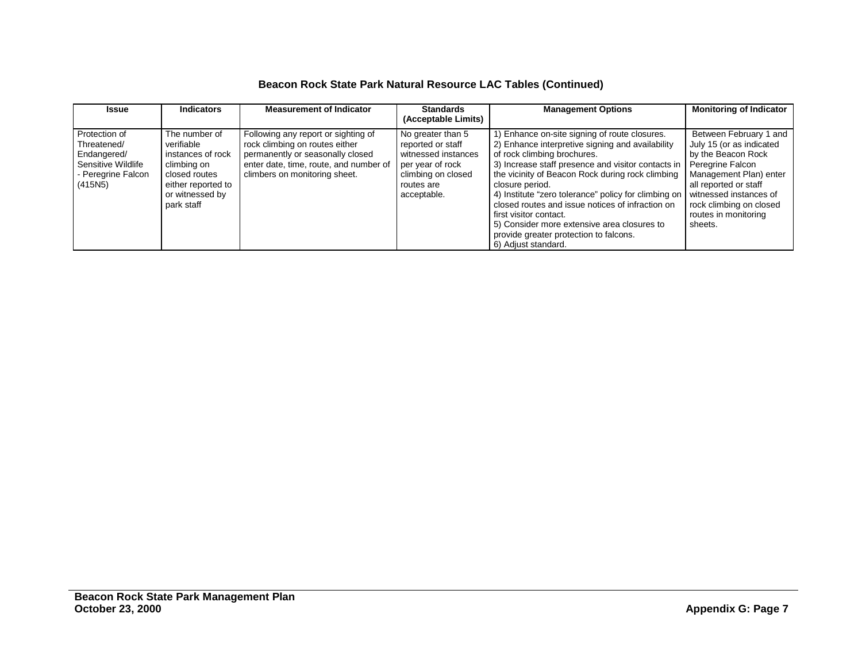# **Beacon Rock State Park Natural Resource LAC Tables (Continued)**

| <b>Issue</b>                                                                                       | <b>Indicators</b>                                                                                                                       | <b>Measurement of Indicator</b>                                                                                                                                                      | <b>Standards</b><br>(Acceptable Limits)                                                                                              | <b>Management Options</b>                                                                                                                                                                                                                                                                                                                                                                                                                                                                                                            | <b>Monitoring of Indicator</b>                                                                                                                                                                                      |
|----------------------------------------------------------------------------------------------------|-----------------------------------------------------------------------------------------------------------------------------------------|--------------------------------------------------------------------------------------------------------------------------------------------------------------------------------------|--------------------------------------------------------------------------------------------------------------------------------------|--------------------------------------------------------------------------------------------------------------------------------------------------------------------------------------------------------------------------------------------------------------------------------------------------------------------------------------------------------------------------------------------------------------------------------------------------------------------------------------------------------------------------------------|---------------------------------------------------------------------------------------------------------------------------------------------------------------------------------------------------------------------|
| Protection of<br>Threatened/<br>Endangered/<br>Sensitive Wildlife<br>- Peregrine Falcon<br>(415N5) | The number of<br>verifiable<br>instances of rock<br>climbing on<br>closed routes<br>either reported to<br>or witnessed by<br>park staff | Following any report or sighting of<br>rock climbing on routes either<br>permanently or seasonally closed<br>enter date, time, route, and number of<br>climbers on monitoring sheet. | No greater than 5<br>reported or staff<br>witnessed instances<br>per year of rock<br>climbing on closed<br>routes are<br>acceptable. | 1) Enhance on-site signing of route closures.<br>2) Enhance interpretive signing and availability<br>of rock climbing brochures.<br>3) Increase staff presence and visitor contacts in Peregrine Falcon<br>the vicinity of Beacon Rock during rock climbing<br>closure period.<br>4) Institute "zero tolerance" policy for climbing on<br>closed routes and issue notices of infraction on<br>first visitor contact.<br>5) Consider more extensive area closures to<br>provide greater protection to falcons.<br>6) Adjust standard. | Between February 1 and<br>July 15 (or as indicated<br>by the Beacon Rock<br>Management Plan) enter<br>all reported or staff<br>witnessed instances of<br>rock climbing on closed<br>routes in monitoring<br>sheets. |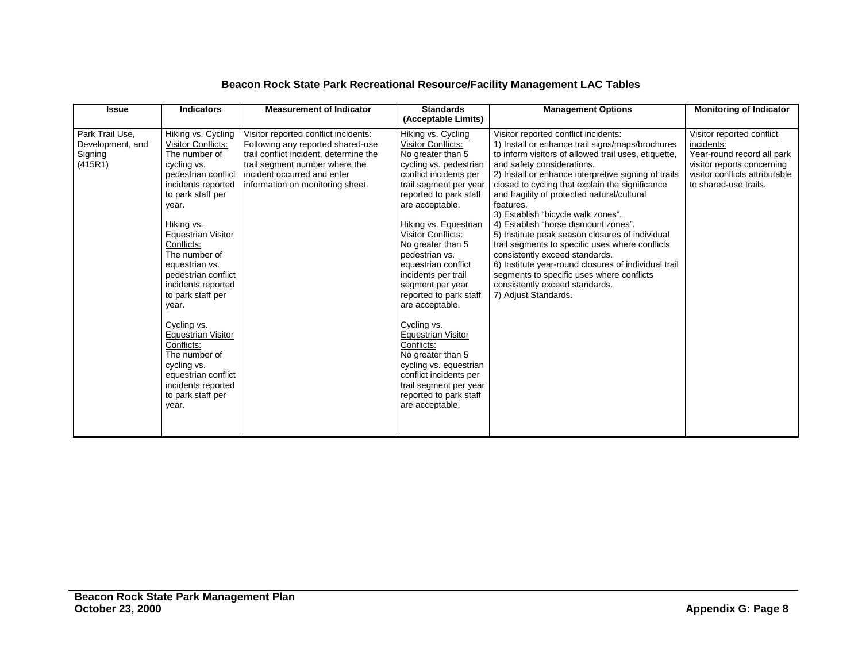# **Beacon Rock State Park Recreational Resource/Facility Management LAC Tables**

| <b>Issue</b>                                              | <b>Indicators</b>                                                                                                                                                                                                                                                                                                                                                                                                                                                                        | <b>Measurement of Indicator</b>                                                                                                                                                                                          | <b>Standards</b><br>(Acceptable Limits)                                                                                                                                                                                                                                                                                                                                                                                                                                                                                                                                                                 | <b>Management Options</b>                                                                                                                                                                                                                                                                                                                                                                                                                                                                                                                                                                                                                                                                                                                  | <b>Monitoring of Indicator</b>                                                                                                                                 |
|-----------------------------------------------------------|------------------------------------------------------------------------------------------------------------------------------------------------------------------------------------------------------------------------------------------------------------------------------------------------------------------------------------------------------------------------------------------------------------------------------------------------------------------------------------------|--------------------------------------------------------------------------------------------------------------------------------------------------------------------------------------------------------------------------|---------------------------------------------------------------------------------------------------------------------------------------------------------------------------------------------------------------------------------------------------------------------------------------------------------------------------------------------------------------------------------------------------------------------------------------------------------------------------------------------------------------------------------------------------------------------------------------------------------|--------------------------------------------------------------------------------------------------------------------------------------------------------------------------------------------------------------------------------------------------------------------------------------------------------------------------------------------------------------------------------------------------------------------------------------------------------------------------------------------------------------------------------------------------------------------------------------------------------------------------------------------------------------------------------------------------------------------------------------------|----------------------------------------------------------------------------------------------------------------------------------------------------------------|
| Park Trail Use,<br>Development, and<br>Signing<br>(415R1) | Hiking vs. Cycling<br>Visitor Conflicts:<br>The number of<br>cycling vs.<br>pedestrian conflict<br>incidents reported<br>to park staff per<br>year.<br>Hiking vs.<br>Equestrian Visitor<br>Conflicts:<br>The number of<br>equestrian vs.<br>pedestrian conflict<br>incidents reported<br>to park staff per<br>year.<br>Cycling vs.<br><b>Equestrian Visitor</b><br>Conflicts:<br>The number of<br>cycling vs.<br>equestrian conflict<br>incidents reported<br>to park staff per<br>year. | Visitor reported conflict incidents:<br>Following any reported shared-use<br>trail conflict incident, determine the<br>trail segment number where the<br>incident occurred and enter<br>information on monitoring sheet. | Hiking vs. Cycling<br>Visitor Conflicts:<br>No greater than 5<br>cycling vs. pedestrian<br>conflict incidents per<br>trail segment per year<br>reported to park staff<br>are acceptable.<br>Hiking vs. Equestrian<br>Visitor Conflicts:<br>No greater than 5<br>pedestrian vs.<br>equestrian conflict<br>incidents per trail<br>segment per year<br>reported to park staff<br>are acceptable.<br>Cycling vs.<br><b>Equestrian Visitor</b><br>Conflicts:<br>No greater than 5<br>cycling vs. equestrian<br>conflict incidents per<br>trail segment per year<br>reported to park staff<br>are acceptable. | Visitor reported conflict incidents:<br>1) Install or enhance trail signs/maps/brochures<br>to inform visitors of allowed trail uses, etiquette,<br>and safety considerations.<br>2) Install or enhance interpretive signing of trails<br>closed to cycling that explain the significance<br>and fragility of protected natural/cultural<br>features.<br>3) Establish "bicycle walk zones".<br>4) Establish "horse dismount zones".<br>5) Institute peak season closures of individual<br>trail segments to specific uses where conflicts<br>consistently exceed standards.<br>6) Institute year-round closures of individual trail<br>segments to specific uses where conflicts<br>consistently exceed standards.<br>7) Adjust Standards. | Visitor reported conflict<br>incidents:<br>Year-round record all park<br>visitor reports concerning<br>visitor conflicts attributable<br>to shared-use trails. |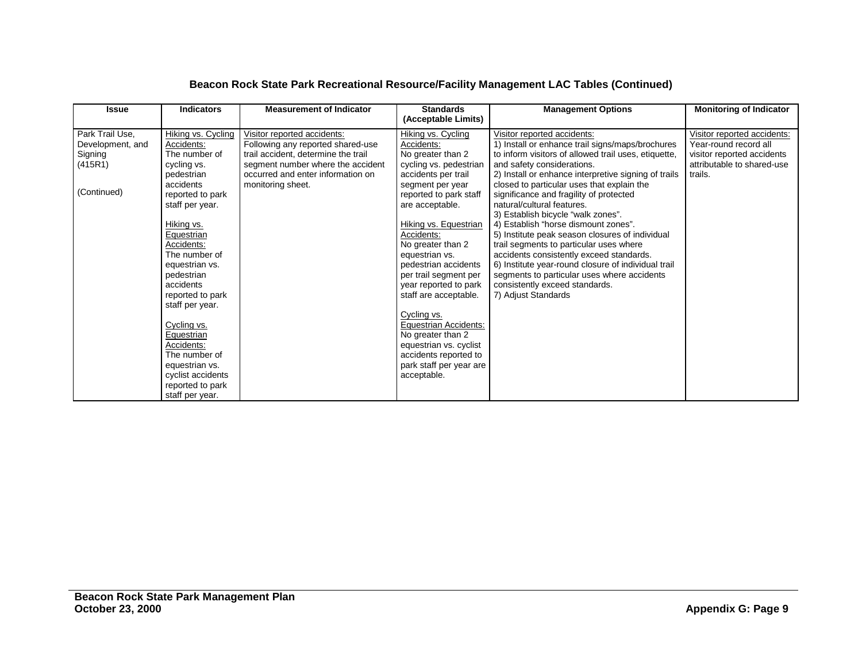# **Beacon Rock State Park Recreational Resource/Facility Management LAC Tables (Continued)**

| <b>Issue</b>                                                             | <b>Indicators</b>                                                                                                                                                                                                                                                                                                                                                                                                           | <b>Measurement of Indicator</b>                                                                                                                                                                        | <b>Standards</b><br>(Acceptable Limits)                                                                                                                                                                                                                                                                                                                                                                                                                                                                                   | <b>Management Options</b>                                                                                                                                                                                                                                                                                                                                                                                                                                                                                                                                                                                                                                                                                                                   | <b>Monitoring of Indicator</b>                                                                                              |
|--------------------------------------------------------------------------|-----------------------------------------------------------------------------------------------------------------------------------------------------------------------------------------------------------------------------------------------------------------------------------------------------------------------------------------------------------------------------------------------------------------------------|--------------------------------------------------------------------------------------------------------------------------------------------------------------------------------------------------------|---------------------------------------------------------------------------------------------------------------------------------------------------------------------------------------------------------------------------------------------------------------------------------------------------------------------------------------------------------------------------------------------------------------------------------------------------------------------------------------------------------------------------|---------------------------------------------------------------------------------------------------------------------------------------------------------------------------------------------------------------------------------------------------------------------------------------------------------------------------------------------------------------------------------------------------------------------------------------------------------------------------------------------------------------------------------------------------------------------------------------------------------------------------------------------------------------------------------------------------------------------------------------------|-----------------------------------------------------------------------------------------------------------------------------|
| Park Trail Use,<br>Development, and<br>Signing<br>(415R1)<br>(Continued) | Hiking vs. Cycling<br>Accidents:<br>The number of<br>cycling vs.<br>pedestrian<br>accidents<br>reported to park<br>staff per year.<br>Hiking vs.<br>Equestrian<br>Accidents:<br>The number of<br>equestrian vs.<br>pedestrian<br>accidents<br>reported to park<br>staff per year.<br>Cycling vs.<br>Equestrian<br>Accidents:<br>The number of<br>equestrian vs.<br>cyclist accidents<br>reported to park<br>staff per year. | Visitor reported accidents:<br>Following any reported shared-use<br>trail accident, determine the trail<br>segment number where the accident<br>occurred and enter information on<br>monitoring sheet. | Hiking vs. Cycling<br>Accidents:<br>No greater than 2<br>cycling vs. pedestrian<br>accidents per trail<br>segment per year<br>reported to park staff<br>are acceptable.<br>Hiking vs. Equestrian<br>Accidents:<br>No greater than 2<br>equestrian vs.<br>pedestrian accidents<br>per trail segment per<br>year reported to park<br>staff are acceptable.<br>Cycling vs.<br><b>Equestrian Accidents:</b><br>No greater than 2<br>equestrian vs. cyclist<br>accidents reported to<br>park staff per year are<br>acceptable. | Visitor reported accidents:<br>1) Install or enhance trail signs/maps/brochures<br>to inform visitors of allowed trail uses, etiquette,<br>and safety considerations.<br>2) Install or enhance interpretive signing of trails<br>closed to particular uses that explain the<br>significance and fragility of protected<br>natural/cultural features.<br>3) Establish bicycle "walk zones".<br>4) Establish "horse dismount zones".<br>5) Institute peak season closures of individual<br>trail segments to particular uses where<br>accidents consistently exceed standards.<br>6) Institute year-round closure of individual trail<br>segments to particular uses where accidents<br>consistently exceed standards.<br>7) Adjust Standards | Visitor reported accidents:<br>Year-round record all<br>visitor reported accidents<br>attributable to shared-use<br>trails. |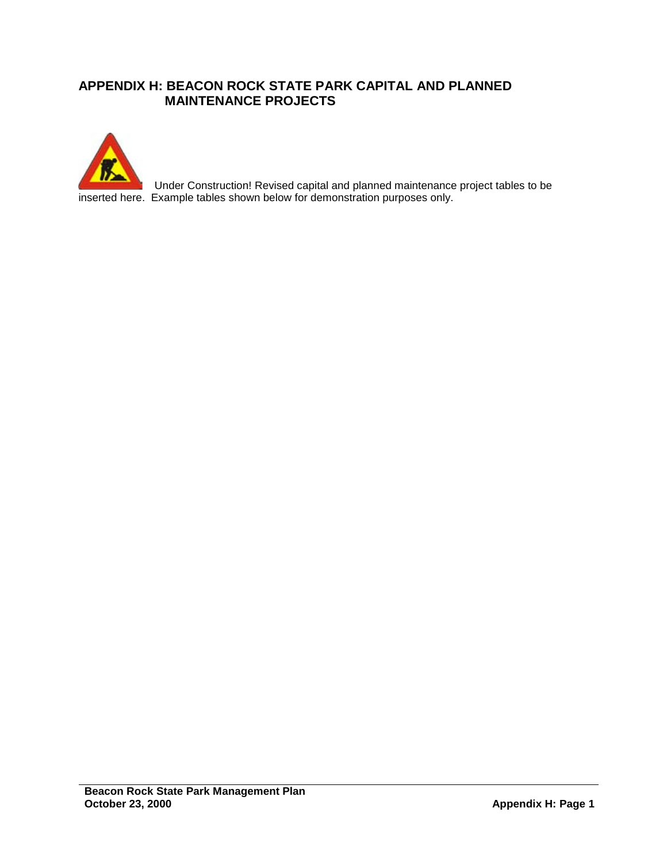# **APPENDIX H: BEACON ROCK STATE PARK CAPITAL AND PLANNED MAINTENANCE PROJECTS**



Under Construction! Revised capital and planned maintenance project tables to be inserted here. Example tables shown below for demonstration purposes only.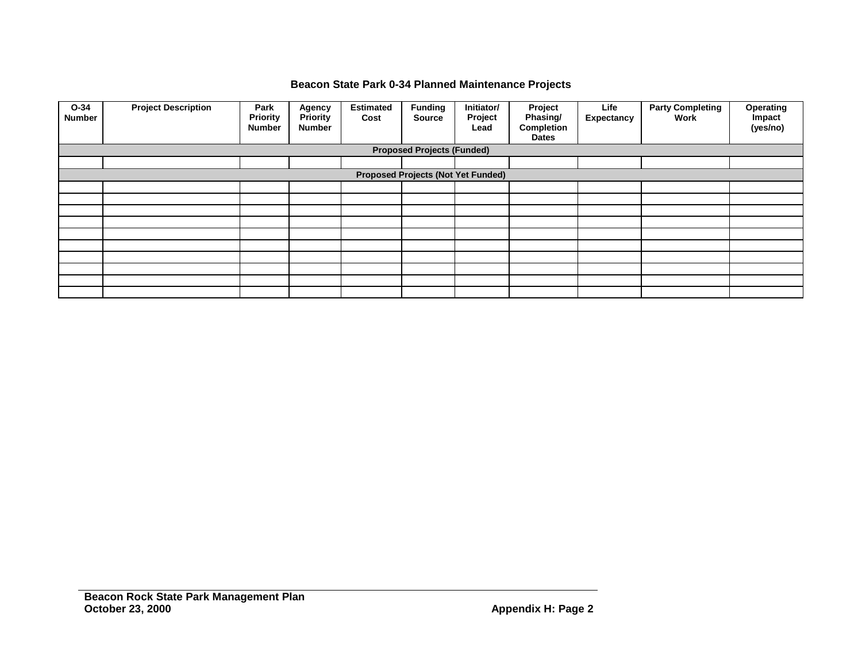# **Beacon State Park 0-34 Planned Maintenance Projects**

| $O-34$<br><b>Number</b>           | <b>Project Description</b>                | Park<br><b>Priority</b><br><b>Number</b> | Agency<br><b>Priority</b><br>Number | <b>Estimated</b><br>Cost | <b>Funding</b><br><b>Source</b> | Initiator/<br>Project<br>Lead | Project<br>Phasing/<br><b>Completion</b><br><b>Dates</b> | Life<br>Expectancy | <b>Party Completing</b><br>Work | Operating<br>Impact<br>(yes/no) |
|-----------------------------------|-------------------------------------------|------------------------------------------|-------------------------------------|--------------------------|---------------------------------|-------------------------------|----------------------------------------------------------|--------------------|---------------------------------|---------------------------------|
| <b>Proposed Projects (Funded)</b> |                                           |                                          |                                     |                          |                                 |                               |                                                          |                    |                                 |                                 |
|                                   |                                           |                                          |                                     |                          |                                 |                               |                                                          |                    |                                 |                                 |
|                                   | <b>Proposed Projects (Not Yet Funded)</b> |                                          |                                     |                          |                                 |                               |                                                          |                    |                                 |                                 |
|                                   |                                           |                                          |                                     |                          |                                 |                               |                                                          |                    |                                 |                                 |
|                                   |                                           |                                          |                                     |                          |                                 |                               |                                                          |                    |                                 |                                 |
|                                   |                                           |                                          |                                     |                          |                                 |                               |                                                          |                    |                                 |                                 |
|                                   |                                           |                                          |                                     |                          |                                 |                               |                                                          |                    |                                 |                                 |
|                                   |                                           |                                          |                                     |                          |                                 |                               |                                                          |                    |                                 |                                 |
|                                   |                                           |                                          |                                     |                          |                                 |                               |                                                          |                    |                                 |                                 |
|                                   |                                           |                                          |                                     |                          |                                 |                               |                                                          |                    |                                 |                                 |
|                                   |                                           |                                          |                                     |                          |                                 |                               |                                                          |                    |                                 |                                 |
|                                   |                                           |                                          |                                     |                          |                                 |                               |                                                          |                    |                                 |                                 |
|                                   |                                           |                                          |                                     |                          |                                 |                               |                                                          |                    |                                 |                                 |